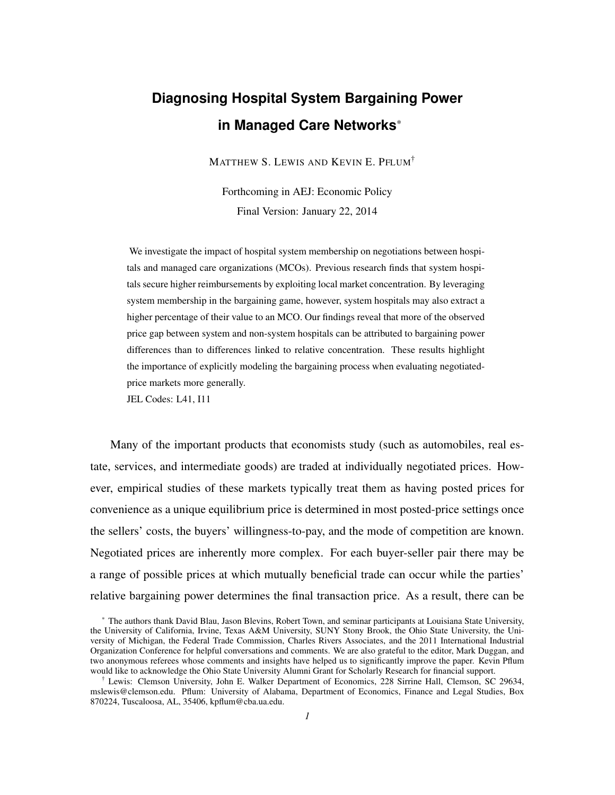# **Diagnosing Hospital System Bargaining Power in Managed Care Networks**\*

MATTHEW S. LEWIS AND KEVIN E. PFLUM†

Forthcoming in AEJ: Economic Policy Final Version: January 22, 2014

We investigate the impact of hospital system membership on negotiations between hospitals and managed care organizations (MCOs). Previous research finds that system hospitals secure higher reimbursements by exploiting local market concentration. By leveraging system membership in the bargaining game, however, system hospitals may also extract a higher percentage of their value to an MCO. Our findings reveal that more of the observed price gap between system and non-system hospitals can be attributed to bargaining power differences than to differences linked to relative concentration. These results highlight the importance of explicitly modeling the bargaining process when evaluating negotiatedprice markets more generally.

JEL Codes: L41, I11

Many of the important products that economists study (such as automobiles, real estate, services, and intermediate goods) are traded at individually negotiated prices. However, empirical studies of these markets typically treat them as having posted prices for convenience as a unique equilibrium price is determined in most posted-price settings once the sellers' costs, the buyers' willingness-to-pay, and the mode of competition are known. Negotiated prices are inherently more complex. For each buyer-seller pair there may be a range of possible prices at which mutually beneficial trade can occur while the parties' relative bargaining power determines the final transaction price. As a result, there can be

<sup>\*</sup> The authors thank David Blau, Jason Blevins, Robert Town, and seminar participants at Louisiana State University, the University of California, Irvine, Texas A&M University, SUNY Stony Brook, the Ohio State University, the University of Michigan, the Federal Trade Commission, Charles Rivers Associates, and the 2011 International Industrial Organization Conference for helpful conversations and comments. We are also grateful to the editor, Mark Duggan, and two anonymous referees whose comments and insights have helped us to significantly improve the paper. Kevin Pflum would like to acknowledge the Ohio State University Alumni Grant for Scholarly Research for financial support.

 $\dagger$  Lewis: Clemson University, John E. Walker Department of Economics, 228 Sirrine Hall, Clemson, SC 29634, mslewis@clemson.edu. Pflum: University of Alabama, Department of Economics, Finance and Legal Studies, Box 870224, Tuscaloosa, AL, 35406, kpflum@cba.ua.edu.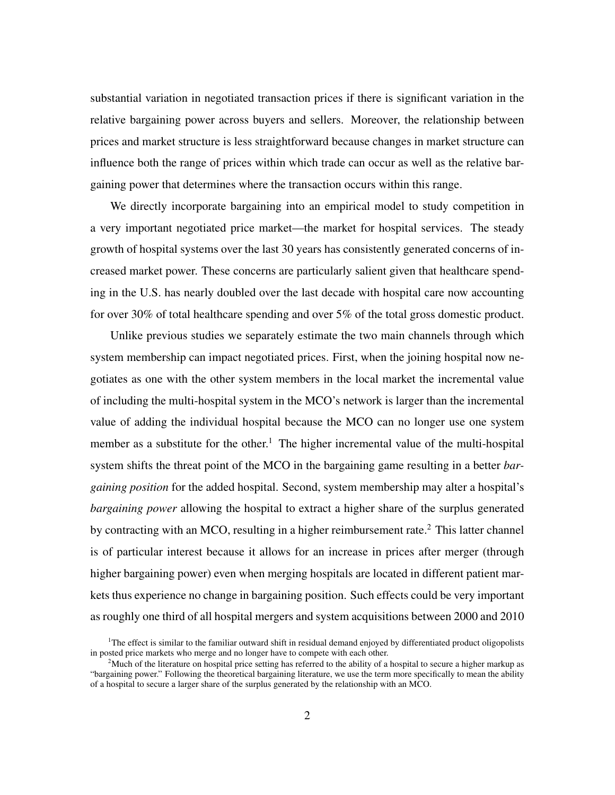substantial variation in negotiated transaction prices if there is significant variation in the relative bargaining power across buyers and sellers. Moreover, the relationship between prices and market structure is less straightforward because changes in market structure can influence both the range of prices within which trade can occur as well as the relative bargaining power that determines where the transaction occurs within this range.

We directly incorporate bargaining into an empirical model to study competition in a very important negotiated price market—the market for hospital services. The steady growth of hospital systems over the last 30 years has consistently generated concerns of increased market power. These concerns are particularly salient given that healthcare spending in the U.S. has nearly doubled over the last decade with hospital care now accounting for over 30% of total healthcare spending and over 5% of the total gross domestic product.

Unlike previous studies we separately estimate the two main channels through which system membership can impact negotiated prices. First, when the joining hospital now negotiates as one with the other system members in the local market the incremental value of including the multi-hospital system in the MCO's network is larger than the incremental value of adding the individual hospital because the MCO can no longer use one system member as a substitute for the other.<sup>1</sup> The higher incremental value of the multi-hospital system shifts the threat point of the MCO in the bargaining game resulting in a better *bargaining position* for the added hospital. Second, system membership may alter a hospital's *bargaining power* allowing the hospital to extract a higher share of the surplus generated by contracting with an MCO, resulting in a higher reimbursement rate.<sup>2</sup> This latter channel is of particular interest because it allows for an increase in prices after merger (through higher bargaining power) even when merging hospitals are located in different patient markets thus experience no change in bargaining position. Such effects could be very important as roughly one third of all hospital mergers and system acquisitions between 2000 and 2010

 $1$ <sup>1</sup>The effect is similar to the familiar outward shift in residual demand enjoyed by differentiated product oligopolists in posted price markets who merge and no longer have to compete with each other.

<sup>&</sup>lt;sup>2</sup>Much of the literature on hospital price setting has referred to the ability of a hospital to secure a higher markup as "bargaining power." Following the theoretical bargaining literature, we use the term more specifically to mean the ability of a hospital to secure a larger share of the surplus generated by the relationship with an MCO.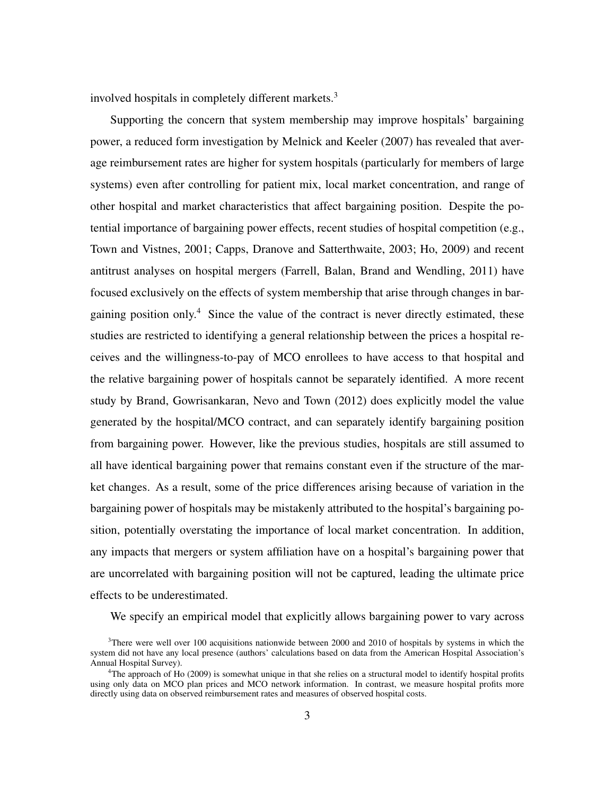involved hospitals in completely different markets.<sup>3</sup>

Supporting the concern that system membership may improve hospitals' bargaining power, a reduced form investigation by Melnick and Keeler (2007) has revealed that average reimbursement rates are higher for system hospitals (particularly for members of large systems) even after controlling for patient mix, local market concentration, and range of other hospital and market characteristics that affect bargaining position. Despite the potential importance of bargaining power effects, recent studies of hospital competition (e.g., Town and Vistnes, 2001; Capps, Dranove and Satterthwaite, 2003; Ho, 2009) and recent antitrust analyses on hospital mergers (Farrell, Balan, Brand and Wendling, 2011) have focused exclusively on the effects of system membership that arise through changes in bargaining position only.<sup>4</sup> Since the value of the contract is never directly estimated, these studies are restricted to identifying a general relationship between the prices a hospital receives and the willingness-to-pay of MCO enrollees to have access to that hospital and the relative bargaining power of hospitals cannot be separately identified. A more recent study by Brand, Gowrisankaran, Nevo and Town (2012) does explicitly model the value generated by the hospital/MCO contract, and can separately identify bargaining position from bargaining power. However, like the previous studies, hospitals are still assumed to all have identical bargaining power that remains constant even if the structure of the market changes. As a result, some of the price differences arising because of variation in the bargaining power of hospitals may be mistakenly attributed to the hospital's bargaining position, potentially overstating the importance of local market concentration. In addition, any impacts that mergers or system affiliation have on a hospital's bargaining power that are uncorrelated with bargaining position will not be captured, leading the ultimate price effects to be underestimated.

We specify an empirical model that explicitly allows bargaining power to vary across

 $3$ There were well over 100 acquisitions nationwide between 2000 and 2010 of hospitals by systems in which the system did not have any local presence (authors' calculations based on data from the American Hospital Association's Annual Hospital Survey).

<sup>&</sup>lt;sup>4</sup>The approach of Ho (2009) is somewhat unique in that she relies on a structural model to identify hospital profits using only data on MCO plan prices and MCO network information. In contrast, we measure hospital profits more directly using data on observed reimbursement rates and measures of observed hospital costs.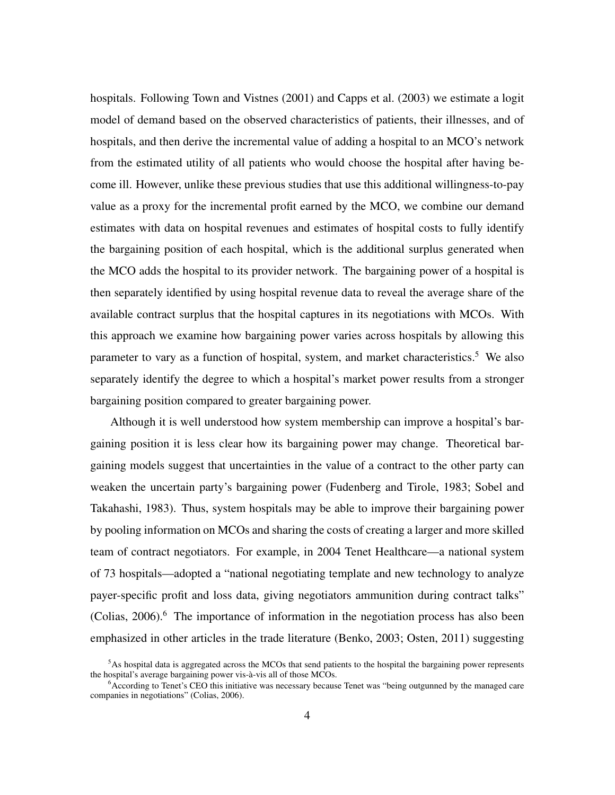hospitals. Following Town and Vistnes (2001) and Capps et al. (2003) we estimate a logit model of demand based on the observed characteristics of patients, their illnesses, and of hospitals, and then derive the incremental value of adding a hospital to an MCO's network from the estimated utility of all patients who would choose the hospital after having become ill. However, unlike these previous studies that use this additional willingness-to-pay value as a proxy for the incremental profit earned by the MCO, we combine our demand estimates with data on hospital revenues and estimates of hospital costs to fully identify the bargaining position of each hospital, which is the additional surplus generated when the MCO adds the hospital to its provider network. The bargaining power of a hospital is then separately identified by using hospital revenue data to reveal the average share of the available contract surplus that the hospital captures in its negotiations with MCOs. With this approach we examine how bargaining power varies across hospitals by allowing this parameter to vary as a function of hospital, system, and market characteristics.<sup>5</sup> We also separately identify the degree to which a hospital's market power results from a stronger bargaining position compared to greater bargaining power.

Although it is well understood how system membership can improve a hospital's bargaining position it is less clear how its bargaining power may change. Theoretical bargaining models suggest that uncertainties in the value of a contract to the other party can weaken the uncertain party's bargaining power (Fudenberg and Tirole, 1983; Sobel and Takahashi, 1983). Thus, system hospitals may be able to improve their bargaining power by pooling information on MCOs and sharing the costs of creating a larger and more skilled team of contract negotiators. For example, in 2004 Tenet Healthcare—a national system of 73 hospitals—adopted a "national negotiating template and new technology to analyze payer-specific profit and loss data, giving negotiators ammunition during contract talks"  $(Colias, 2006)$ .<sup>6</sup> The importance of information in the negotiation process has also been emphasized in other articles in the trade literature (Benko, 2003; Osten, 2011) suggesting

 $<sup>5</sup>$ As hospital data is aggregated across the MCOs that send patients to the hospital the bargaining power represents</sup> the hospital's average bargaining power vis-à-vis all of those MCOs.

<sup>&</sup>lt;sup>6</sup>According to Tenet's CEO this initiative was necessary because Tenet was "being outgunned by the managed care companies in negotiations" (Colias, 2006).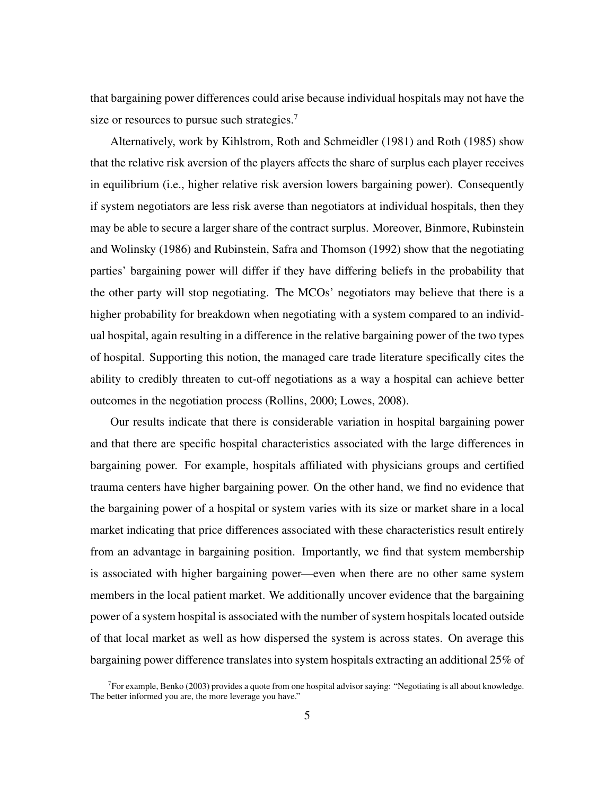that bargaining power differences could arise because individual hospitals may not have the size or resources to pursue such strategies.<sup>7</sup>

Alternatively, work by Kihlstrom, Roth and Schmeidler (1981) and Roth (1985) show that the relative risk aversion of the players affects the share of surplus each player receives in equilibrium (i.e., higher relative risk aversion lowers bargaining power). Consequently if system negotiators are less risk averse than negotiators at individual hospitals, then they may be able to secure a larger share of the contract surplus. Moreover, Binmore, Rubinstein and Wolinsky (1986) and Rubinstein, Safra and Thomson (1992) show that the negotiating parties' bargaining power will differ if they have differing beliefs in the probability that the other party will stop negotiating. The MCOs' negotiators may believe that there is a higher probability for breakdown when negotiating with a system compared to an individual hospital, again resulting in a difference in the relative bargaining power of the two types of hospital. Supporting this notion, the managed care trade literature specifically cites the ability to credibly threaten to cut-off negotiations as a way a hospital can achieve better outcomes in the negotiation process (Rollins, 2000; Lowes, 2008).

Our results indicate that there is considerable variation in hospital bargaining power and that there are specific hospital characteristics associated with the large differences in bargaining power. For example, hospitals affiliated with physicians groups and certified trauma centers have higher bargaining power. On the other hand, we find no evidence that the bargaining power of a hospital or system varies with its size or market share in a local market indicating that price differences associated with these characteristics result entirely from an advantage in bargaining position. Importantly, we find that system membership is associated with higher bargaining power—even when there are no other same system members in the local patient market. We additionally uncover evidence that the bargaining power of a system hospital is associated with the number of system hospitals located outside of that local market as well as how dispersed the system is across states. On average this bargaining power difference translates into system hospitals extracting an additional 25% of

<sup>&</sup>lt;sup>7</sup> For example, Benko (2003) provides a quote from one hospital advisor saying: "Negotiating is all about knowledge. The better informed you are, the more leverage you have."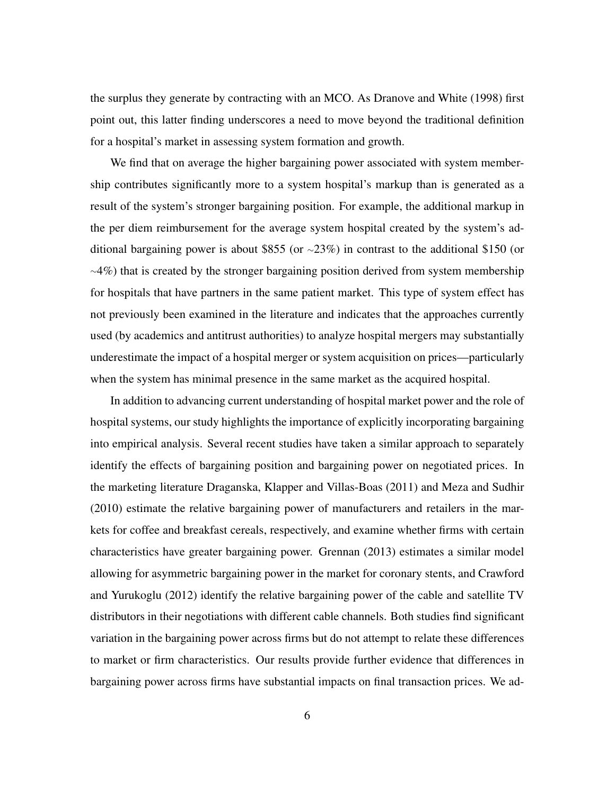the surplus they generate by contracting with an MCO. As Dranove and White (1998) first point out, this latter finding underscores a need to move beyond the traditional definition for a hospital's market in assessing system formation and growth.

We find that on average the higher bargaining power associated with system membership contributes significantly more to a system hospital's markup than is generated as a result of the system's stronger bargaining position. For example, the additional markup in the per diem reimbursement for the average system hospital created by the system's additional bargaining power is about \$855 (or <sup>∼</sup>23%) in contrast to the additional \$150 (or <sup>∼</sup>4%) that is created by the stronger bargaining position derived from system membership for hospitals that have partners in the same patient market. This type of system effect has not previously been examined in the literature and indicates that the approaches currently used (by academics and antitrust authorities) to analyze hospital mergers may substantially underestimate the impact of a hospital merger or system acquisition on prices—particularly when the system has minimal presence in the same market as the acquired hospital.

In addition to advancing current understanding of hospital market power and the role of hospital systems, our study highlights the importance of explicitly incorporating bargaining into empirical analysis. Several recent studies have taken a similar approach to separately identify the effects of bargaining position and bargaining power on negotiated prices. In the marketing literature Draganska, Klapper and Villas-Boas (2011) and Meza and Sudhir (2010) estimate the relative bargaining power of manufacturers and retailers in the markets for coffee and breakfast cereals, respectively, and examine whether firms with certain characteristics have greater bargaining power. Grennan (2013) estimates a similar model allowing for asymmetric bargaining power in the market for coronary stents, and Crawford and Yurukoglu (2012) identify the relative bargaining power of the cable and satellite TV distributors in their negotiations with different cable channels. Both studies find significant variation in the bargaining power across firms but do not attempt to relate these differences to market or firm characteristics. Our results provide further evidence that differences in bargaining power across firms have substantial impacts on final transaction prices. We ad-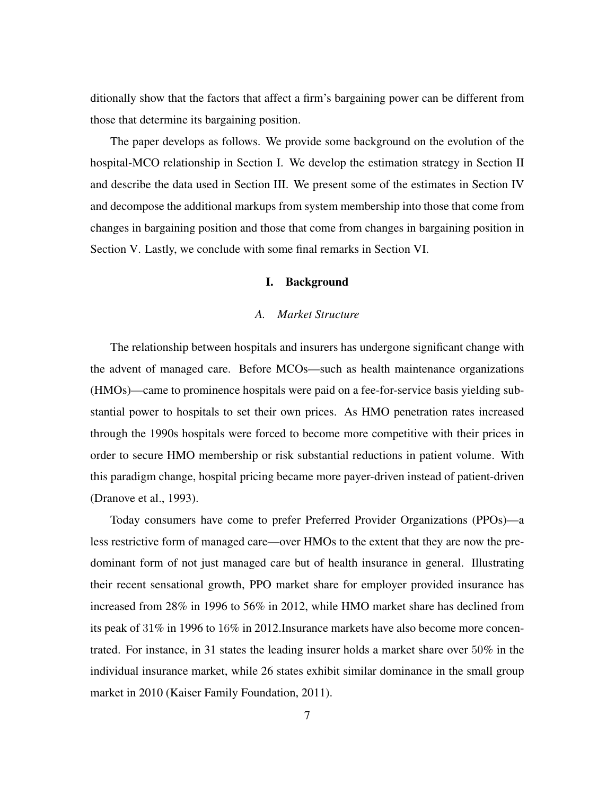ditionally show that the factors that affect a firm's bargaining power can be different from those that determine its bargaining position.

The paper develops as follows. We provide some background on the evolution of the hospital-MCO relationship in Section I. We develop the estimation strategy in Section II and describe the data used in Section III. We present some of the estimates in Section IV and decompose the additional markups from system membership into those that come from changes in bargaining position and those that come from changes in bargaining position in Section V. Lastly, we conclude with some final remarks in Section VI.

### I. Background

## *A. Market Structure*

The relationship between hospitals and insurers has undergone significant change with the advent of managed care. Before MCOs—such as health maintenance organizations (HMOs)—came to prominence hospitals were paid on a fee-for-service basis yielding substantial power to hospitals to set their own prices. As HMO penetration rates increased through the 1990s hospitals were forced to become more competitive with their prices in order to secure HMO membership or risk substantial reductions in patient volume. With this paradigm change, hospital pricing became more payer-driven instead of patient-driven (Dranove et al., 1993).

Today consumers have come to prefer Preferred Provider Organizations (PPOs)—a less restrictive form of managed care—over HMOs to the extent that they are now the predominant form of not just managed care but of health insurance in general. Illustrating their recent sensational growth, PPO market share for employer provided insurance has increased from 28% in 1996 to 56% in 2012, while HMO market share has declined from its peak of 31% in 1996 to 16% in 2012.Insurance markets have also become more concentrated. For instance, in 31 states the leading insurer holds a market share over 50% in the individual insurance market, while 26 states exhibit similar dominance in the small group market in 2010 (Kaiser Family Foundation, 2011).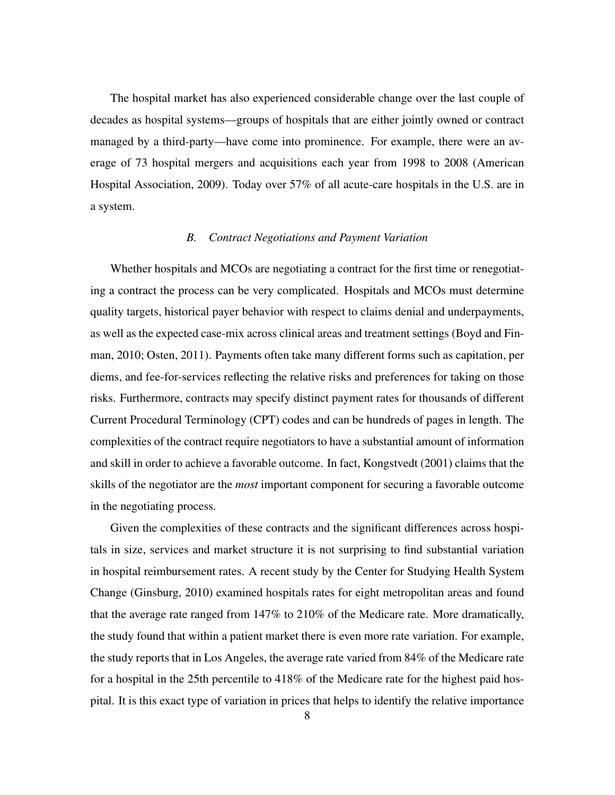The hospital market has also experienced considerable change over the last couple of decades as hospital systems—groups of hospitals that are either jointly owned or contract managed by a third-party—have come into prominence. For example, there were an average of 73 hospital mergers and acquisitions each year from 1998 to 2008 (American Hospital Association, 2009). Today over 57% of all acute-care hospitals in the U.S. are in a system.

#### *B. Contract Negotiations and Payment Variation*

Whether hospitals and MCOs are negotiating a contract for the first time or renegotiating a contract the process can be very complicated. Hospitals and MCOs must determine quality targets, historical payer behavior with respect to claims denial and underpayments, as well as the expected case-mix across clinical areas and treatment settings (Boyd and Finman, 2010; Osten, 2011). Payments often take many different forms such as capitation, per diems, and fee-for-services reflecting the relative risks and preferences for taking on those risks. Furthermore, contracts may specify distinct payment rates for thousands of different Current Procedural Terminology (CPT) codes and can be hundreds of pages in length. The complexities of the contract require negotiators to have a substantial amount of information and skill in order to achieve a favorable outcome. In fact, Kongstvedt (2001) claims that the skills of the negotiator are the *most* important component for securing a favorable outcome in the negotiating process.

Given the complexities of these contracts and the significant differences across hospitals in size, services and market structure it is not surprising to find substantial variation in hospital reimbursement rates. A recent study by the Center for Studying Health System Change (Ginsburg, 2010) examined hospitals rates for eight metropolitan areas and found that the average rate ranged from 147% to 210% of the Medicare rate. More dramatically, the study found that within a patient market there is even more rate variation. For example, the study reports that in Los Angeles, the average rate varied from 84% of the Medicare rate for a hospital in the 25th percentile to 418% of the Medicare rate for the highest paid hospital. It is this exact type of variation in prices that helps to identify the relative importance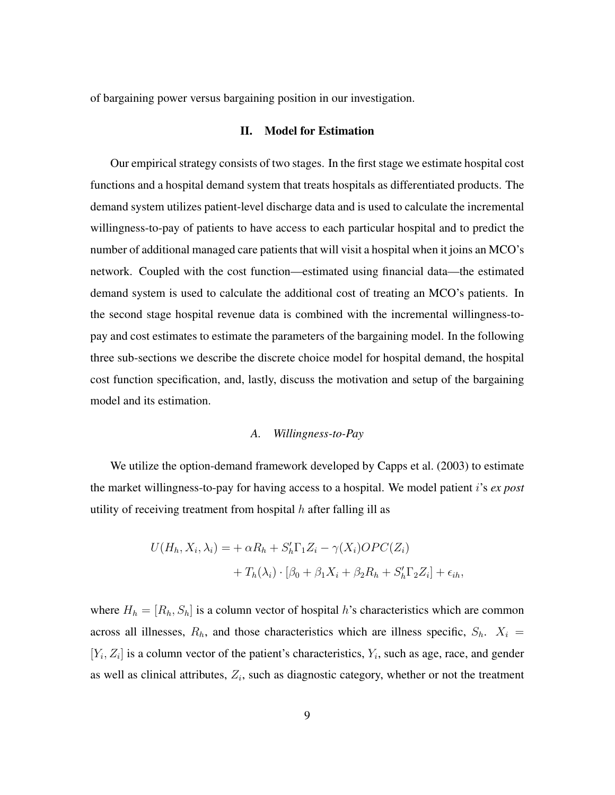of bargaining power versus bargaining position in our investigation.

#### II. Model for Estimation

Our empirical strategy consists of two stages. In the first stage we estimate hospital cost functions and a hospital demand system that treats hospitals as differentiated products. The demand system utilizes patient-level discharge data and is used to calculate the incremental willingness-to-pay of patients to have access to each particular hospital and to predict the number of additional managed care patients that will visit a hospital when it joins an MCO's network. Coupled with the cost function—estimated using financial data—the estimated demand system is used to calculate the additional cost of treating an MCO's patients. In the second stage hospital revenue data is combined with the incremental willingness-topay and cost estimates to estimate the parameters of the bargaining model. In the following three sub-sections we describe the discrete choice model for hospital demand, the hospital cost function specification, and, lastly, discuss the motivation and setup of the bargaining model and its estimation.

## *A. Willingness-to-Pay*

We utilize the option-demand framework developed by Capps et al. (2003) to estimate the market willingness-to-pay for having access to a hospital. We model patient i's *ex post* utility of receiving treatment from hospital  $h$  after falling ill as

$$
U(H_h, X_i, \lambda_i) = + \alpha R_h + S_h' \Gamma_1 Z_i - \gamma(X_i) OPC(Z_i)
$$
  
+ 
$$
T_h(\lambda_i) \cdot [\beta_0 + \beta_1 X_i + \beta_2 R_h + S_h' \Gamma_2 Z_i] + \epsilon_{ih},
$$

where  $H_h = [R_h, S_h]$  is a column vector of hospital h's characteristics which are common across all illnesses,  $R_h$ , and those characteristics which are illness specific,  $S_h$ .  $X_i$  =  $[Y_i, Z_i]$  is a column vector of the patient's characteristics,  $Y_i$ , such as age, race, and gender as well as clinical attributes,  $Z_i$ , such as diagnostic category, whether or not the treatment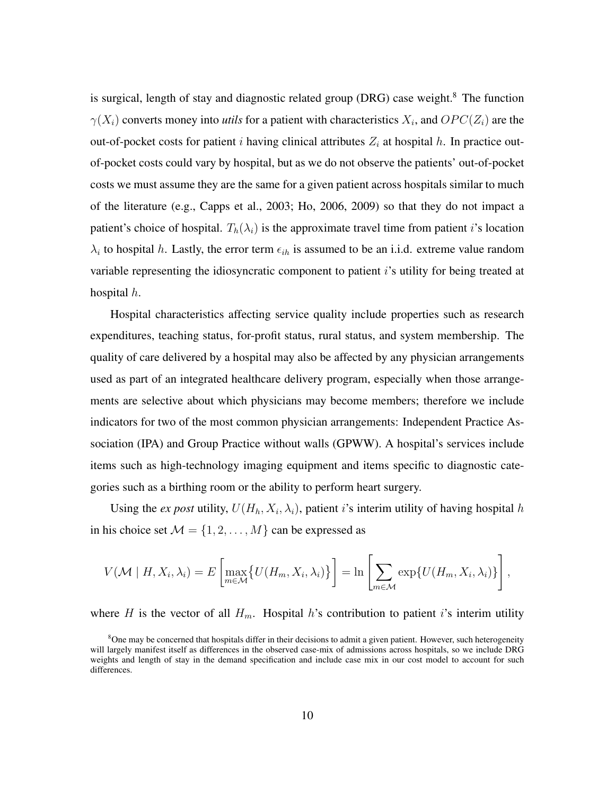is surgical, length of stay and diagnostic related group (DRG) case weight.<sup>8</sup> The function  $\gamma(X_i)$  converts money into *utils* for a patient with characteristics  $X_i$ , and  $OPC(Z_i)$  are the out-of-pocket costs for patient i having clinical attributes  $Z_i$  at hospital h. In practice outof-pocket costs could vary by hospital, but as we do not observe the patients' out-of-pocket costs we must assume they are the same for a given patient across hospitals similar to much of the literature (e.g., Capps et al., 2003; Ho, 2006, 2009) so that they do not impact a patient's choice of hospital.  $T_h(\lambda_i)$  is the approximate travel time from patient i's location  $\lambda_i$  to hospital h. Lastly, the error term  $\epsilon_{ih}$  is assumed to be an i.i.d. extreme value random variable representing the idiosyncratic component to patient  $i$ 's utility for being treated at hospital  $h$ .

Hospital characteristics affecting service quality include properties such as research expenditures, teaching status, for-profit status, rural status, and system membership. The quality of care delivered by a hospital may also be affected by any physician arrangements used as part of an integrated healthcare delivery program, especially when those arrangements are selective about which physicians may become members; therefore we include indicators for two of the most common physician arrangements: Independent Practice Association (IPA) and Group Practice without walls (GPWW). A hospital's services include items such as high-technology imaging equipment and items specific to diagnostic categories such as a birthing room or the ability to perform heart surgery.

Using the *ex post* utility,  $U(H_h, X_i, \lambda_i)$ , patient *i*'s interim utility of having hospital h in his choice set  $M = \{1, 2, ..., M\}$  can be expressed as

$$
V(\mathcal{M} \mid H, X_i, \lambda_i) = E\left[\max_{m \in \mathcal{M}} \{ U(H_m, X_i, \lambda_i) \} \right] = \ln \left[ \sum_{m \in \mathcal{M}} \exp\{ U(H_m, X_i, \lambda_i) \} \right],
$$

where H is the vector of all  $H_m$ . Hospital h's contribution to patient i's interim utility

<sup>&</sup>lt;sup>8</sup>One may be concerned that hospitals differ in their decisions to admit a given patient. However, such heterogeneity will largely manifest itself as differences in the observed case-mix of admissions across hospitals, so we include DRG weights and length of stay in the demand specification and include case mix in our cost model to account for such differences.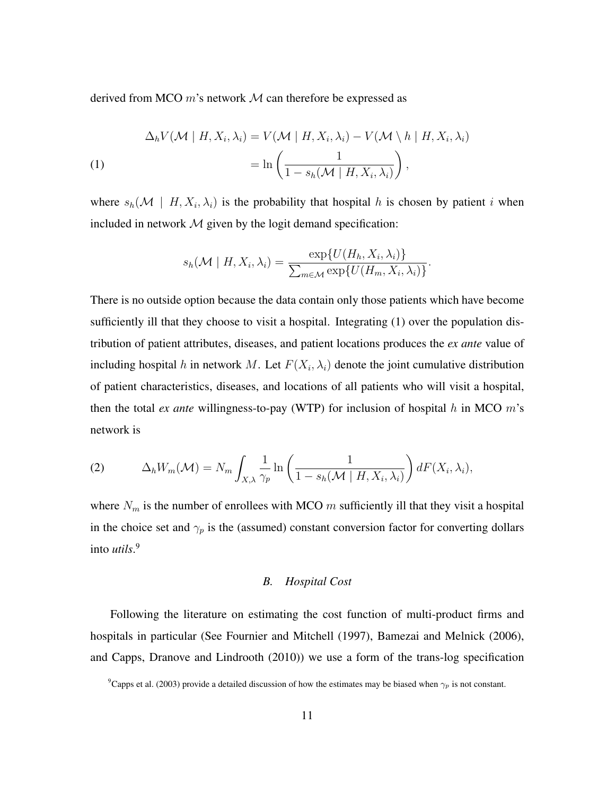derived from MCO  $m$ 's network  $M$  can therefore be expressed as

$$
\Delta_h V(\mathcal{M} \mid H, X_i, \lambda_i) = V(\mathcal{M} \mid H, X_i, \lambda_i) - V(\mathcal{M} \setminus h \mid H, X_i, \lambda_i)
$$
\n
$$
= \ln \left( \frac{1}{1 - s_h(\mathcal{M} \mid H, X_i, \lambda_i)} \right),
$$

where  $s_h(\mathcal{M} \mid H, X_i, \lambda_i)$  is the probability that hospital h is chosen by patient i when included in network  $M$  given by the logit demand specification:

$$
s_h(\mathcal{M} \mid H, X_i, \lambda_i) = \frac{\exp\{U(H_h, X_i, \lambda_i)\}}{\sum_{m \in \mathcal{M}} \exp\{U(H_m, X_i, \lambda_i)\}}.
$$

There is no outside option because the data contain only those patients which have become sufficiently ill that they choose to visit a hospital. Integrating (1) over the population distribution of patient attributes, diseases, and patient locations produces the *ex ante* value of including hospital h in network M. Let  $F(X_i, \lambda_i)$  denote the joint cumulative distribution of patient characteristics, diseases, and locations of all patients who will visit a hospital, then the total *ex ante* willingness-to-pay (WTP) for inclusion of hospital  $h$  in MCO  $m$ 's network is

(2) 
$$
\Delta_h W_m(\mathcal{M}) = N_m \int_{X,\lambda} \frac{1}{\gamma_p} \ln \left( \frac{1}{1 - s_h(\mathcal{M} \mid H, X_i, \lambda_i)} \right) dF(X_i, \lambda_i),
$$

where  $N_m$  is the number of enrollees with MCO m sufficiently ill that they visit a hospital in the choice set and  $\gamma_p$  is the (assumed) constant conversion factor for converting dollars into *utils*. 9

#### *B. Hospital Cost*

Following the literature on estimating the cost function of multi-product firms and hospitals in particular (See Fournier and Mitchell (1997), Bamezai and Melnick (2006), and Capps, Dranove and Lindrooth (2010)) we use a form of the trans-log specification

<sup>&</sup>lt;sup>9</sup>Capps et al. (2003) provide a detailed discussion of how the estimates may be biased when  $\gamma_p$  is not constant.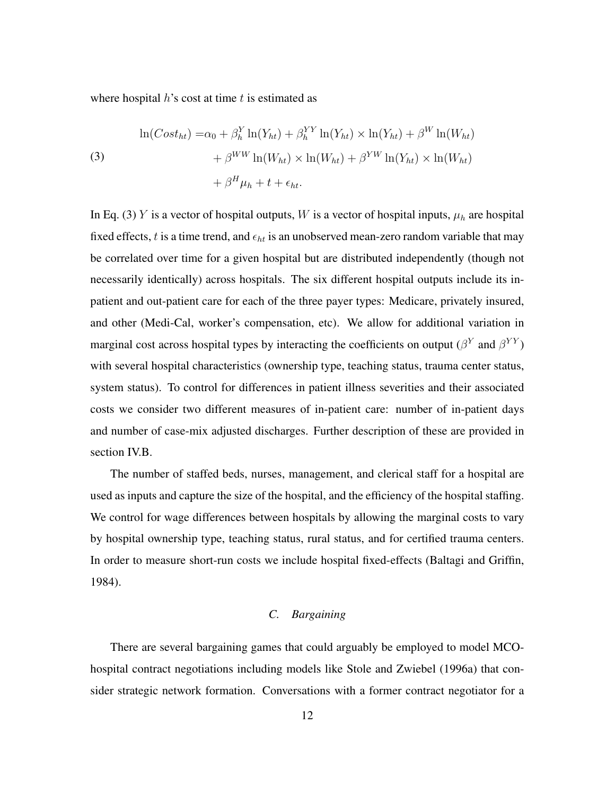where hospital  $h$ 's cost at time  $t$  is estimated as

(3)  
\n
$$
\ln(Cost_{ht}) = \alpha_0 + \beta_h^Y \ln(Y_{ht}) + \beta_h^{YY} \ln(Y_{ht}) \times \ln(Y_{ht}) + \beta^W \ln(W_{ht})
$$
\n
$$
+ \beta^{WW} \ln(W_{ht}) \times \ln(W_{ht}) + \beta^{YW} \ln(Y_{ht}) \times \ln(W_{ht})
$$
\n
$$
+ \beta^H \mu_h + t + \epsilon_{ht}.
$$

In Eq. (3) Y is a vector of hospital outputs, W is a vector of hospital inputs,  $\mu_h$  are hospital fixed effects, t is a time trend, and  $\epsilon_{ht}$  is an unobserved mean-zero random variable that may be correlated over time for a given hospital but are distributed independently (though not necessarily identically) across hospitals. The six different hospital outputs include its inpatient and out-patient care for each of the three payer types: Medicare, privately insured, and other (Medi-Cal, worker's compensation, etc). We allow for additional variation in marginal cost across hospital types by interacting the coefficients on output ( $\beta^{Y}$  and  $\beta^{YY}$ ) with several hospital characteristics (ownership type, teaching status, trauma center status, system status). To control for differences in patient illness severities and their associated costs we consider two different measures of in-patient care: number of in-patient days and number of case-mix adjusted discharges. Further description of these are provided in section IV.B.

The number of staffed beds, nurses, management, and clerical staff for a hospital are used as inputs and capture the size of the hospital, and the efficiency of the hospital staffing. We control for wage differences between hospitals by allowing the marginal costs to vary by hospital ownership type, teaching status, rural status, and for certified trauma centers. In order to measure short-run costs we include hospital fixed-effects (Baltagi and Griffin, 1984).

## *C. Bargaining*

There are several bargaining games that could arguably be employed to model MCOhospital contract negotiations including models like Stole and Zwiebel (1996a) that consider strategic network formation. Conversations with a former contract negotiator for a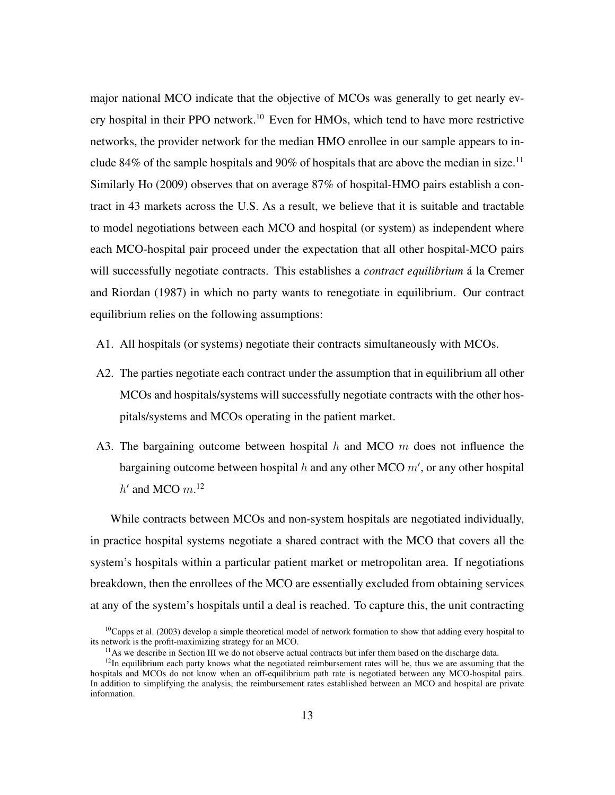major national MCO indicate that the objective of MCOs was generally to get nearly every hospital in their PPO network.<sup>10</sup> Even for HMOs, which tend to have more restrictive networks, the provider network for the median HMO enrollee in our sample appears to include 84% of the sample hospitals and 90% of hospitals that are above the median in size.<sup>11</sup> Similarly Ho (2009) observes that on average 87% of hospital-HMO pairs establish a contract in 43 markets across the U.S. As a result, we believe that it is suitable and tractable to model negotiations between each MCO and hospital (or system) as independent where each MCO-hospital pair proceed under the expectation that all other hospital-MCO pairs will successfully negotiate contracts. This establishes a *contract equilibrium* a la Cremer and Riordan (1987) in which no party wants to renegotiate in equilibrium. Our contract equilibrium relies on the following assumptions:

- A1. All hospitals (or systems) negotiate their contracts simultaneously with MCOs.
- A2. The parties negotiate each contract under the assumption that in equilibrium all other MCOs and hospitals/systems will successfully negotiate contracts with the other hospitals/systems and MCOs operating in the patient market.
- A3. The bargaining outcome between hospital  $h$  and MCO  $m$  does not influence the bargaining outcome between hospital  $h$  and any other MCO  $m'$ , or any other hospital  $h'$  and MCO  $m$ <sup>12</sup>

While contracts between MCOs and non-system hospitals are negotiated individually, in practice hospital systems negotiate a shared contract with the MCO that covers all the system's hospitals within a particular patient market or metropolitan area. If negotiations breakdown, then the enrollees of the MCO are essentially excluded from obtaining services at any of the system's hospitals until a deal is reached. To capture this, the unit contracting

 $10$ Capps et al. (2003) develop a simple theoretical model of network formation to show that adding every hospital to its network is the profit-maximizing strategy for an MCO.

 $11$ As we describe in Section III we do not observe actual contracts but infer them based on the discharge data.

 $12$ In equilibrium each party knows what the negotiated reimbursement rates will be, thus we are assuming that the hospitals and MCOs do not know when an off-equilibrium path rate is negotiated between any MCO-hospital pairs. In addition to simplifying the analysis, the reimbursement rates established between an MCO and hospital are private information.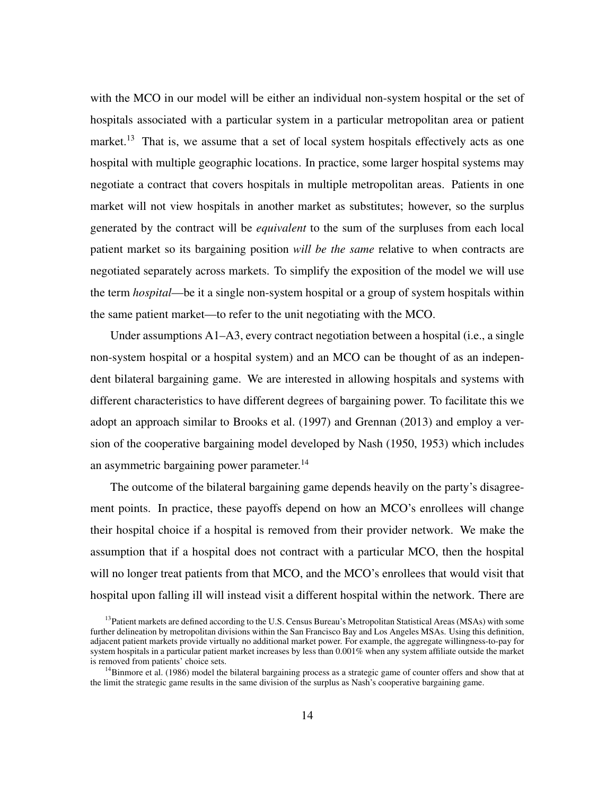with the MCO in our model will be either an individual non-system hospital or the set of hospitals associated with a particular system in a particular metropolitan area or patient market.<sup>13</sup> That is, we assume that a set of local system hospitals effectively acts as one hospital with multiple geographic locations. In practice, some larger hospital systems may negotiate a contract that covers hospitals in multiple metropolitan areas. Patients in one market will not view hospitals in another market as substitutes; however, so the surplus generated by the contract will be *equivalent* to the sum of the surpluses from each local patient market so its bargaining position *will be the same* relative to when contracts are negotiated separately across markets. To simplify the exposition of the model we will use the term *hospital*—be it a single non-system hospital or a group of system hospitals within the same patient market—to refer to the unit negotiating with the MCO.

Under assumptions A1–A3, every contract negotiation between a hospital (i.e., a single non-system hospital or a hospital system) and an MCO can be thought of as an independent bilateral bargaining game. We are interested in allowing hospitals and systems with different characteristics to have different degrees of bargaining power. To facilitate this we adopt an approach similar to Brooks et al. (1997) and Grennan (2013) and employ a version of the cooperative bargaining model developed by Nash (1950, 1953) which includes an asymmetric bargaining power parameter.<sup>14</sup>

The outcome of the bilateral bargaining game depends heavily on the party's disagreement points. In practice, these payoffs depend on how an MCO's enrollees will change their hospital choice if a hospital is removed from their provider network. We make the assumption that if a hospital does not contract with a particular MCO, then the hospital will no longer treat patients from that MCO, and the MCO's enrollees that would visit that hospital upon falling ill will instead visit a different hospital within the network. There are

 $<sup>13</sup>$ Patient markets are defined according to the U.S. Census Bureau's Metropolitan Statistical Areas (MSAs) with some</sup> further delineation by metropolitan divisions within the San Francisco Bay and Los Angeles MSAs. Using this definition, adjacent patient markets provide virtually no additional market power. For example, the aggregate willingness-to-pay for system hospitals in a particular patient market increases by less than 0.001% when any system affiliate outside the market is removed from patients' choice sets.

 $14$ Binmore et al. (1986) model the bilateral bargaining process as a strategic game of counter offers and show that at the limit the strategic game results in the same division of the surplus as Nash's cooperative bargaining game.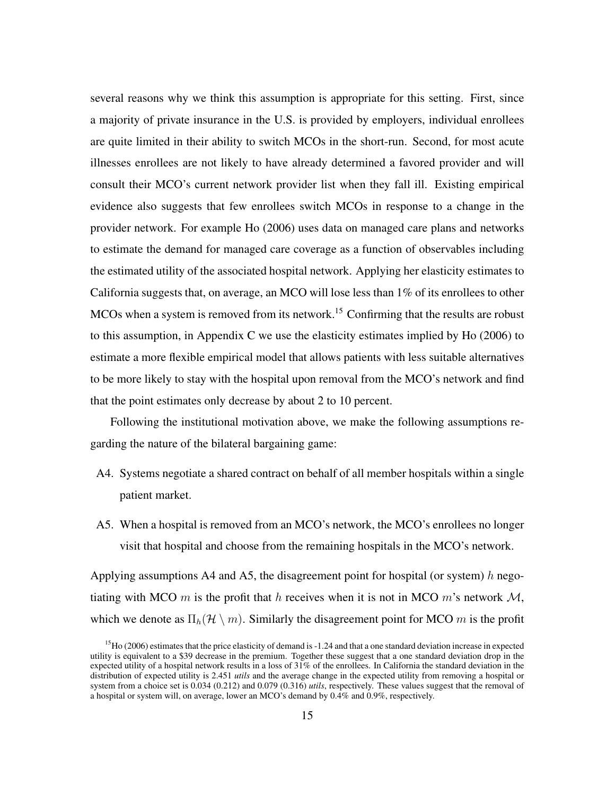several reasons why we think this assumption is appropriate for this setting. First, since a majority of private insurance in the U.S. is provided by employers, individual enrollees are quite limited in their ability to switch MCOs in the short-run. Second, for most acute illnesses enrollees are not likely to have already determined a favored provider and will consult their MCO's current network provider list when they fall ill. Existing empirical evidence also suggests that few enrollees switch MCOs in response to a change in the provider network. For example Ho (2006) uses data on managed care plans and networks to estimate the demand for managed care coverage as a function of observables including the estimated utility of the associated hospital network. Applying her elasticity estimates to California suggests that, on average, an MCO will lose less than 1% of its enrollees to other MCOs when a system is removed from its network.<sup>15</sup> Confirming that the results are robust to this assumption, in Appendix C we use the elasticity estimates implied by Ho (2006) to estimate a more flexible empirical model that allows patients with less suitable alternatives to be more likely to stay with the hospital upon removal from the MCO's network and find that the point estimates only decrease by about 2 to 10 percent.

Following the institutional motivation above, we make the following assumptions regarding the nature of the bilateral bargaining game:

- A4. Systems negotiate a shared contract on behalf of all member hospitals within a single patient market.
- A5. When a hospital is removed from an MCO's network, the MCO's enrollees no longer visit that hospital and choose from the remaining hospitals in the MCO's network.

Applying assumptions A4 and A5, the disagreement point for hospital (or system) h negotiating with MCO m is the profit that h receives when it is not in MCO m's network  $\mathcal{M}$ , which we denote as  $\Pi_h(\mathcal{H} \setminus m)$ . Similarly the disagreement point for MCO m is the profit

 $15$  Ho (2006) estimates that the price elasticity of demand is  $-1.24$  and that a one standard deviation increase in expected utility is equivalent to a \$39 decrease in the premium. Together these suggest that a one standard deviation drop in the expected utility of a hospital network results in a loss of  $31\%$  of the enrollees. In California the standard deviation in the distribution of expected utility is 2.451 *utils* and the average change in the expected utility from removing a hospital or system from a choice set is 0.034 (0.212) and 0.079 (0.316) *utils*, respectively. These values suggest that the removal of a hospital or system will, on average, lower an MCO's demand by 0.4% and 0.9%, respectively.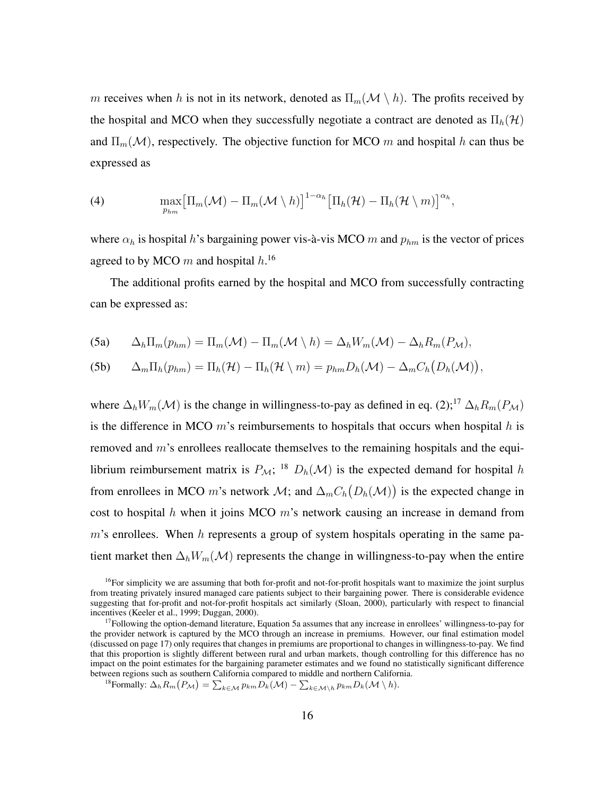m receives when h is not in its network, denoted as  $\Pi_m(\mathcal{M} \setminus h)$ . The profits received by the hospital and MCO when they successfully negotiate a contract are denoted as  $\Pi_h(\mathcal{H})$ and  $\Pi_m(\mathcal{M})$ , respectively. The objective function for MCO m and hospital h can thus be expressed as

(4) 
$$
\max_{p_{hm}} \big[\Pi_m(\mathcal{M}) - \Pi_m(\mathcal{M} \setminus h)\big]^{1-\alpha_h} \big[\Pi_h(\mathcal{H}) - \Pi_h(\mathcal{H} \setminus m)\big]^{\alpha_h},
$$

where  $\alpha_h$  is hospital h's bargaining power vis-à-vis MCO m and  $p_{hm}$  is the vector of prices agreed to by MCO  $m$  and hospital  $h$ .<sup>16</sup>

The additional profits earned by the hospital and MCO from successfully contracting can be expressed as:

(5a) 
$$
\Delta_h \Pi_m(p_{hm}) = \Pi_m(\mathcal{M}) - \Pi_m(\mathcal{M} \setminus h) = \Delta_h W_m(\mathcal{M}) - \Delta_h R_m(P_{\mathcal{M}}),
$$

(5b) 
$$
\Delta_m \Pi_h(p_{hm}) = \Pi_h(\mathcal{H}) - \Pi_h(\mathcal{H} \setminus m) = p_{hm} D_h(\mathcal{M}) - \Delta_m C_h(D_h(\mathcal{M})),
$$

where  $\Delta_h W_m(\mathcal{M})$  is the change in willingness-to-pay as defined in eq. (2);<sup>17</sup>  $\Delta_h R_m(P_{\mathcal{M}})$ is the difference in MCO  $m$ 's reimbursements to hospitals that occurs when hospital h is removed and  $m$ 's enrollees reallocate themselves to the remaining hospitals and the equilibrium reimbursement matrix is  $P_{\mathcal{M}}$ ; <sup>18</sup>  $D_h(\mathcal{M})$  is the expected demand for hospital h from enrollees in MCO m's network  $\mathcal{M}$ ; and  $\Delta_m C_h(D_h(\mathcal{M}))$  is the expected change in cost to hospital h when it joins MCO  $m$ 's network causing an increase in demand from  $m$ 's enrollees. When h represents a group of system hospitals operating in the same patient market then  $\Delta_h W_m(\mathcal{M})$  represents the change in willingness-to-pay when the entire

<sup>18</sup>Formally:  $\Delta_h R_m(P_M) = \sum_{k \in \mathcal{M}} p_{km} D_k(M) - \sum_{k \in \mathcal{M} \setminus h} p_{km} D_k(M \setminus h)$ .

 $<sup>16</sup>$ For simplicity we are assuming that both for-profit and not-for-profit hospitals want to maximize the joint surplus</sup> from treating privately insured managed care patients subject to their bargaining power. There is considerable evidence suggesting that for-profit and not-for-profit hospitals act similarly (Sloan, 2000), particularly with respect to financial incentives (Keeler et al., 1999; Duggan, 2000).

<sup>&</sup>lt;sup>17</sup>Following the option-demand literature, Equation 5a assumes that any increase in enrollees' willingness-to-pay for the provider network is captured by the MCO through an increase in premiums. However, our final estimation model (discussed on page 17) only requires that changes in premiums are proportional to changes in willingness-to-pay. We find that this proportion is slightly different between rural and urban markets, though controlling for this difference has no impact on the point estimates for the bargaining parameter estimates and we found no statistically significant difference between regions such as southern California compared to middle and northern California.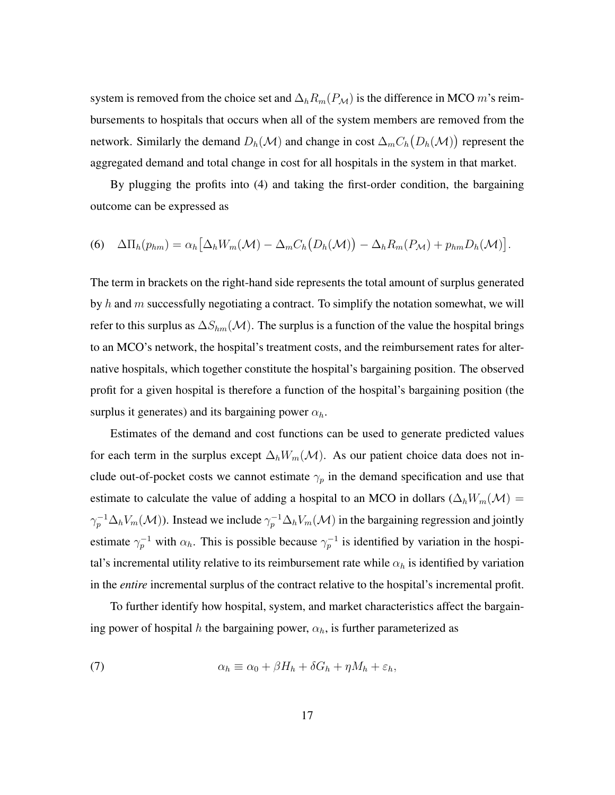system is removed from the choice set and  $\Delta_h R_m(P_M)$  is the difference in MCO m's reimbursements to hospitals that occurs when all of the system members are removed from the network. Similarly the demand  $D_h(\mathcal{M})$  and change in cost  $\Delta_m C_h(D_h(\mathcal{M}))$  represent the aggregated demand and total change in cost for all hospitals in the system in that market.

By plugging the profits into (4) and taking the first-order condition, the bargaining outcome can be expressed as

$$
(6) \quad \Delta\Pi_h(p_{hm}) = \alpha_h \big[\Delta_h W_m(\mathcal{M}) - \Delta_m C_h \big(D_h(\mathcal{M})\big) - \Delta_h R_m (P_{\mathcal{M}}) + p_{hm} D_h(\mathcal{M})\big].
$$

The term in brackets on the right-hand side represents the total amount of surplus generated by h and  $m$  successfully negotiating a contract. To simplify the notation somewhat, we will refer to this surplus as  $\Delta S_{hm}(\mathcal{M})$ . The surplus is a function of the value the hospital brings to an MCO's network, the hospital's treatment costs, and the reimbursement rates for alternative hospitals, which together constitute the hospital's bargaining position. The observed profit for a given hospital is therefore a function of the hospital's bargaining position (the surplus it generates) and its bargaining power  $\alpha_h$ .

Estimates of the demand and cost functions can be used to generate predicted values for each term in the surplus except  $\Delta_h W_m(\mathcal{M})$ . As our patient choice data does not include out-of-pocket costs we cannot estimate  $\gamma_p$  in the demand specification and use that estimate to calculate the value of adding a hospital to an MCO in dollars ( $\Delta_h W_m(\mathcal{M}) =$  $\gamma_p^{-1}\Delta_h V_m(\mathcal{M})$ ). Instead we include  $\gamma_p^{-1}\Delta_h V_m(\mathcal{M})$  in the bargaining regression and jointly estimate  $\gamma_p^{-1}$  with  $\alpha_h$ . This is possible because  $\gamma_p^{-1}$  is identified by variation in the hospital's incremental utility relative to its reimbursement rate while  $\alpha_h$  is identified by variation in the *entire* incremental surplus of the contract relative to the hospital's incremental profit.

To further identify how hospital, system, and market characteristics affect the bargaining power of hospital h the bargaining power,  $\alpha_h$ , is further parameterized as

(7) 
$$
\alpha_h \equiv \alpha_0 + \beta H_h + \delta G_h + \eta M_h + \varepsilon_h,
$$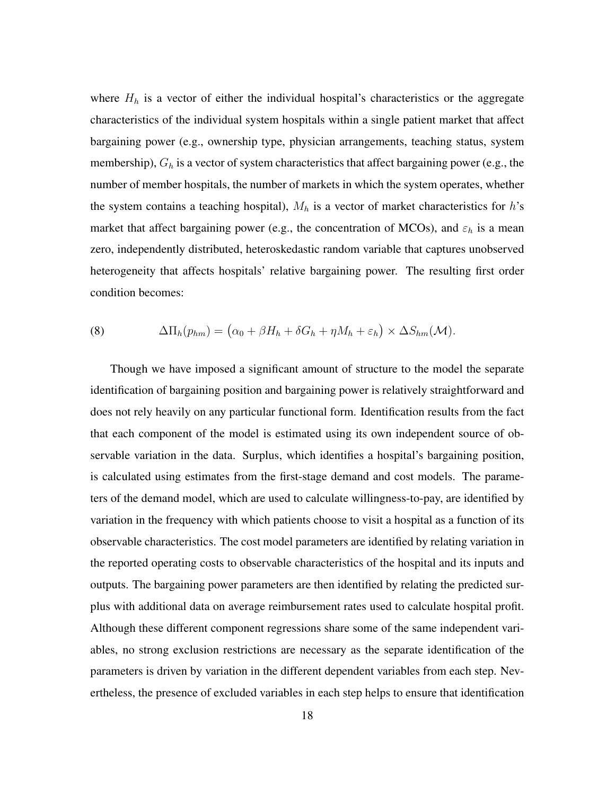where  $H<sub>h</sub>$  is a vector of either the individual hospital's characteristics or the aggregate characteristics of the individual system hospitals within a single patient market that affect bargaining power (e.g., ownership type, physician arrangements, teaching status, system membership),  $G_h$  is a vector of system characteristics that affect bargaining power (e.g., the number of member hospitals, the number of markets in which the system operates, whether the system contains a teaching hospital),  $M_h$  is a vector of market characteristics for h's market that affect bargaining power (e.g., the concentration of MCOs), and  $\varepsilon_h$  is a mean zero, independently distributed, heteroskedastic random variable that captures unobserved heterogeneity that affects hospitals' relative bargaining power. The resulting first order condition becomes:

(8) 
$$
\Delta \Pi_h(p_{hm}) = (\alpha_0 + \beta H_h + \delta G_h + \eta M_h + \varepsilon_h) \times \Delta S_{hm}(\mathcal{M}).
$$

Though we have imposed a significant amount of structure to the model the separate identification of bargaining position and bargaining power is relatively straightforward and does not rely heavily on any particular functional form. Identification results from the fact that each component of the model is estimated using its own independent source of observable variation in the data. Surplus, which identifies a hospital's bargaining position, is calculated using estimates from the first-stage demand and cost models. The parameters of the demand model, which are used to calculate willingness-to-pay, are identified by variation in the frequency with which patients choose to visit a hospital as a function of its observable characteristics. The cost model parameters are identified by relating variation in the reported operating costs to observable characteristics of the hospital and its inputs and outputs. The bargaining power parameters are then identified by relating the predicted surplus with additional data on average reimbursement rates used to calculate hospital profit. Although these different component regressions share some of the same independent variables, no strong exclusion restrictions are necessary as the separate identification of the parameters is driven by variation in the different dependent variables from each step. Nevertheless, the presence of excluded variables in each step helps to ensure that identification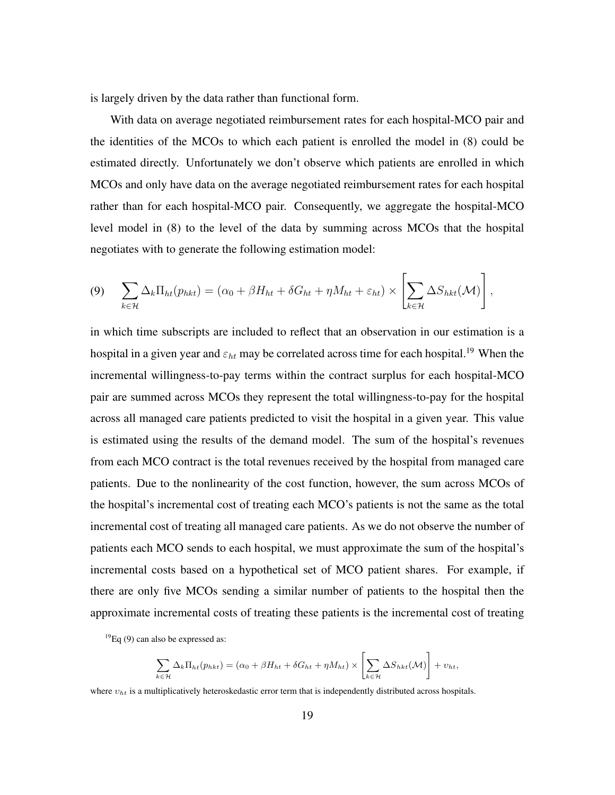is largely driven by the data rather than functional form.

With data on average negotiated reimbursement rates for each hospital-MCO pair and the identities of the MCOs to which each patient is enrolled the model in (8) could be estimated directly. Unfortunately we don't observe which patients are enrolled in which MCOs and only have data on the average negotiated reimbursement rates for each hospital rather than for each hospital-MCO pair. Consequently, we aggregate the hospital-MCO level model in (8) to the level of the data by summing across MCOs that the hospital negotiates with to generate the following estimation model:

$$
(9) \quad \sum_{k\in\mathcal{H}}\Delta_k\Pi_{ht}(p_{hkt})=(\alpha_0+\beta H_{ht}+\delta G_{ht}+\eta M_{ht}+\varepsilon_{ht})\times\left[\sum_{k\in\mathcal{H}}\Delta S_{hkt}(\mathcal{M})\right],
$$

in which time subscripts are included to reflect that an observation in our estimation is a hospital in a given year and  $\varepsilon_{ht}$  may be correlated across time for each hospital.<sup>19</sup> When the incremental willingness-to-pay terms within the contract surplus for each hospital-MCO pair are summed across MCOs they represent the total willingness-to-pay for the hospital across all managed care patients predicted to visit the hospital in a given year. This value is estimated using the results of the demand model. The sum of the hospital's revenues from each MCO contract is the total revenues received by the hospital from managed care patients. Due to the nonlinearity of the cost function, however, the sum across MCOs of the hospital's incremental cost of treating each MCO's patients is not the same as the total incremental cost of treating all managed care patients. As we do not observe the number of patients each MCO sends to each hospital, we must approximate the sum of the hospital's incremental costs based on a hypothetical set of MCO patient shares. For example, if there are only five MCOs sending a similar number of patients to the hospital then the approximate incremental costs of treating these patients is the incremental cost of treating

 $^{19}$ Eq (9) can also be expressed as:

$$
\sum_{k\in\mathcal{H}}\Delta_k\Pi_{ht}(p_{hkt}) = (\alpha_0 + \beta H_{ht} + \delta G_{ht} + \eta M_{ht}) \times \left[\sum_{k\in\mathcal{H}}\Delta S_{hkt}(\mathcal{M})\right] + v_{ht},
$$

where  $v_{ht}$  is a multiplicatively heteroskedastic error term that is independently distributed across hospitals.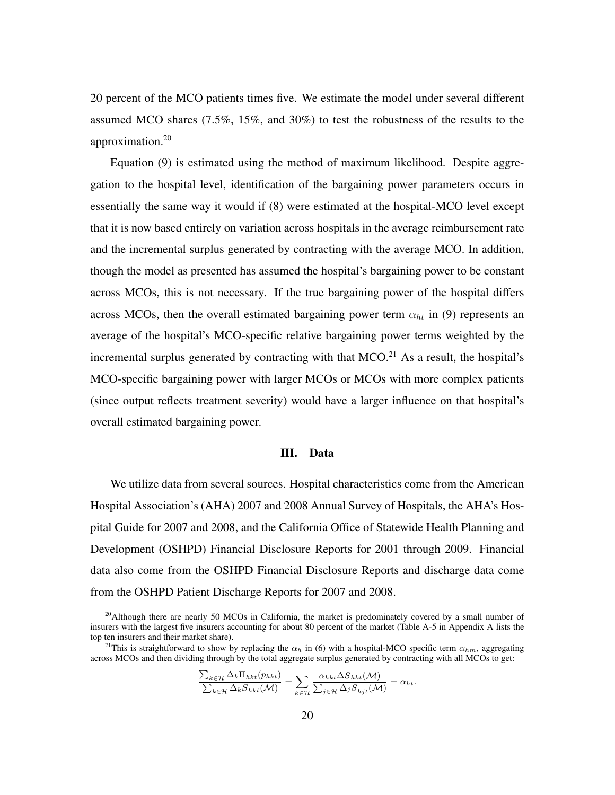20 percent of the MCO patients times five. We estimate the model under several different assumed MCO shares (7.5%, 15%, and 30%) to test the robustness of the results to the approximation.<sup>20</sup>

Equation (9) is estimated using the method of maximum likelihood. Despite aggregation to the hospital level, identification of the bargaining power parameters occurs in essentially the same way it would if (8) were estimated at the hospital-MCO level except that it is now based entirely on variation across hospitals in the average reimbursement rate and the incremental surplus generated by contracting with the average MCO. In addition, though the model as presented has assumed the hospital's bargaining power to be constant across MCOs, this is not necessary. If the true bargaining power of the hospital differs across MCOs, then the overall estimated bargaining power term  $\alpha_{ht}$  in (9) represents an average of the hospital's MCO-specific relative bargaining power terms weighted by the incremental surplus generated by contracting with that  $MCO<sup>21</sup>$  As a result, the hospital's MCO-specific bargaining power with larger MCOs or MCOs with more complex patients (since output reflects treatment severity) would have a larger influence on that hospital's overall estimated bargaining power.

#### III. Data

We utilize data from several sources. Hospital characteristics come from the American Hospital Association's (AHA) 2007 and 2008 Annual Survey of Hospitals, the AHA's Hospital Guide for 2007 and 2008, and the California Office of Statewide Health Planning and Development (OSHPD) Financial Disclosure Reports for 2001 through 2009. Financial data also come from the OSHPD Financial Disclosure Reports and discharge data come from the OSHPD Patient Discharge Reports for 2007 and 2008.

$$
\frac{\sum_{k\in\mathcal{H}}\Delta_k\Pi_{hkt}(p_{hkt})}{\sum_{k\in\mathcal{H}}\Delta_k S_{hkt}(\mathcal{M})} = \sum_{k\in\mathcal{H}}\frac{\alpha_{hkt}\Delta S_{hkt}(\mathcal{M})}{\sum_{j\in\mathcal{H}}\Delta_j S_{hjt}(\mathcal{M})} = \alpha_{ht}.
$$

<sup>&</sup>lt;sup>20</sup>Although there are nearly 50 MCOs in California, the market is predominately covered by a small number of insurers with the largest five insurers accounting for about 80 percent of the market (Table A-5 in Appendix A lists the top ten insurers and their market share).

<sup>&</sup>lt;sup>21</sup>This is straightforward to show by replacing the  $\alpha_h$  in (6) with a hospital-MCO specific term  $\alpha_{hm}$ , aggregating across MCOs and then dividing through by the total aggregate surplus generated by contracting with all MCOs to get: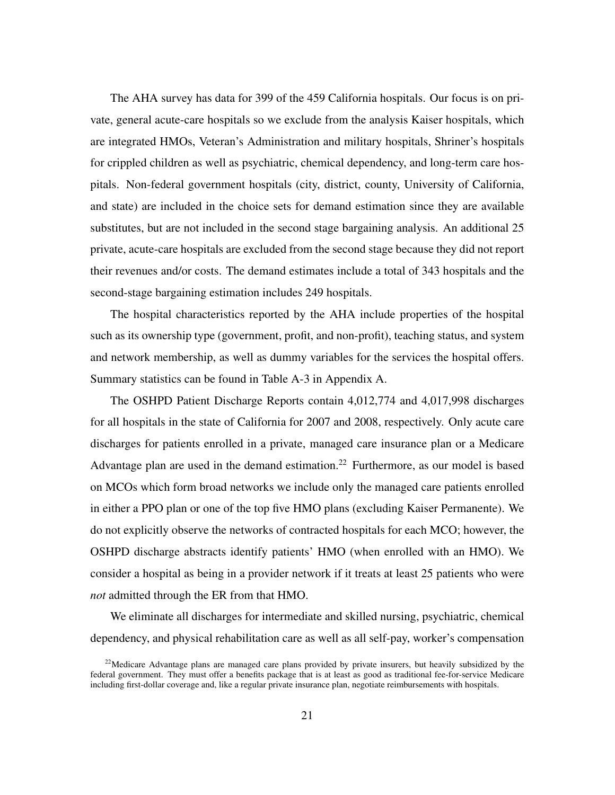The AHA survey has data for 399 of the 459 California hospitals. Our focus is on private, general acute-care hospitals so we exclude from the analysis Kaiser hospitals, which are integrated HMOs, Veteran's Administration and military hospitals, Shriner's hospitals for crippled children as well as psychiatric, chemical dependency, and long-term care hospitals. Non-federal government hospitals (city, district, county, University of California, and state) are included in the choice sets for demand estimation since they are available substitutes, but are not included in the second stage bargaining analysis. An additional 25 private, acute-care hospitals are excluded from the second stage because they did not report their revenues and/or costs. The demand estimates include a total of 343 hospitals and the second-stage bargaining estimation includes 249 hospitals.

The hospital characteristics reported by the AHA include properties of the hospital such as its ownership type (government, profit, and non-profit), teaching status, and system and network membership, as well as dummy variables for the services the hospital offers. Summary statistics can be found in Table A-3 in Appendix A.

The OSHPD Patient Discharge Reports contain 4,012,774 and 4,017,998 discharges for all hospitals in the state of California for 2007 and 2008, respectively. Only acute care discharges for patients enrolled in a private, managed care insurance plan or a Medicare Advantage plan are used in the demand estimation.<sup>22</sup> Furthermore, as our model is based on MCOs which form broad networks we include only the managed care patients enrolled in either a PPO plan or one of the top five HMO plans (excluding Kaiser Permanente). We do not explicitly observe the networks of contracted hospitals for each MCO; however, the OSHPD discharge abstracts identify patients' HMO (when enrolled with an HMO). We consider a hospital as being in a provider network if it treats at least 25 patients who were *not* admitted through the ER from that HMO.

We eliminate all discharges for intermediate and skilled nursing, psychiatric, chemical dependency, and physical rehabilitation care as well as all self-pay, worker's compensation

 $22$ Medicare Advantage plans are managed care plans provided by private insurers, but heavily subsidized by the federal government. They must offer a benefits package that is at least as good as traditional fee-for-service Medicare including first-dollar coverage and, like a regular private insurance plan, negotiate reimbursements with hospitals.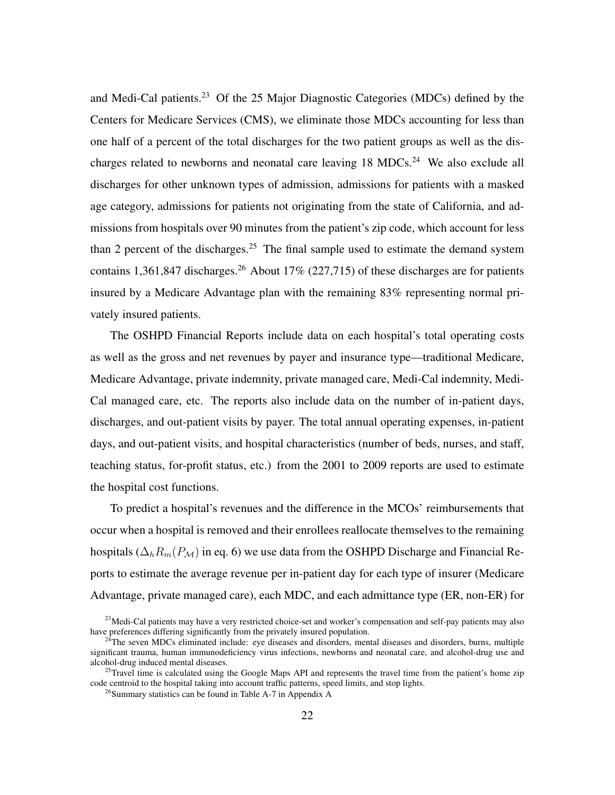and Medi-Cal patients.<sup>23</sup> Of the 25 Major Diagnostic Categories (MDCs) defined by the Centers for Medicare Services (CMS), we eliminate those MDCs accounting for less than one half of a percent of the total discharges for the two patient groups as well as the discharges related to newborns and neonatal care leaving 18 MDCs.<sup>24</sup> We also exclude all discharges for other unknown types of admission, admissions for patients with a masked age category, admissions for patients not originating from the state of California, and admissions from hospitals over 90 minutes from the patient's zip code, which account for less than 2 percent of the discharges.<sup>25</sup> The final sample used to estimate the demand system contains 1,361,847 discharges.<sup>26</sup> About 17% (227,715) of these discharges are for patients insured by a Medicare Advantage plan with the remaining 83% representing normal privately insured patients.

The OSHPD Financial Reports include data on each hospital's total operating costs as well as the gross and net revenues by payer and insurance type—traditional Medicare, Medicare Advantage, private indemnity, private managed care, Medi-Cal indemnity, Medi-Cal managed care, etc. The reports also include data on the number of in-patient days, discharges, and out-patient visits by payer. The total annual operating expenses, in-patient days, and out-patient visits, and hospital characteristics (number of beds, nurses, and staff, teaching status, for-profit status, etc.) from the 2001 to 2009 reports are used to estimate the hospital cost functions.

To predict a hospital's revenues and the difference in the MCOs' reimbursements that occur when a hospital is removed and their enrollees reallocate themselves to the remaining hospitals ( $\Delta_h R_m(P_M)$  in eq. 6) we use data from the OSHPD Discharge and Financial Reports to estimate the average revenue per in-patient day for each type of insurer (Medicare Advantage, private managed care), each MDC, and each admittance type (ER, non-ER) for

 $^{23}$ Medi-Cal patients may have a very restricted choice-set and worker's compensation and self-pay patients may also have preferences differing significantly from the privately insured population.

<sup>&</sup>lt;sup>24</sup>The seven MDCs eliminated include: eye diseases and disorders, mental diseases and disorders, burns, multiple significant trauma, human immunodeficiency virus infections, newborns and neonatal care, and alcohol-drug use and alcohol-drug induced mental diseases.

<sup>&</sup>lt;sup>25</sup>Travel time is calculated using the Google Maps API and represents the travel time from the patient's home zip code centroid to the hospital taking into account traffic patterns, speed limits, and stop lights.

<sup>&</sup>lt;sup>26</sup>Summary statistics can be found in Table A-7 in Appendix A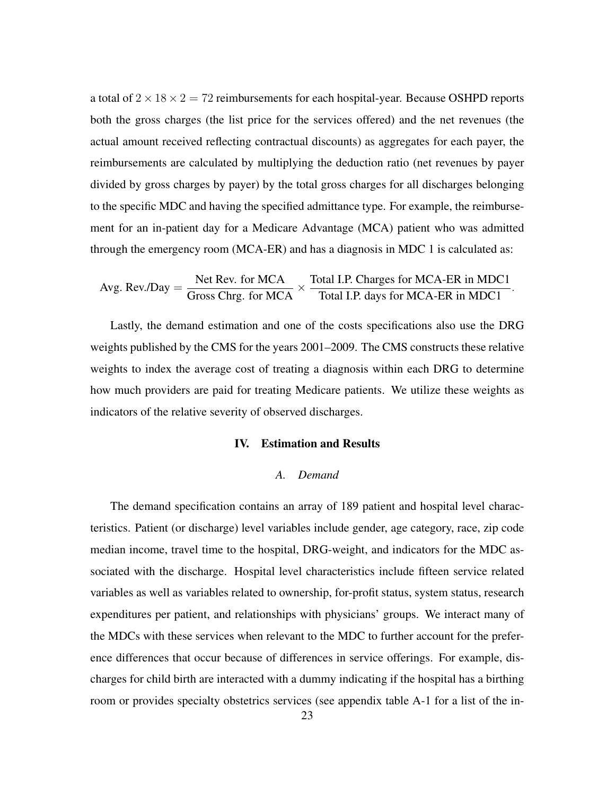a total of  $2 \times 18 \times 2 = 72$  reimbursements for each hospital-year. Because OSHPD reports both the gross charges (the list price for the services offered) and the net revenues (the actual amount received reflecting contractual discounts) as aggregates for each payer, the reimbursements are calculated by multiplying the deduction ratio (net revenues by payer divided by gross charges by payer) by the total gross charges for all discharges belonging to the specific MDC and having the specified admittance type. For example, the reimbursement for an in-patient day for a Medicare Advantage (MCA) patient who was admitted through the emergency room (MCA-ER) and has a diagnosis in MDC 1 is calculated as:

$$
Avg. Rev. / Day = \frac{Net Rev. \text{ for MCA}}{Gross Chrg. \text{ for MCA}} \times \frac{\text{Total I.P. Charges for MCA-ER in MDC1}}{\text{Total I.P. days for MCA-ER in MDC1}}.
$$

Lastly, the demand estimation and one of the costs specifications also use the DRG weights published by the CMS for the years 2001–2009. The CMS constructs these relative weights to index the average cost of treating a diagnosis within each DRG to determine how much providers are paid for treating Medicare patients. We utilize these weights as indicators of the relative severity of observed discharges.

#### IV. Estimation and Results

#### *A. Demand*

The demand specification contains an array of 189 patient and hospital level characteristics. Patient (or discharge) level variables include gender, age category, race, zip code median income, travel time to the hospital, DRG-weight, and indicators for the MDC associated with the discharge. Hospital level characteristics include fifteen service related variables as well as variables related to ownership, for-profit status, system status, research expenditures per patient, and relationships with physicians' groups. We interact many of the MDCs with these services when relevant to the MDC to further account for the preference differences that occur because of differences in service offerings. For example, discharges for child birth are interacted with a dummy indicating if the hospital has a birthing room or provides specialty obstetrics services (see appendix table A-1 for a list of the in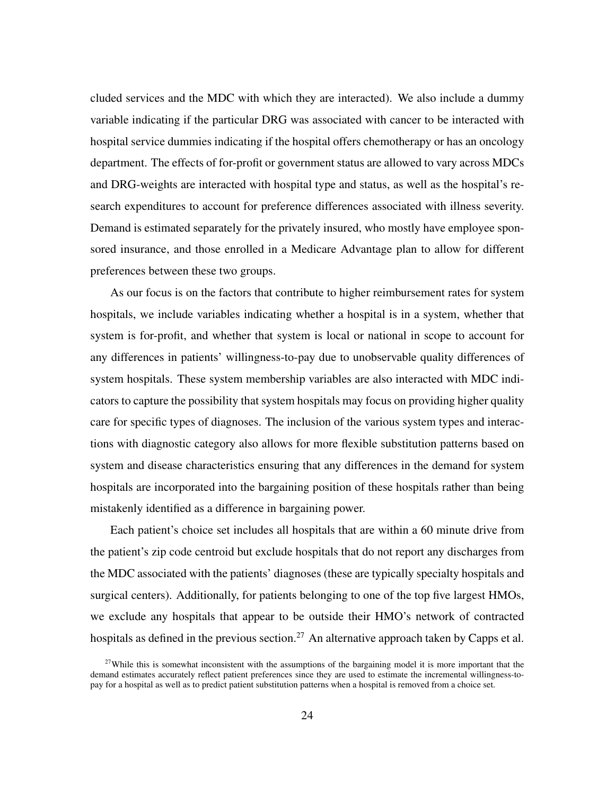cluded services and the MDC with which they are interacted). We also include a dummy variable indicating if the particular DRG was associated with cancer to be interacted with hospital service dummies indicating if the hospital offers chemotherapy or has an oncology department. The effects of for-profit or government status are allowed to vary across MDCs and DRG-weights are interacted with hospital type and status, as well as the hospital's research expenditures to account for preference differences associated with illness severity. Demand is estimated separately for the privately insured, who mostly have employee sponsored insurance, and those enrolled in a Medicare Advantage plan to allow for different preferences between these two groups.

As our focus is on the factors that contribute to higher reimbursement rates for system hospitals, we include variables indicating whether a hospital is in a system, whether that system is for-profit, and whether that system is local or national in scope to account for any differences in patients' willingness-to-pay due to unobservable quality differences of system hospitals. These system membership variables are also interacted with MDC indicators to capture the possibility that system hospitals may focus on providing higher quality care for specific types of diagnoses. The inclusion of the various system types and interactions with diagnostic category also allows for more flexible substitution patterns based on system and disease characteristics ensuring that any differences in the demand for system hospitals are incorporated into the bargaining position of these hospitals rather than being mistakenly identified as a difference in bargaining power.

Each patient's choice set includes all hospitals that are within a 60 minute drive from the patient's zip code centroid but exclude hospitals that do not report any discharges from the MDC associated with the patients' diagnoses (these are typically specialty hospitals and surgical centers). Additionally, for patients belonging to one of the top five largest HMOs, we exclude any hospitals that appear to be outside their HMO's network of contracted hospitals as defined in the previous section.<sup>27</sup> An alternative approach taken by Capps et al.

<sup>&</sup>lt;sup>27</sup>While this is somewhat inconsistent with the assumptions of the bargaining model it is more important that the demand estimates accurately reflect patient preferences since they are used to estimate the incremental willingness-topay for a hospital as well as to predict patient substitution patterns when a hospital is removed from a choice set.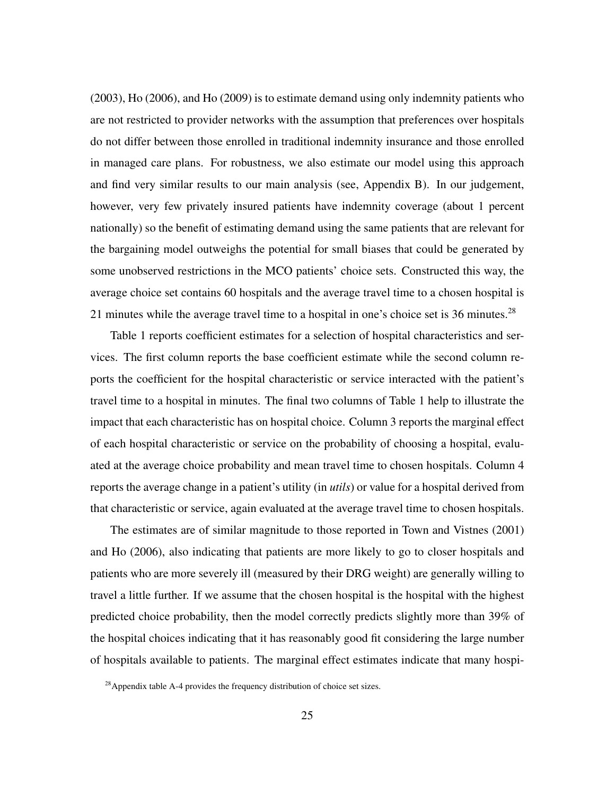(2003), Ho (2006), and Ho (2009) is to estimate demand using only indemnity patients who are not restricted to provider networks with the assumption that preferences over hospitals do not differ between those enrolled in traditional indemnity insurance and those enrolled in managed care plans. For robustness, we also estimate our model using this approach and find very similar results to our main analysis (see, Appendix B). In our judgement, however, very few privately insured patients have indemnity coverage (about 1 percent nationally) so the benefit of estimating demand using the same patients that are relevant for the bargaining model outweighs the potential for small biases that could be generated by some unobserved restrictions in the MCO patients' choice sets. Constructed this way, the average choice set contains 60 hospitals and the average travel time to a chosen hospital is 21 minutes while the average travel time to a hospital in one's choice set is 36 minutes.<sup>28</sup>

Table 1 reports coefficient estimates for a selection of hospital characteristics and services. The first column reports the base coefficient estimate while the second column reports the coefficient for the hospital characteristic or service interacted with the patient's travel time to a hospital in minutes. The final two columns of Table 1 help to illustrate the impact that each characteristic has on hospital choice. Column 3 reports the marginal effect of each hospital characteristic or service on the probability of choosing a hospital, evaluated at the average choice probability and mean travel time to chosen hospitals. Column 4 reports the average change in a patient's utility (in *utils*) or value for a hospital derived from that characteristic or service, again evaluated at the average travel time to chosen hospitals.

The estimates are of similar magnitude to those reported in Town and Vistnes (2001) and Ho (2006), also indicating that patients are more likely to go to closer hospitals and patients who are more severely ill (measured by their DRG weight) are generally willing to travel a little further. If we assume that the chosen hospital is the hospital with the highest predicted choice probability, then the model correctly predicts slightly more than 39% of the hospital choices indicating that it has reasonably good fit considering the large number of hospitals available to patients. The marginal effect estimates indicate that many hospi-

 $^{28}$ Appendix table A-4 provides the frequency distribution of choice set sizes.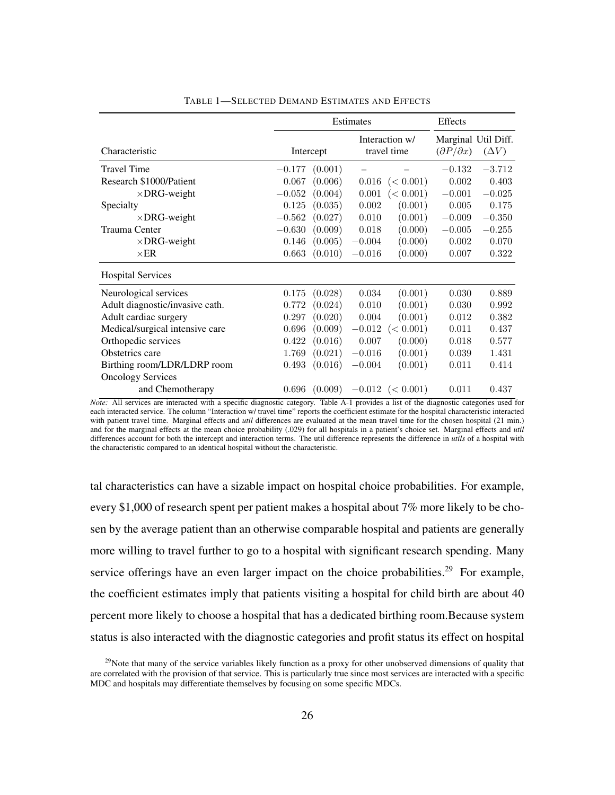|                                 |          | Estimates |          |                          |                           |                                     |
|---------------------------------|----------|-----------|----------|--------------------------|---------------------------|-------------------------------------|
| Characteristic                  |          | Intercept |          | Interaction w/           | $(\partial P/\partial x)$ | Marginal Util Diff.<br>$(\Delta V)$ |
|                                 |          |           |          | travel time              |                           |                                     |
| <b>Travel Time</b>              | $-0.177$ | (0.001)   |          |                          | $-0.132$                  | $-3.712$                            |
| Research \$1000/Patient         | 0.067    | (0.006)   | 0.016    | (< 0.001)                | 0.002                     | 0.403                               |
| $\times$ DRG-weight             | $-0.052$ | (0.004)   | 0.001    | (< 0.001)                | $-0.001$                  | $-0.025$                            |
| Specialty                       | 0.125    | (0.035)   | 0.002    | (0.001)                  | 0.005                     | 0.175                               |
| $\times$ DRG-weight             | $-0.562$ | (0.027)   | 0.010    | (0.001)                  | $-0.009$                  | $-0.350$                            |
| Trauma Center                   | $-0.630$ | (0.009)   | 0.018    | (0.000)                  | $-0.005$                  | $-0.255$                            |
| $\times$ DRG-weight             | 0.146    | (0.005)   | $-0.004$ | (0.000)                  | 0.002                     | 0.070                               |
| $\times$ ER                     | 0.663    | (0.010)   | $-0.016$ | (0.000)                  | 0.007                     | 0.322                               |
| <b>Hospital Services</b>        |          |           |          |                          |                           |                                     |
| Neurological services           | 0.175    | (0.028)   | 0.034    | (0.001)                  | 0.030                     | 0.889                               |
| Adult diagnostic/invasive cath. | 0.772    | (0.024)   | 0.010    | (0.001)                  | 0.030                     | 0.992                               |
| Adult cardiac surgery           | 0.297    | (0.020)   | 0.004    | (0.001)                  | 0.012                     | 0.382                               |
| Medical/surgical intensive care | 0.696    | (0.009)   | $-0.012$ | (< 0.001)                | 0.011                     | 0.437                               |
| Orthopedic services             | 0.422    | (0.016)   | 0.007    | (0.000)                  | 0.018                     | 0.577                               |
| Obstetrics care                 | 1.769    | (0.021)   | $-0.016$ | (0.001)                  | 0.039                     | 1.431                               |
| Birthing room/LDR/LDRP room     | 0.493    | (0.016)   | $-0.004$ | (0.001)                  | 0.011                     | 0.414                               |
| <b>Oncology Services</b>        |          |           |          |                          |                           |                                     |
| and Chemotherapy                | 0.696    | (0.009)   |          | $-0.012 \leqslant 0.001$ | 0.011                     | 0.437                               |

TABLE 1—SELECTED DEMAND ESTIMATES AND EFFECTS

tal characteristics can have a sizable impact on hospital choice probabilities. For example, every \$1,000 of research spent per patient makes a hospital about 7% more likely to be chosen by the average patient than an otherwise comparable hospital and patients are generally more willing to travel further to go to a hospital with significant research spending. Many service offerings have an even larger impact on the choice probabilities.<sup>29</sup> For example, the coefficient estimates imply that patients visiting a hospital for child birth are about 40 percent more likely to choose a hospital that has a dedicated birthing room.Because system status is also interacted with the diagnostic categories and profit status its effect on hospital

*Note:* All services are interacted with a specific diagnostic category. Table A-1 provides a list of the diagnostic categories used for each interacted service. The column "Interaction w/ travel time" reports the coefficient estimate for the hospital characteristic interacted with patient travel time. Marginal effects and *util* differences are evaluated at the mean travel time for the chosen hospital (21 min.) and for the marginal effects at the mean choice probability (.029) for all hospitals in a patient's choice set. Marginal effects and *util* differences account for both the intercept and interaction terms. The util difference represents the difference in *utils* of a hospital with the characteristic compared to an identical hospital without the characteristic.

 $29$ Note that many of the service variables likely function as a proxy for other unobserved dimensions of quality that are correlated with the provision of that service. This is particularly true since most services are interacted with a specific MDC and hospitals may differentiate themselves by focusing on some specific MDCs.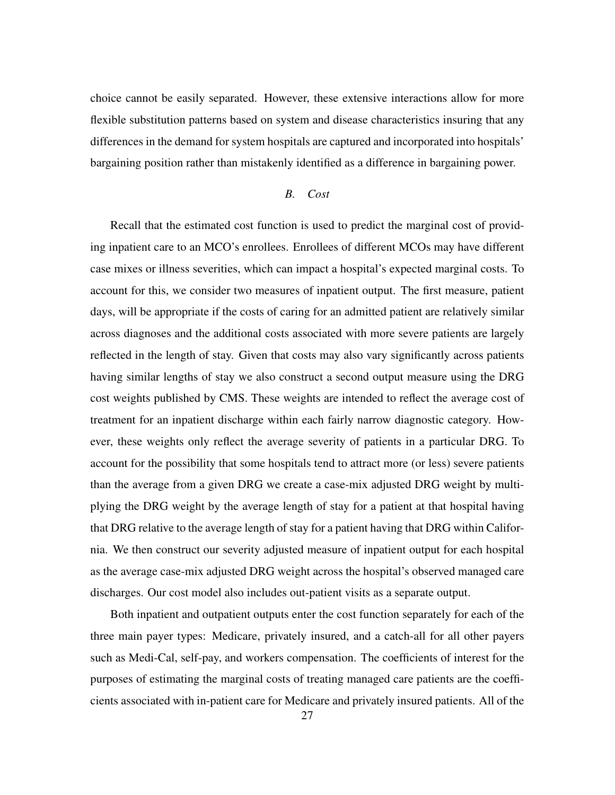choice cannot be easily separated. However, these extensive interactions allow for more flexible substitution patterns based on system and disease characteristics insuring that any differences in the demand for system hospitals are captured and incorporated into hospitals' bargaining position rather than mistakenly identified as a difference in bargaining power.

### *B. Cost*

Recall that the estimated cost function is used to predict the marginal cost of providing inpatient care to an MCO's enrollees. Enrollees of different MCOs may have different case mixes or illness severities, which can impact a hospital's expected marginal costs. To account for this, we consider two measures of inpatient output. The first measure, patient days, will be appropriate if the costs of caring for an admitted patient are relatively similar across diagnoses and the additional costs associated with more severe patients are largely reflected in the length of stay. Given that costs may also vary significantly across patients having similar lengths of stay we also construct a second output measure using the DRG cost weights published by CMS. These weights are intended to reflect the average cost of treatment for an inpatient discharge within each fairly narrow diagnostic category. However, these weights only reflect the average severity of patients in a particular DRG. To account for the possibility that some hospitals tend to attract more (or less) severe patients than the average from a given DRG we create a case-mix adjusted DRG weight by multiplying the DRG weight by the average length of stay for a patient at that hospital having that DRG relative to the average length of stay for a patient having that DRG within California. We then construct our severity adjusted measure of inpatient output for each hospital as the average case-mix adjusted DRG weight across the hospital's observed managed care discharges. Our cost model also includes out-patient visits as a separate output.

Both inpatient and outpatient outputs enter the cost function separately for each of the three main payer types: Medicare, privately insured, and a catch-all for all other payers such as Medi-Cal, self-pay, and workers compensation. The coefficients of interest for the purposes of estimating the marginal costs of treating managed care patients are the coefficients associated with in-patient care for Medicare and privately insured patients. All of the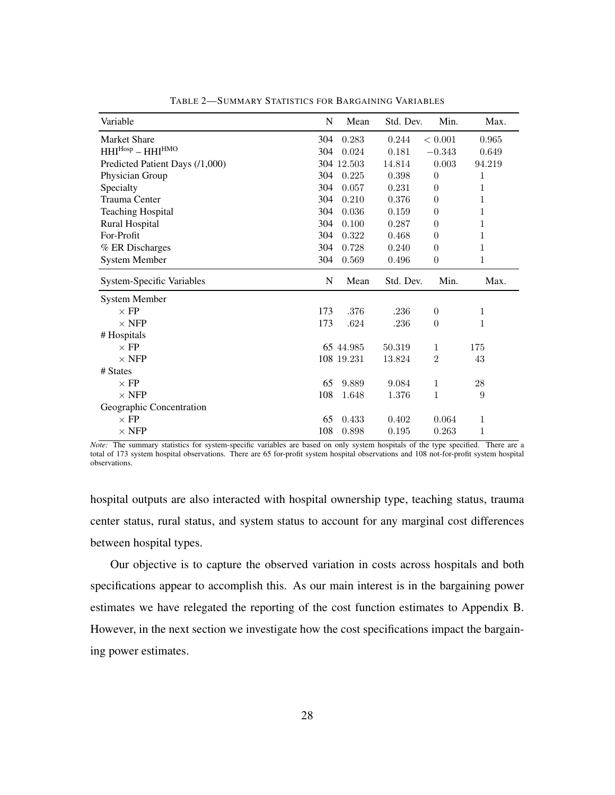| Variable                         | N   | Mean       | Std. Dev. | Min.             | Max.   |
|----------------------------------|-----|------------|-----------|------------------|--------|
| <b>Market Share</b>              | 304 | 0.283      | 0.244     | < 0.001          | 0.965  |
| $HHI^{Hosp} - HHI^{HMO}$         | 304 | 0.024      | 0.181     | $-0.343$         | 0.649  |
| Predicted Patient Days (/1,000)  |     | 304 12.503 | 14.814    | 0.003            | 94.219 |
| Physician Group                  | 304 | 0.225      | 0.398     | $\overline{0}$   | 1      |
| Specialty                        | 304 | 0.057      | 0.231     | $\theta$         | 1      |
| <b>Trauma Center</b>             | 304 | 0.210      | 0.376     | $\theta$         | 1      |
| <b>Teaching Hospital</b>         | 304 | 0.036      | 0.159     | $\theta$         | 1      |
| <b>Rural Hospital</b>            | 304 | 0.100      | 0.287     | $\theta$         | 1      |
| For-Profit                       | 304 | 0.322      | 0.468     | $\theta$         | 1      |
| % ER Discharges                  | 304 | 0.728      | 0.240     | $\boldsymbol{0}$ | 1      |
| <b>System Member</b>             | 304 | 0.569      | 0.496     | $\boldsymbol{0}$ | 1      |
| <b>System-Specific Variables</b> | N   | Mean       | Std. Dev. | Min.             | Max.   |
|                                  |     |            |           |                  |        |
| <b>System Member</b>             |     |            |           |                  |        |
| $\times$ FP                      | 173 | .376       | .236      | $\overline{0}$   | 1      |
| $\times$ NFP                     | 173 | .624       | .236      | $\theta$         | 1      |
| # Hospitals                      |     |            |           |                  |        |
| $\times$ FP                      |     | 65 44.985  | 50.319    | 1                | 175    |
| $\times$ NFP                     |     | 108 19.231 | 13.824    | $\overline{2}$   | 43     |
| # States                         |     |            |           |                  |        |
| $\times$ FP                      | 65  | 9.889      | 9.084     | 1                | 28     |
| $\times$ NFP                     | 108 | 1.648      | 1.376     | 1                | 9      |
| Geographic Concentration         |     |            |           |                  |        |
| $\times$ FP                      | 65  | 0.433      | 0.402     | 0.064            | 1      |

TABLE 2—SUMMARY STATISTICS FOR BARGAINING VARIABLES

*Note:* The summary statistics for system-specific variables are based on only system hospitals of the type specified. There are a total of 173 system hospital observations. There are 65 for-profit system hospital observations and 108 not-for-profit system hospital observations.

hospital outputs are also interacted with hospital ownership type, teaching status, trauma center status, rural status, and system status to account for any marginal cost differences between hospital types.

Our objective is to capture the observed variation in costs across hospitals and both specifications appear to accomplish this. As our main interest is in the bargaining power estimates we have relegated the reporting of the cost function estimates to Appendix B. However, in the next section we investigate how the cost specifications impact the bargaining power estimates.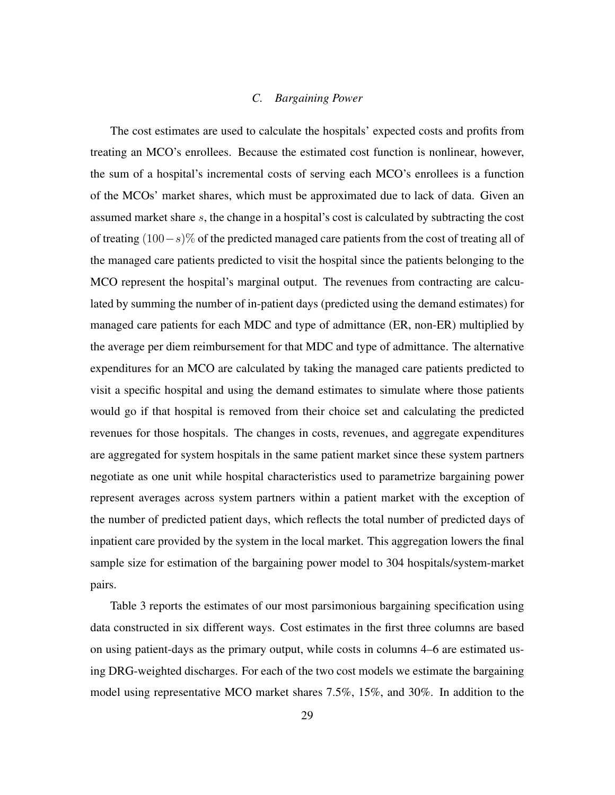### *C. Bargaining Power*

The cost estimates are used to calculate the hospitals' expected costs and profits from treating an MCO's enrollees. Because the estimated cost function is nonlinear, however, the sum of a hospital's incremental costs of serving each MCO's enrollees is a function of the MCOs' market shares, which must be approximated due to lack of data. Given an assumed market share s, the change in a hospital's cost is calculated by subtracting the cost of treating (100−s)% of the predicted managed care patients from the cost of treating all of the managed care patients predicted to visit the hospital since the patients belonging to the MCO represent the hospital's marginal output. The revenues from contracting are calculated by summing the number of in-patient days (predicted using the demand estimates) for managed care patients for each MDC and type of admittance (ER, non-ER) multiplied by the average per diem reimbursement for that MDC and type of admittance. The alternative expenditures for an MCO are calculated by taking the managed care patients predicted to visit a specific hospital and using the demand estimates to simulate where those patients would go if that hospital is removed from their choice set and calculating the predicted revenues for those hospitals. The changes in costs, revenues, and aggregate expenditures are aggregated for system hospitals in the same patient market since these system partners negotiate as one unit while hospital characteristics used to parametrize bargaining power represent averages across system partners within a patient market with the exception of the number of predicted patient days, which reflects the total number of predicted days of inpatient care provided by the system in the local market. This aggregation lowers the final sample size for estimation of the bargaining power model to 304 hospitals/system-market pairs.

Table 3 reports the estimates of our most parsimonious bargaining specification using data constructed in six different ways. Cost estimates in the first three columns are based on using patient-days as the primary output, while costs in columns 4–6 are estimated using DRG-weighted discharges. For each of the two cost models we estimate the bargaining model using representative MCO market shares 7.5%, 15%, and 30%. In addition to the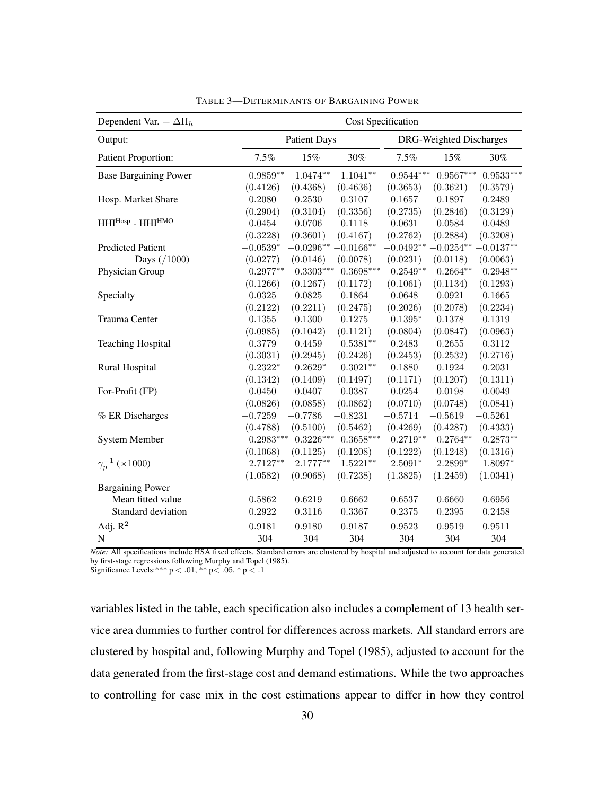| Dependent Var. = $\Delta \Pi_h$ | <b>Cost Specification</b> |                     |             |             |                         |             |  |
|---------------------------------|---------------------------|---------------------|-------------|-------------|-------------------------|-------------|--|
| Output:                         |                           | <b>Patient Days</b> |             |             | DRG-Weighted Discharges |             |  |
| Patient Proportion:             | 7.5%                      | 15%                 | 30%         | 7.5%        | 15%                     | 30%         |  |
| <b>Base Bargaining Power</b>    | $0.9859**$                | $1.0474**$          | $1.1041**$  | $0.9544***$ | $0.9567***$             | $0.9533***$ |  |
|                                 | (0.4126)                  | (0.4368)            | (0.4636)    | (0.3653)    | (0.3621)                | (0.3579)    |  |
| Hosp. Market Share              | 0.2080                    | 0.2530              | $0.3107\,$  | 0.1657      | 0.1897                  | 0.2489      |  |
|                                 | (0.2904)                  | (0.3104)            | (0.3356)    | (0.2735)    | (0.2846)                | (0.3129)    |  |
| $HHI^{Hosp}$ - $HHI^{HMO}$      | 0.0454                    | $0.0706\,$          | 0.1118      | $-0.0631$   | $-0.0584$               | $-0.0489$   |  |
|                                 | (0.3228)                  | (0.3601)            | (0.4167)    | (0.2762)    | (0.2884)                | (0.3208)    |  |
| <b>Predicted Patient</b>        | $-0.0539*$                | $-0.0296**$         | $-0.0166**$ | $-0.0492**$ | $-0.0254**$             | $-0.0137**$ |  |
| Days $( / 1000)$                | (0.0277)                  | (0.0146)            | (0.0078)    | (0.0231)    | (0.0118)                | (0.0063)    |  |
| Physician Group                 | $0.2977**$                | $0.3303***$         | $0.3698***$ | $0.2549**$  | $0.2664**$              | $0.2948**$  |  |
|                                 | (0.1266)                  | (0.1267)            | (0.1172)    | (0.1061)    | (0.1134)                | (0.1293)    |  |
| Specialty                       | $-0.0325$                 | $-0.0825$           | $-0.1864$   | $-0.0648$   | $-0.0921$               | $-0.1665$   |  |
|                                 | (0.2122)                  | (0.2211)            | (0.2475)    | (0.2026)    | (0.2078)                | (0.2234)    |  |
| Trauma Center                   | 0.1355                    | 0.1300              | 0.1275      | $0.1395*$   | 0.1378                  | 0.1319      |  |
|                                 | (0.0985)                  | (0.1042)            | (0.1121)    | (0.0804)    | (0.0847)                | (0.0963)    |  |
| <b>Teaching Hospital</b>        | 0.3779                    | 0.4459              | $0.5381**$  | 0.2483      | 0.2655                  | 0.3112      |  |
|                                 | (0.3031)                  | (0.2945)            | (0.2426)    | (0.2453)    | (0.2532)                | (0.2716)    |  |
| <b>Rural Hospital</b>           | $-0.2322*$                | $-0.2629*$          | $-0.3021**$ | $-0.1880$   | $-0.1924$               | $-0.2031$   |  |
|                                 | (0.1342)                  | (0.1409)            | (0.1497)    | (0.1171)    | (0.1207)                | (0.1311)    |  |
| For-Profit (FP)                 | $-0.0450$                 | $-0.0407$           | $-0.0387$   | $-0.0254$   | $-0.0198$               | $-0.0049$   |  |
|                                 | (0.0826)                  | (0.0858)            | (0.0862)    | (0.0710)    | (0.0748)                | (0.0841)    |  |
| % ER Discharges                 | $-0.7259$                 | $-0.7786$           | $-0.8231$   | $-0.5714$   | $-0.5619$               | $-0.5261$   |  |
|                                 | (0.4788)                  | (0.5100)            | (0.5462)    | (0.4269)    | (0.4287)                | (0.4333)    |  |
| <b>System Member</b>            | $0.2983***$               | $0.3226***$         | $0.3658***$ | $0.2719**$  | $0.2764**$              | $0.2873**$  |  |
|                                 | (0.1068)                  | (0.1125)            | (0.1208)    | (0.1222)    | (0.1248)                | (0.1316)    |  |
| $\gamma_p^{-1}$ (×1000)         | $2.7127**$                | $2.1777**$          | $1.5221**$  | $2.5091*$   | 2.2899*                 | 1.8097*     |  |
|                                 | (1.0582)                  | (0.9068)            | (0.7238)    | (1.3825)    | (1.2459)                | (1.0341)    |  |
| <b>Bargaining Power</b>         |                           |                     |             |             |                         |             |  |
| Mean fitted value               | 0.5862                    | 0.6219              | 0.6662      | 0.6537      | 0.6660                  | 0.6956      |  |
| Standard deviation              | 0.2922                    | 0.3116              | 0.3367      | 0.2375      | 0.2395                  | 0.2458      |  |
| Adj. $R^2$                      | 0.9181                    | 0.9180              | 0.9187      | 0.9523      | 0.9519                  | 0.9511      |  |
| N                               | 304                       | 304                 | 304         | 304         | 304                     | 304         |  |
|                                 |                           |                     |             |             |                         |             |  |

TABLE 3—DETERMINANTS OF BARGAINING POWER

*Note:* All specifications include HSA fixed effects. Standard errors are clustered by hospital and adjusted to account for data generated by first-stage regressions following Murphy and Topel (1985). Significance Levels:\*\*\*  $p < .01$ , \*\*  $p < .05$ , \*  $p < .1$ 

variables listed in the table, each specification also includes a complement of 13 health service area dummies to further control for differences across markets. All standard errors are clustered by hospital and, following Murphy and Topel (1985), adjusted to account for the data generated from the first-stage cost and demand estimations. While the two approaches to controlling for case mix in the cost estimations appear to differ in how they control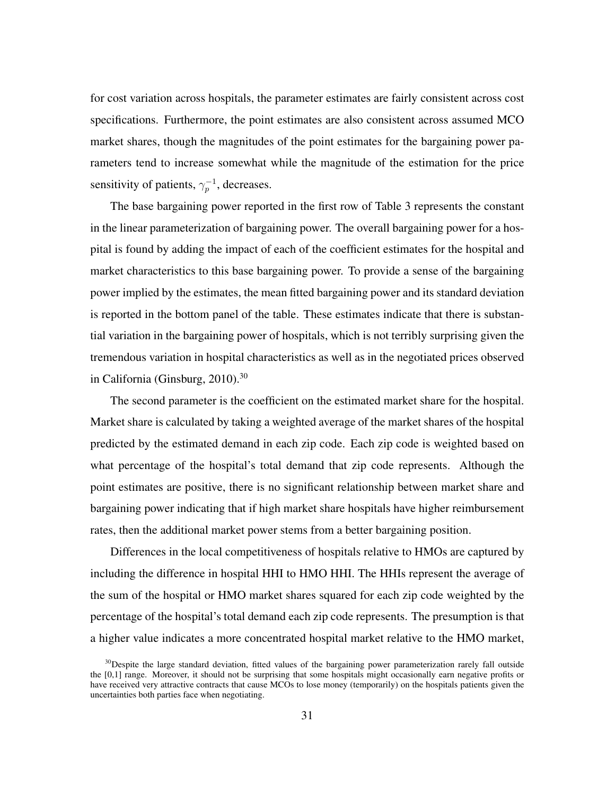for cost variation across hospitals, the parameter estimates are fairly consistent across cost specifications. Furthermore, the point estimates are also consistent across assumed MCO market shares, though the magnitudes of the point estimates for the bargaining power parameters tend to increase somewhat while the magnitude of the estimation for the price sensitivity of patients,  $\gamma_p^{-1}$ , decreases.

The base bargaining power reported in the first row of Table 3 represents the constant in the linear parameterization of bargaining power. The overall bargaining power for a hospital is found by adding the impact of each of the coefficient estimates for the hospital and market characteristics to this base bargaining power. To provide a sense of the bargaining power implied by the estimates, the mean fitted bargaining power and its standard deviation is reported in the bottom panel of the table. These estimates indicate that there is substantial variation in the bargaining power of hospitals, which is not terribly surprising given the tremendous variation in hospital characteristics as well as in the negotiated prices observed in California (Ginsburg, 2010).<sup>30</sup>

The second parameter is the coefficient on the estimated market share for the hospital. Market share is calculated by taking a weighted average of the market shares of the hospital predicted by the estimated demand in each zip code. Each zip code is weighted based on what percentage of the hospital's total demand that zip code represents. Although the point estimates are positive, there is no significant relationship between market share and bargaining power indicating that if high market share hospitals have higher reimbursement rates, then the additional market power stems from a better bargaining position.

Differences in the local competitiveness of hospitals relative to HMOs are captured by including the difference in hospital HHI to HMO HHI. The HHIs represent the average of the sum of the hospital or HMO market shares squared for each zip code weighted by the percentage of the hospital's total demand each zip code represents. The presumption is that a higher value indicates a more concentrated hospital market relative to the HMO market,

 $30$ Despite the large standard deviation, fitted values of the bargaining power parameterization rarely fall outside the [0,1] range. Moreover, it should not be surprising that some hospitals might occasionally earn negative profits or have received very attractive contracts that cause MCOs to lose money (temporarily) on the hospitals patients given the uncertainties both parties face when negotiating.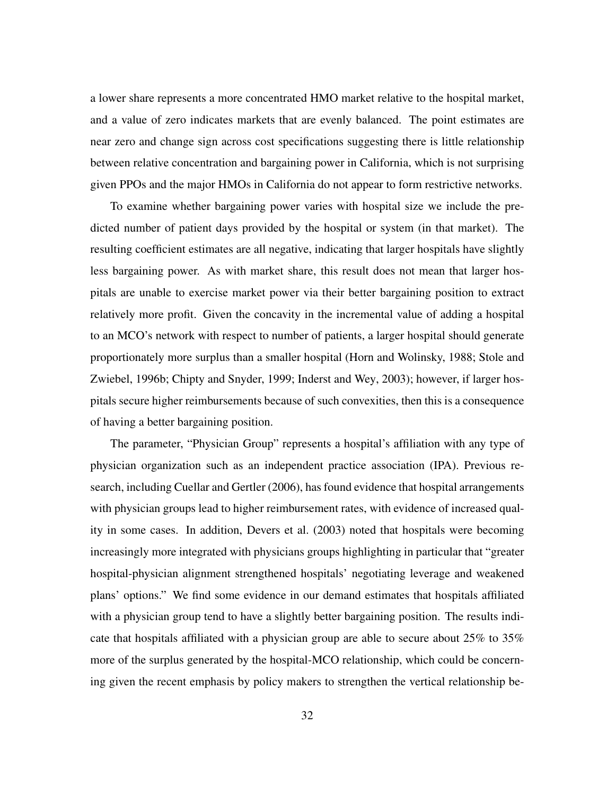a lower share represents a more concentrated HMO market relative to the hospital market, and a value of zero indicates markets that are evenly balanced. The point estimates are near zero and change sign across cost specifications suggesting there is little relationship between relative concentration and bargaining power in California, which is not surprising given PPOs and the major HMOs in California do not appear to form restrictive networks.

To examine whether bargaining power varies with hospital size we include the predicted number of patient days provided by the hospital or system (in that market). The resulting coefficient estimates are all negative, indicating that larger hospitals have slightly less bargaining power. As with market share, this result does not mean that larger hospitals are unable to exercise market power via their better bargaining position to extract relatively more profit. Given the concavity in the incremental value of adding a hospital to an MCO's network with respect to number of patients, a larger hospital should generate proportionately more surplus than a smaller hospital (Horn and Wolinsky, 1988; Stole and Zwiebel, 1996b; Chipty and Snyder, 1999; Inderst and Wey, 2003); however, if larger hospitals secure higher reimbursements because of such convexities, then this is a consequence of having a better bargaining position.

The parameter, "Physician Group" represents a hospital's affiliation with any type of physician organization such as an independent practice association (IPA). Previous research, including Cuellar and Gertler (2006), has found evidence that hospital arrangements with physician groups lead to higher reimbursement rates, with evidence of increased quality in some cases. In addition, Devers et al. (2003) noted that hospitals were becoming increasingly more integrated with physicians groups highlighting in particular that "greater hospital-physician alignment strengthened hospitals' negotiating leverage and weakened plans' options." We find some evidence in our demand estimates that hospitals affiliated with a physician group tend to have a slightly better bargaining position. The results indicate that hospitals affiliated with a physician group are able to secure about 25% to 35% more of the surplus generated by the hospital-MCO relationship, which could be concerning given the recent emphasis by policy makers to strengthen the vertical relationship be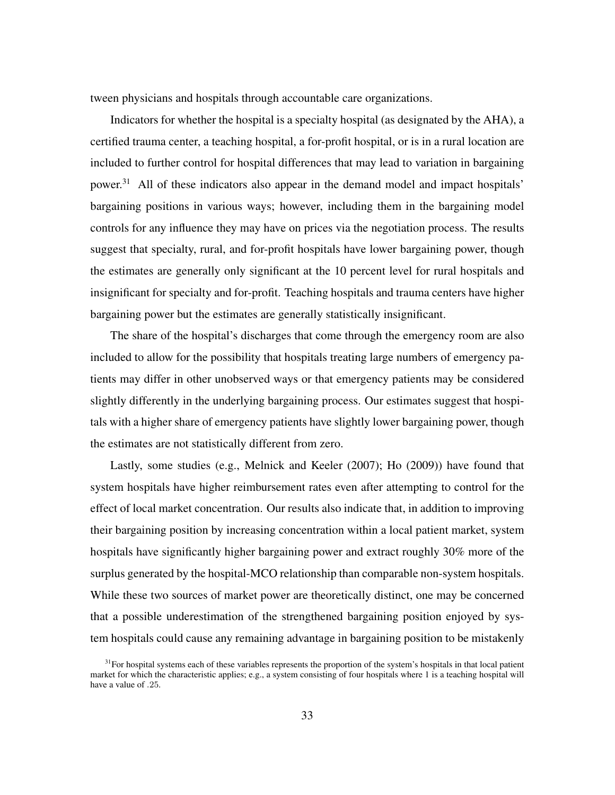tween physicians and hospitals through accountable care organizations.

Indicators for whether the hospital is a specialty hospital (as designated by the AHA), a certified trauma center, a teaching hospital, a for-profit hospital, or is in a rural location are included to further control for hospital differences that may lead to variation in bargaining power.<sup>31</sup> All of these indicators also appear in the demand model and impact hospitals' bargaining positions in various ways; however, including them in the bargaining model controls for any influence they may have on prices via the negotiation process. The results suggest that specialty, rural, and for-profit hospitals have lower bargaining power, though the estimates are generally only significant at the 10 percent level for rural hospitals and insignificant for specialty and for-profit. Teaching hospitals and trauma centers have higher bargaining power but the estimates are generally statistically insignificant.

The share of the hospital's discharges that come through the emergency room are also included to allow for the possibility that hospitals treating large numbers of emergency patients may differ in other unobserved ways or that emergency patients may be considered slightly differently in the underlying bargaining process. Our estimates suggest that hospitals with a higher share of emergency patients have slightly lower bargaining power, though the estimates are not statistically different from zero.

Lastly, some studies (e.g., Melnick and Keeler (2007); Ho (2009)) have found that system hospitals have higher reimbursement rates even after attempting to control for the effect of local market concentration. Our results also indicate that, in addition to improving their bargaining position by increasing concentration within a local patient market, system hospitals have significantly higher bargaining power and extract roughly 30% more of the surplus generated by the hospital-MCO relationship than comparable non-system hospitals. While these two sources of market power are theoretically distinct, one may be concerned that a possible underestimation of the strengthened bargaining position enjoyed by system hospitals could cause any remaining advantage in bargaining position to be mistakenly

 $31$  For hospital systems each of these variables represents the proportion of the system's hospitals in that local patient market for which the characteristic applies; e.g., a system consisting of four hospitals where 1 is a teaching hospital will have a value of .25.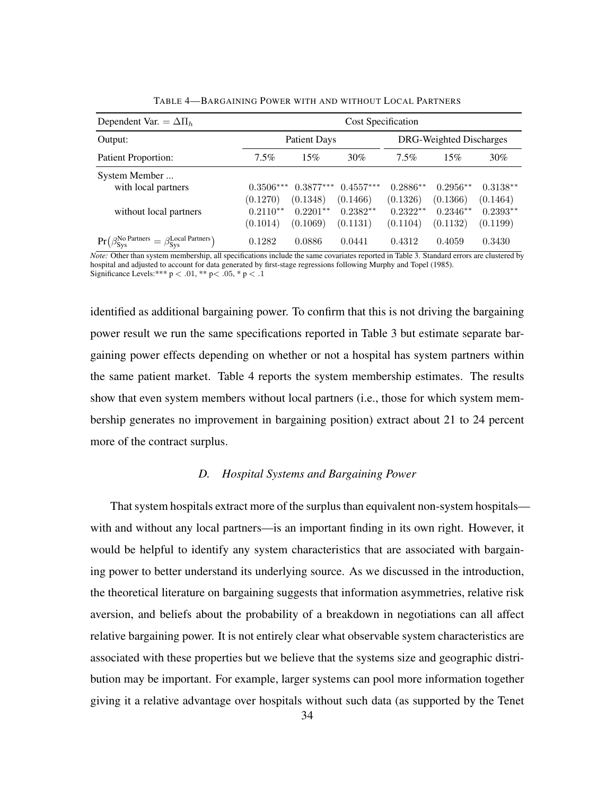| Dependent Var. = $\Delta \Pi_h$                                                                     | Cost Specification                    |                                       |                                       |                                      |                                      |                                      |  |  |
|-----------------------------------------------------------------------------------------------------|---------------------------------------|---------------------------------------|---------------------------------------|--------------------------------------|--------------------------------------|--------------------------------------|--|--|
| Output:                                                                                             |                                       | Patient Days                          |                                       | DRG-Weighted Discharges              |                                      |                                      |  |  |
| Patient Proportion:                                                                                 | $7.5\%$                               | 15%                                   | 30%                                   | $7.5\%$                              | 15%                                  | $30\%$                               |  |  |
| System Member<br>with local partners<br>without local partners                                      | $0.3506***$<br>(0.1270)<br>$0.2110**$ | $0.3877***$<br>(0.1348)<br>$0.2201**$ | $0.4557***$<br>(0.1466)<br>$0.2382**$ | $0.2886**$<br>(0.1326)<br>$0.2322**$ | $0.2956**$<br>(0.1366)<br>$0.2346**$ | $0.3138**$<br>(0.1464)<br>$0.2393**$ |  |  |
| $\Pr(\beta_{\mathsf{Sys}}^{\mathsf{No~Partners}} = \beta_{\mathsf{Sys}}^{\mathsf{Local~Partners}})$ | (0.1014)<br>0.1282                    | (0.1069)<br>0.0886                    | (0.1131)<br>0.0441                    | (0.1104)<br>0.4312                   | (0.1132)<br>0.4059                   | (0.1199)<br>0.3430                   |  |  |

TABLE 4—BARGAINING POWER WITH AND WITHOUT LOCAL PARTNERS

*Note:* Other than system membership, all specifications include the same covariates reported in Table 3. Standard errors are clustered by hospital and adjusted to account for data generated by first-stage regressions following Murphy and Topel (1985). Significance Levels:\*\*\*  $p < .01$ , \*\*  $p < .05$ , \*  $p < .1$ 

identified as additional bargaining power. To confirm that this is not driving the bargaining power result we run the same specifications reported in Table 3 but estimate separate bargaining power effects depending on whether or not a hospital has system partners within the same patient market. Table 4 reports the system membership estimates. The results show that even system members without local partners (i.e., those for which system membership generates no improvement in bargaining position) extract about 21 to 24 percent more of the contract surplus.

#### *D. Hospital Systems and Bargaining Power*

That system hospitals extract more of the surplus than equivalent non-system hospitals with and without any local partners—is an important finding in its own right. However, it would be helpful to identify any system characteristics that are associated with bargaining power to better understand its underlying source. As we discussed in the introduction, the theoretical literature on bargaining suggests that information asymmetries, relative risk aversion, and beliefs about the probability of a breakdown in negotiations can all affect relative bargaining power. It is not entirely clear what observable system characteristics are associated with these properties but we believe that the systems size and geographic distribution may be important. For example, larger systems can pool more information together giving it a relative advantage over hospitals without such data (as supported by the Tenet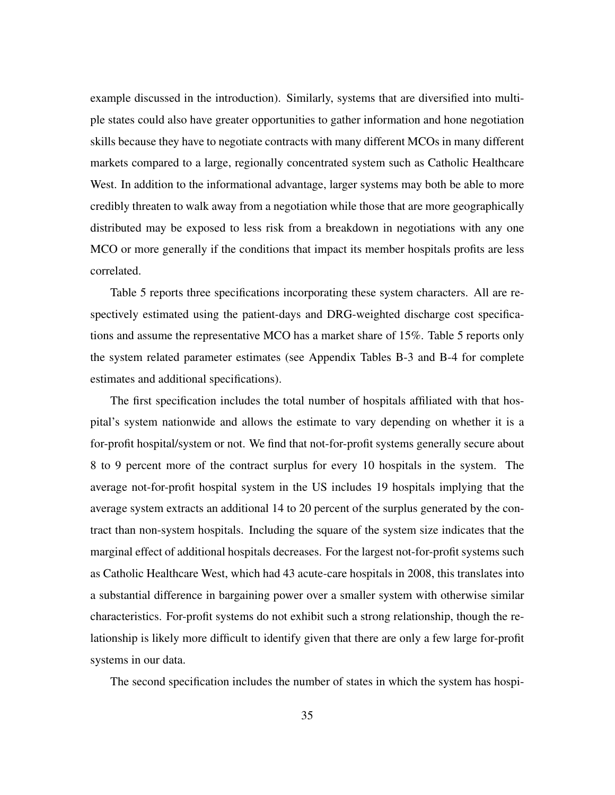example discussed in the introduction). Similarly, systems that are diversified into multiple states could also have greater opportunities to gather information and hone negotiation skills because they have to negotiate contracts with many different MCOs in many different markets compared to a large, regionally concentrated system such as Catholic Healthcare West. In addition to the informational advantage, larger systems may both be able to more credibly threaten to walk away from a negotiation while those that are more geographically distributed may be exposed to less risk from a breakdown in negotiations with any one MCO or more generally if the conditions that impact its member hospitals profits are less correlated.

Table 5 reports three specifications incorporating these system characters. All are respectively estimated using the patient-days and DRG-weighted discharge cost specifications and assume the representative MCO has a market share of 15%. Table 5 reports only the system related parameter estimates (see Appendix Tables B-3 and B-4 for complete estimates and additional specifications).

The first specification includes the total number of hospitals affiliated with that hospital's system nationwide and allows the estimate to vary depending on whether it is a for-profit hospital/system or not. We find that not-for-profit systems generally secure about 8 to 9 percent more of the contract surplus for every 10 hospitals in the system. The average not-for-profit hospital system in the US includes 19 hospitals implying that the average system extracts an additional 14 to 20 percent of the surplus generated by the contract than non-system hospitals. Including the square of the system size indicates that the marginal effect of additional hospitals decreases. For the largest not-for-profit systems such as Catholic Healthcare West, which had 43 acute-care hospitals in 2008, this translates into a substantial difference in bargaining power over a smaller system with otherwise similar characteristics. For-profit systems do not exhibit such a strong relationship, though the relationship is likely more difficult to identify given that there are only a few large for-profit systems in our data.

The second specification includes the number of states in which the system has hospi-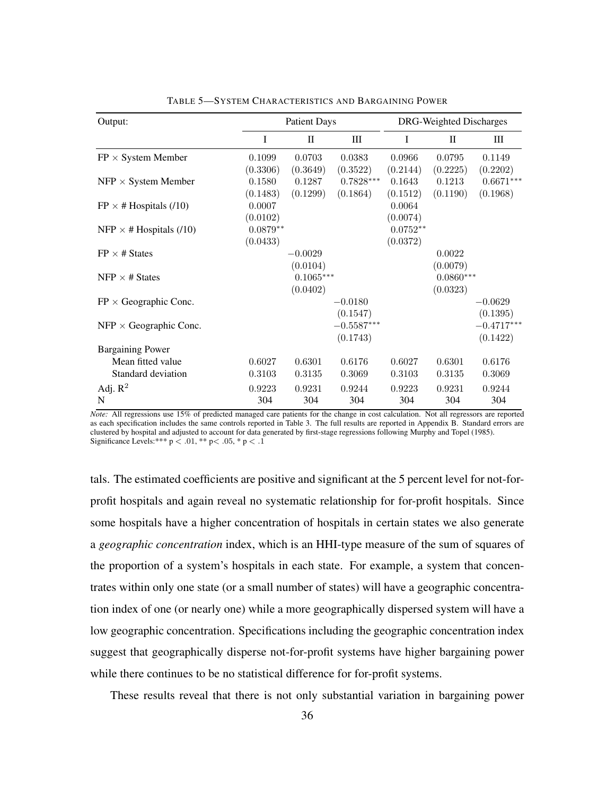| Output:                        |            | <b>Patient Days</b> |              |            | DRG-Weighted Discharges |              |
|--------------------------------|------------|---------------------|--------------|------------|-------------------------|--------------|
|                                | I          | $\mathbf{I}$        | Ш            | I          | $\mathbf{I}$            | Ш            |
| $FP \times System$ Member      | 0.1099     | 0.0703              | 0.0383       | 0.0966     | 0.0795                  | 0.1149       |
|                                | (0.3306)   | (0.3649)            | (0.3522)     | (0.2144)   | (0.2225)                | (0.2202)     |
| $NFP \times System$ Member     | 0.1580     | 0.1287              | $0.7828***$  | 0.1643     | 0.1213                  | $0.6671***$  |
|                                | (0.1483)   | (0.1299)            | (0.1864)     | (0.1512)   | (0.1190)                | (0.1968)     |
| $FP \times # Hospitals (10)$   | 0.0007     |                     |              | 0.0064     |                         |              |
|                                | (0.0102)   |                     |              | (0.0074)   |                         |              |
| NFP $\times$ # Hospitals (/10) | $0.0879**$ |                     |              | $0.0752**$ |                         |              |
|                                | (0.0433)   |                     |              | (0.0372)   |                         |              |
| $FP \times # States$           |            | $-0.0029$           |              |            | 0.0022                  |              |
|                                |            | (0.0104)            |              |            | (0.0079)                |              |
| NFP $\times$ # States          |            | $0.1065***$         |              |            | $0.0860***$             |              |
|                                |            | (0.0402)            |              |            | (0.0323)                |              |
| $FP \times Geographic$ Conc.   |            |                     | $-0.0180$    |            |                         | $-0.0629$    |
|                                |            |                     | (0.1547)     |            |                         | (0.1395)     |
| $NFP \times Geographic Cone.$  |            |                     | $-0.5587***$ |            |                         | $-0.4717***$ |
|                                |            |                     | (0.1743)     |            |                         | (0.1422)     |
| <b>Bargaining Power</b>        |            |                     |              |            |                         |              |
| Mean fitted value              | 0.6027     | 0.6301              | 0.6176       | 0.6027     | 0.6301                  | 0.6176       |
| Standard deviation             | 0.3103     | 0.3135              | 0.3069       | 0.3103     | 0.3135                  | 0.3069       |
| Adj. $R^2$                     | 0.9223     | 0.9231              | 0.9244       | 0.9223     | 0.9231                  | 0.9244       |
| N                              | 304        | 304                 | 304          | 304        | 304                     | 304          |

TABLE 5—SYSTEM CHARACTERISTICS AND BARGAINING POWER

*Note:* All regressions use 15% of predicted managed care patients for the change in cost calculation. Not all regressors are reported as each specification includes the same controls reported in Table 3. The full results are reported in Appendix B. Standard errors are clustered by hospital and adjusted to account for data generated by first-stage regressions following Murphy and Topel (1985). Significance Levels:\*\*\*  $p < .01$ , \*\*  $p < .05$ , \*  $p < .1$ 

tals. The estimated coefficients are positive and significant at the 5 percent level for not-forprofit hospitals and again reveal no systematic relationship for for-profit hospitals. Since some hospitals have a higher concentration of hospitals in certain states we also generate a *geographic concentration* index, which is an HHI-type measure of the sum of squares of the proportion of a system's hospitals in each state. For example, a system that concentrates within only one state (or a small number of states) will have a geographic concentration index of one (or nearly one) while a more geographically dispersed system will have a low geographic concentration. Specifications including the geographic concentration index suggest that geographically disperse not-for-profit systems have higher bargaining power while there continues to be no statistical difference for for-profit systems.

These results reveal that there is not only substantial variation in bargaining power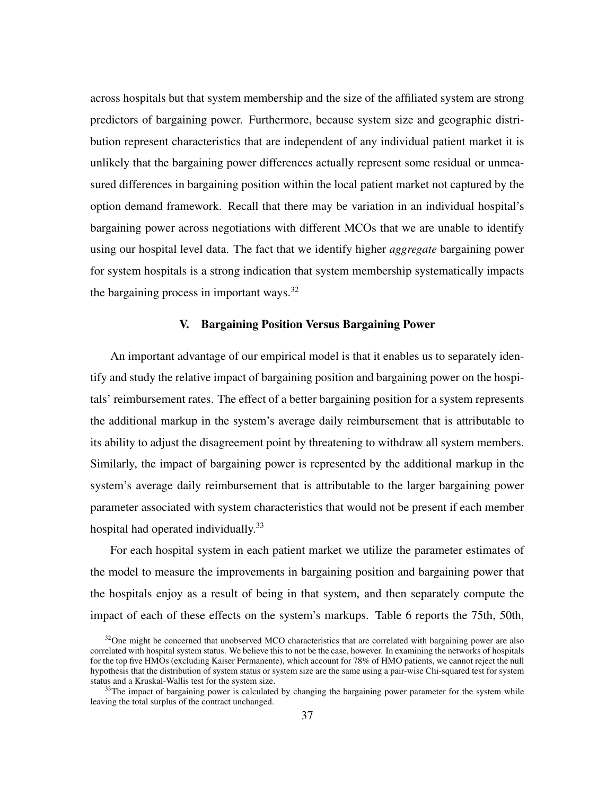across hospitals but that system membership and the size of the affiliated system are strong predictors of bargaining power. Furthermore, because system size and geographic distribution represent characteristics that are independent of any individual patient market it is unlikely that the bargaining power differences actually represent some residual or unmeasured differences in bargaining position within the local patient market not captured by the option demand framework. Recall that there may be variation in an individual hospital's bargaining power across negotiations with different MCOs that we are unable to identify using our hospital level data. The fact that we identify higher *aggregate* bargaining power for system hospitals is a strong indication that system membership systematically impacts the bargaining process in important ways.<sup>32</sup>

#### V. Bargaining Position Versus Bargaining Power

An important advantage of our empirical model is that it enables us to separately identify and study the relative impact of bargaining position and bargaining power on the hospitals' reimbursement rates. The effect of a better bargaining position for a system represents the additional markup in the system's average daily reimbursement that is attributable to its ability to adjust the disagreement point by threatening to withdraw all system members. Similarly, the impact of bargaining power is represented by the additional markup in the system's average daily reimbursement that is attributable to the larger bargaining power parameter associated with system characteristics that would not be present if each member hospital had operated individually.<sup>33</sup>

For each hospital system in each patient market we utilize the parameter estimates of the model to measure the improvements in bargaining position and bargaining power that the hospitals enjoy as a result of being in that system, and then separately compute the impact of each of these effects on the system's markups. Table 6 reports the 75th, 50th,

 $32$ One might be concerned that unobserved MCO characteristics that are correlated with bargaining power are also correlated with hospital system status. We believe this to not be the case, however. In examining the networks of hospitals for the top five HMOs (excluding Kaiser Permanente), which account for 78% of HMO patients, we cannot reject the null hypothesis that the distribution of system status or system size are the same using a pair-wise Chi-squared test for system status and a Kruskal-Wallis test for the system size.

<sup>&</sup>lt;sup>33</sup>The impact of bargaining power is calculated by changing the bargaining power parameter for the system while leaving the total surplus of the contract unchanged.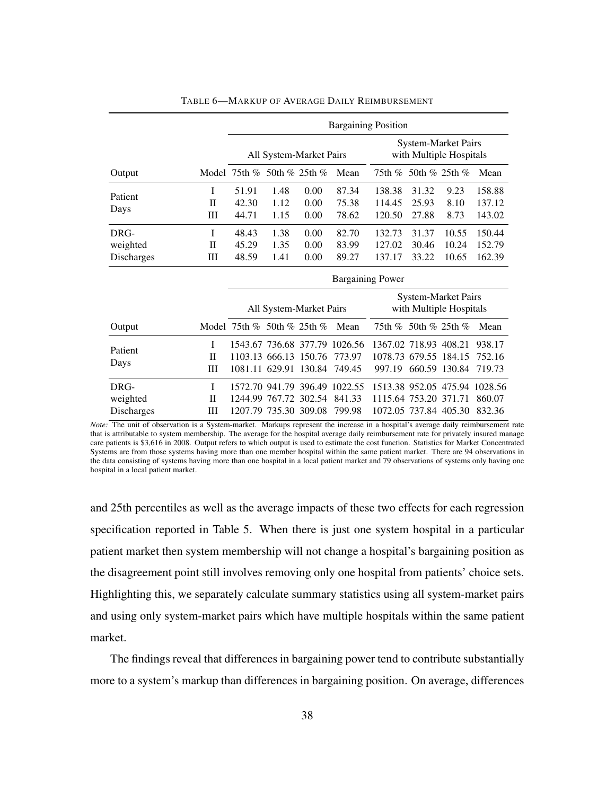|                                |                       |                                                                                  |                         |                      | <b>Bargaining Position</b>  |                                 |                         |                                                       |                                                   |
|--------------------------------|-----------------------|----------------------------------------------------------------------------------|-------------------------|----------------------|-----------------------------|---------------------------------|-------------------------|-------------------------------------------------------|---------------------------------------------------|
|                                |                       |                                                                                  | All System-Market Pairs |                      |                             |                                 |                         | <b>System-Market Pairs</b><br>with Multiple Hospitals |                                                   |
| Output                         |                       | Model 75th % 50th % 25th %                                                       |                         |                      | Mean                        |                                 | 75th % 50th % 25th %    |                                                       | Mean                                              |
| Patient<br>Days                | I<br>П<br>Ш           | 51.91<br>42.30<br>44.71                                                          | 1.48<br>1.12<br>1.15    | 0.00<br>0.00<br>0.00 | 87.34<br>75.38<br>78.62     | 138.38<br>114.45<br>120.50      | 31.32<br>25.93<br>27.88 | 9.23<br>8.10<br>8.73                                  | 158.88<br>137.12<br>143.02                        |
| DRG-<br>weighted<br>Discharges | I<br>$_{\rm II}$<br>Ш | 48.43<br>45.29<br>48.59                                                          | 1.38<br>1.35<br>1.41    | 0.00<br>0.00<br>0.00 | 82.70<br>83.99<br>89.27     | 132.73<br>127.02<br>137.17      | 31.37<br>30.46<br>33.22 | 10.55<br>10.24<br>10.65                               | 150.44<br>152.79<br>162.39                        |
|                                |                       | <b>Bargaining Power</b>                                                          |                         |                      |                             |                                 |                         |                                                       |                                                   |
|                                |                       | <b>System-Market Pairs</b><br>with Multiple Hospitals<br>All System-Market Pairs |                         |                      |                             |                                 |                         |                                                       |                                                   |
| Output                         |                       | Model 75th $\%$ 50th $\%$ 25th $\%$                                              |                         |                      | Mean                        |                                 | 75th % 50th % 25th %    |                                                       | Mean                                              |
| Patient<br>Days                | I<br>$_{\rm II}$<br>Ш | 1543.67 736.68 377.79<br>1103.13 666.13 150.76<br>1081.11 629.91                 |                         | 130.84               | 1026.56<br>773.97<br>749.45 | 1367.02 718.93 408.21<br>997.19 | 1078.73 679.55 184.15   | 660.59 130.84                                         | 938.17<br>752.16<br>719.73                        |
| DRG-<br>weighted<br>Discharges | I<br>$_{\rm II}$<br>Ш | 1572.70 941.79 396.49<br>1244.99<br>1207.79 735.30 309.08                        | 767.72                  | 302.54               | 1022.55<br>841.33<br>799.98 | 1115.64 753.20                  | 1072.05 737.84 405.30   | 371.71                                                | 1513.38 952.05 475.94 1028.56<br>860.07<br>832.36 |

#### TABLE 6—MARKUP OF AVERAGE DAILY REIMBURSEMENT

*Note:* The unit of observation is a System-market. Markups represent the increase in a hospital's average daily reimbursement rate that is attributable to system membership. The average for the hospital average daily reimbursement rate for privately insured manage care patients is \$3,616 in 2008. Output refers to which output is used to estimate the cost function. Statistics for Market Concentrated Systems are from those systems having more than one member hospital within the same patient market. There are 94 observations in the data consisting of systems having more than one hospital in a local patient market and 79 observations of systems only having one hospital in a local patient market.

and 25th percentiles as well as the average impacts of these two effects for each regression specification reported in Table 5. When there is just one system hospital in a particular patient market then system membership will not change a hospital's bargaining position as the disagreement point still involves removing only one hospital from patients' choice sets. Highlighting this, we separately calculate summary statistics using all system-market pairs and using only system-market pairs which have multiple hospitals within the same patient market.

The findings reveal that differences in bargaining power tend to contribute substantially more to a system's markup than differences in bargaining position. On average, differences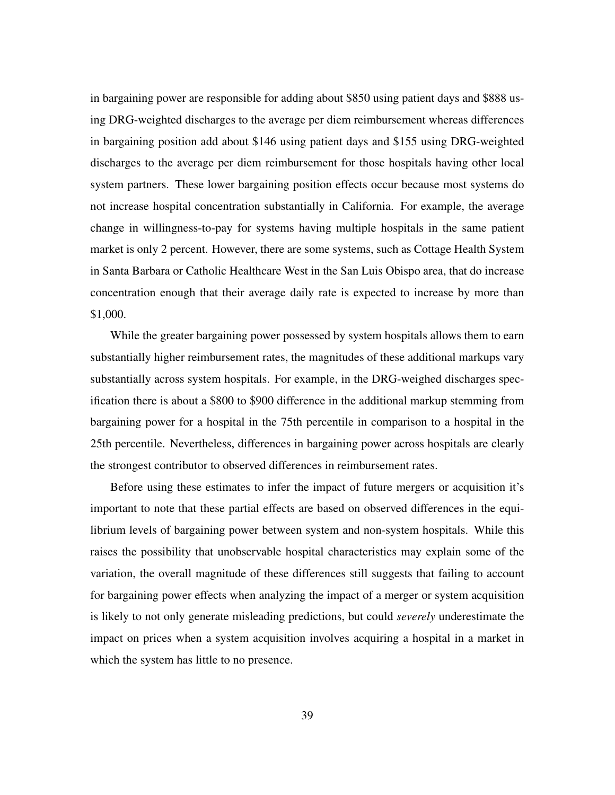in bargaining power are responsible for adding about \$850 using patient days and \$888 using DRG-weighted discharges to the average per diem reimbursement whereas differences in bargaining position add about \$146 using patient days and \$155 using DRG-weighted discharges to the average per diem reimbursement for those hospitals having other local system partners. These lower bargaining position effects occur because most systems do not increase hospital concentration substantially in California. For example, the average change in willingness-to-pay for systems having multiple hospitals in the same patient market is only 2 percent. However, there are some systems, such as Cottage Health System in Santa Barbara or Catholic Healthcare West in the San Luis Obispo area, that do increase concentration enough that their average daily rate is expected to increase by more than \$1,000.

While the greater bargaining power possessed by system hospitals allows them to earn substantially higher reimbursement rates, the magnitudes of these additional markups vary substantially across system hospitals. For example, in the DRG-weighed discharges specification there is about a \$800 to \$900 difference in the additional markup stemming from bargaining power for a hospital in the 75th percentile in comparison to a hospital in the 25th percentile. Nevertheless, differences in bargaining power across hospitals are clearly the strongest contributor to observed differences in reimbursement rates.

Before using these estimates to infer the impact of future mergers or acquisition it's important to note that these partial effects are based on observed differences in the equilibrium levels of bargaining power between system and non-system hospitals. While this raises the possibility that unobservable hospital characteristics may explain some of the variation, the overall magnitude of these differences still suggests that failing to account for bargaining power effects when analyzing the impact of a merger or system acquisition is likely to not only generate misleading predictions, but could *severely* underestimate the impact on prices when a system acquisition involves acquiring a hospital in a market in which the system has little to no presence.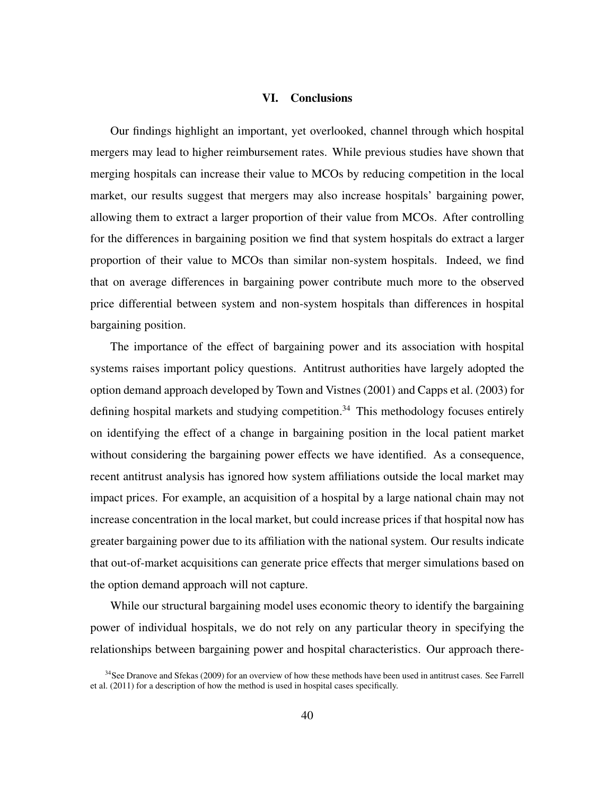#### VI. Conclusions

Our findings highlight an important, yet overlooked, channel through which hospital mergers may lead to higher reimbursement rates. While previous studies have shown that merging hospitals can increase their value to MCOs by reducing competition in the local market, our results suggest that mergers may also increase hospitals' bargaining power, allowing them to extract a larger proportion of their value from MCOs. After controlling for the differences in bargaining position we find that system hospitals do extract a larger proportion of their value to MCOs than similar non-system hospitals. Indeed, we find that on average differences in bargaining power contribute much more to the observed price differential between system and non-system hospitals than differences in hospital bargaining position.

The importance of the effect of bargaining power and its association with hospital systems raises important policy questions. Antitrust authorities have largely adopted the option demand approach developed by Town and Vistnes (2001) and Capps et al. (2003) for defining hospital markets and studying competition.<sup>34</sup> This methodology focuses entirely on identifying the effect of a change in bargaining position in the local patient market without considering the bargaining power effects we have identified. As a consequence, recent antitrust analysis has ignored how system affiliations outside the local market may impact prices. For example, an acquisition of a hospital by a large national chain may not increase concentration in the local market, but could increase prices if that hospital now has greater bargaining power due to its affiliation with the national system. Our results indicate that out-of-market acquisitions can generate price effects that merger simulations based on the option demand approach will not capture.

While our structural bargaining model uses economic theory to identify the bargaining power of individual hospitals, we do not rely on any particular theory in specifying the relationships between bargaining power and hospital characteristics. Our approach there-

<sup>&</sup>lt;sup>34</sup>See Dranove and Sfekas (2009) for an overview of how these methods have been used in antitrust cases. See Farrell et al. (2011) for a description of how the method is used in hospital cases specifically.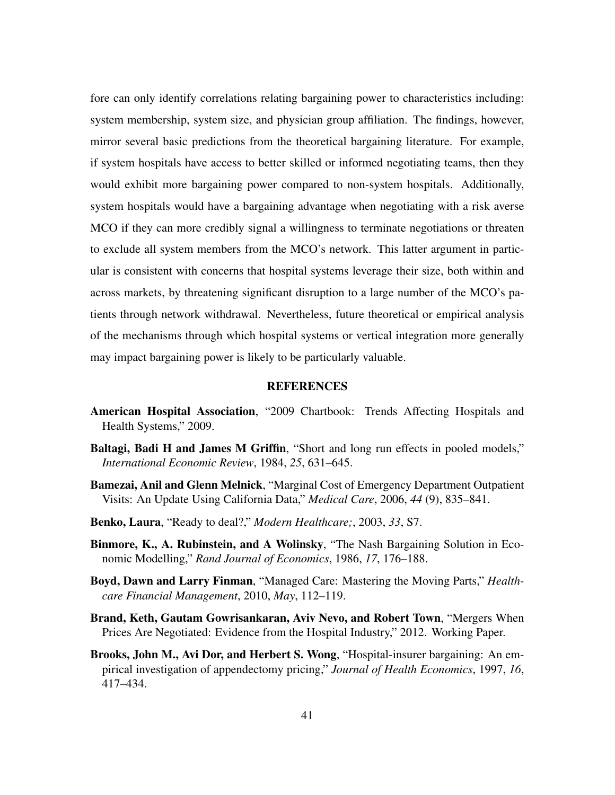fore can only identify correlations relating bargaining power to characteristics including: system membership, system size, and physician group affiliation. The findings, however, mirror several basic predictions from the theoretical bargaining literature. For example, if system hospitals have access to better skilled or informed negotiating teams, then they would exhibit more bargaining power compared to non-system hospitals. Additionally, system hospitals would have a bargaining advantage when negotiating with a risk averse MCO if they can more credibly signal a willingness to terminate negotiations or threaten to exclude all system members from the MCO's network. This latter argument in particular is consistent with concerns that hospital systems leverage their size, both within and across markets, by threatening significant disruption to a large number of the MCO's patients through network withdrawal. Nevertheless, future theoretical or empirical analysis of the mechanisms through which hospital systems or vertical integration more generally may impact bargaining power is likely to be particularly valuable.

#### **REFERENCES**

- American Hospital Association, "2009 Chartbook: Trends Affecting Hospitals and Health Systems," 2009.
- Baltagi, Badi H and James M Griffin, "Short and long run effects in pooled models," *International Economic Review*, 1984, *25*, 631–645.
- Bamezai, Anil and Glenn Melnick, "Marginal Cost of Emergency Department Outpatient Visits: An Update Using California Data," *Medical Care*, 2006, *44* (9), 835–841.
- Benko, Laura, "Ready to deal?," *Modern Healthcare;*, 2003, *33*, S7.
- Binmore, K., A. Rubinstein, and A Wolinsky, "The Nash Bargaining Solution in Economic Modelling," *Rand Journal of Economics*, 1986, *17*, 176–188.
- Boyd, Dawn and Larry Finman, "Managed Care: Mastering the Moving Parts," *Healthcare Financial Management*, 2010, *May*, 112–119.
- Brand, Keth, Gautam Gowrisankaran, Aviv Nevo, and Robert Town, "Mergers When Prices Are Negotiated: Evidence from the Hospital Industry," 2012. Working Paper.
- Brooks, John M., Avi Dor, and Herbert S. Wong, "Hospital-insurer bargaining: An empirical investigation of appendectomy pricing," *Journal of Health Economics*, 1997, *16*, 417–434.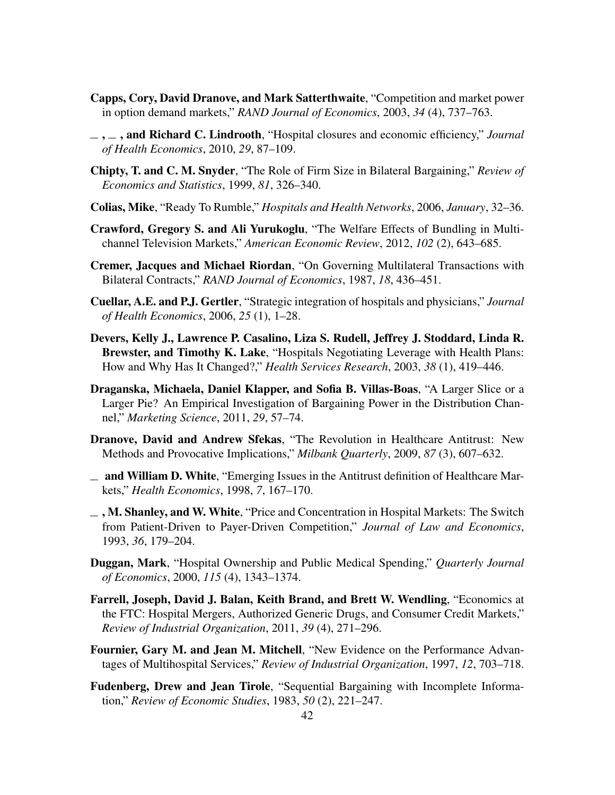- Capps, Cory, David Dranove, and Mark Satterthwaite, "Competition and market power in option demand markets," *RAND Journal of Economics*, 2003, *34* (4), 737–763.
- $\ldots$ , and Richard C. Lindrooth, "Hospital closures and economic efficiency," *Journal of Health Economics*, 2010, *29*, 87–109.
- Chipty, T. and C. M. Snyder, "The Role of Firm Size in Bilateral Bargaining," *Review of Economics and Statistics*, 1999, *81*, 326–340.
- Colias, Mike, "Ready To Rumble," *Hospitals and Health Networks*, 2006, *January*, 32–36.
- Crawford, Gregory S. and Ali Yurukoglu, "The Welfare Effects of Bundling in Multichannel Television Markets," *American Economic Review*, 2012, *102* (2), 643–685.
- Cremer, Jacques and Michael Riordan, "On Governing Multilateral Transactions with Bilateral Contracts," *RAND Journal of Economics*, 1987, *18*, 436–451.
- Cuellar, A.E. and P.J. Gertler, "Strategic integration of hospitals and physicians," *Journal of Health Economics*, 2006, *25* (1), 1–28.
- Devers, Kelly J., Lawrence P. Casalino, Liza S. Rudell, Jeffrey J. Stoddard, Linda R. Brewster, and Timothy K. Lake, "Hospitals Negotiating Leverage with Health Plans: How and Why Has It Changed?," *Health Services Research*, 2003, *38* (1), 419–446.
- Draganska, Michaela, Daniel Klapper, and Sofia B. Villas-Boas, "A Larger Slice or a Larger Pie? An Empirical Investigation of Bargaining Power in the Distribution Channel," *Marketing Science*, 2011, *29*, 57–74.
- Dranove, David and Andrew Sfekas, "The Revolution in Healthcare Antitrust: New Methods and Provocative Implications," *Milbank Quarterly*, 2009, *87* (3), 607–632.
- $\equiv$  and William D. White, "Emerging Issues in the Antitrust definition of Healthcare Markets," *Health Economics*, 1998, *7*, 167–170.
- $\equiv$ , M. Shanley, and W. White, "Price and Concentration in Hospital Markets: The Switch from Patient-Driven to Payer-Driven Competition," *Journal of Law and Economics*, 1993, *36*, 179–204.
- Duggan, Mark, "Hospital Ownership and Public Medical Spending," *Quarterly Journal of Economics*, 2000, *115* (4), 1343–1374.
- Farrell, Joseph, David J. Balan, Keith Brand, and Brett W. Wendling, "Economics at the FTC: Hospital Mergers, Authorized Generic Drugs, and Consumer Credit Markets," *Review of Industrial Organization*, 2011, *39* (4), 271–296.
- Fournier, Gary M. and Jean M. Mitchell, "New Evidence on the Performance Advantages of Multihospital Services," *Review of Industrial Organization*, 1997, *12*, 703–718.
- Fudenberg, Drew and Jean Tirole, "Sequential Bargaining with Incomplete Information," *Review of Economic Studies*, 1983, *50* (2), 221–247.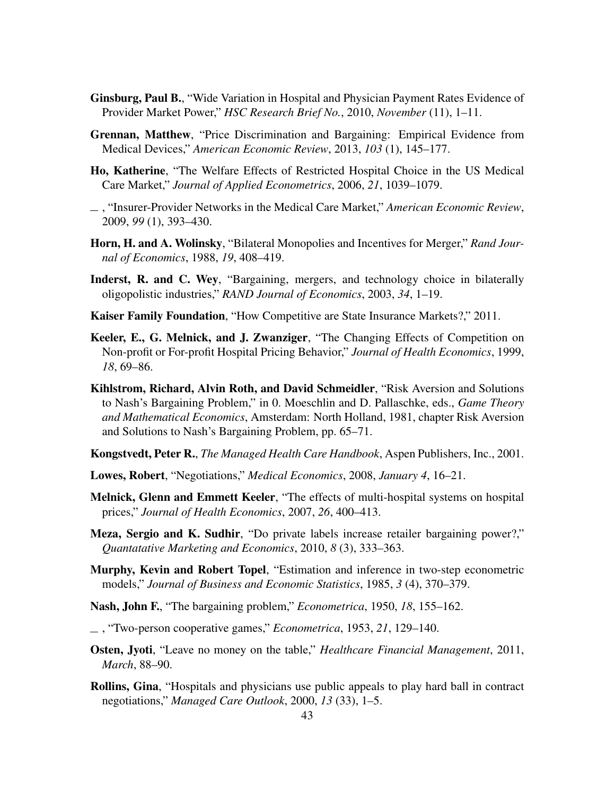- Ginsburg, Paul B., "Wide Variation in Hospital and Physician Payment Rates Evidence of Provider Market Power," *HSC Research Brief No.*, 2010, *November* (11), 1–11.
- Grennan, Matthew, "Price Discrimination and Bargaining: Empirical Evidence from Medical Devices," *American Economic Review*, 2013, *103* (1), 145–177.
- Ho, Katherine, "The Welfare Effects of Restricted Hospital Choice in the US Medical Care Market," *Journal of Applied Econometrics*, 2006, *21*, 1039–1079.
- , "Insurer-Provider Networks in the Medical Care Market," *American Economic Review*, 2009, *99* (1), 393–430.
- Horn, H. and A. Wolinsky, "Bilateral Monopolies and Incentives for Merger," *Rand Journal of Economics*, 1988, *19*, 408–419.
- Inderst, R. and C. Wey, "Bargaining, mergers, and technology choice in bilaterally oligopolistic industries," *RAND Journal of Economics*, 2003, *34*, 1–19.
- Kaiser Family Foundation, "How Competitive are State Insurance Markets?," 2011.
- Keeler, E., G. Melnick, and J. Zwanziger, "The Changing Effects of Competition on Non-profit or For-profit Hospital Pricing Behavior," *Journal of Health Economics*, 1999, *18*, 69–86.
- Kihlstrom, Richard, Alvin Roth, and David Schmeidler, "Risk Aversion and Solutions to Nash's Bargaining Problem," in 0. Moeschlin and D. Pallaschke, eds., *Game Theory and Mathematical Economics*, Amsterdam: North Holland, 1981, chapter Risk Aversion and Solutions to Nash's Bargaining Problem, pp. 65–71.
- Kongstvedt, Peter R., *The Managed Health Care Handbook*, Aspen Publishers, Inc., 2001.
- Lowes, Robert, "Negotiations," *Medical Economics*, 2008, *January 4*, 16–21.
- Melnick, Glenn and Emmett Keeler, "The effects of multi-hospital systems on hospital prices," *Journal of Health Economics*, 2007, *26*, 400–413.
- Meza, Sergio and K. Sudhir, "Do private labels increase retailer bargaining power?," *Quantatative Marketing and Economics*, 2010, *8* (3), 333–363.
- Murphy, Kevin and Robert Topel, "Estimation and inference in two-step econometric models," *Journal of Business and Economic Statistics*, 1985, *3* (4), 370–379.
- Nash, John F., "The bargaining problem," *Econometrica*, 1950, *18*, 155–162.
- , "Two-person cooperative games," *Econometrica*, 1953, *21*, 129–140.
- Osten, Jyoti, "Leave no money on the table," *Healthcare Financial Management*, 2011, *March*, 88–90.
- Rollins, Gina, "Hospitals and physicians use public appeals to play hard ball in contract negotiations," *Managed Care Outlook*, 2000, *13* (33), 1–5.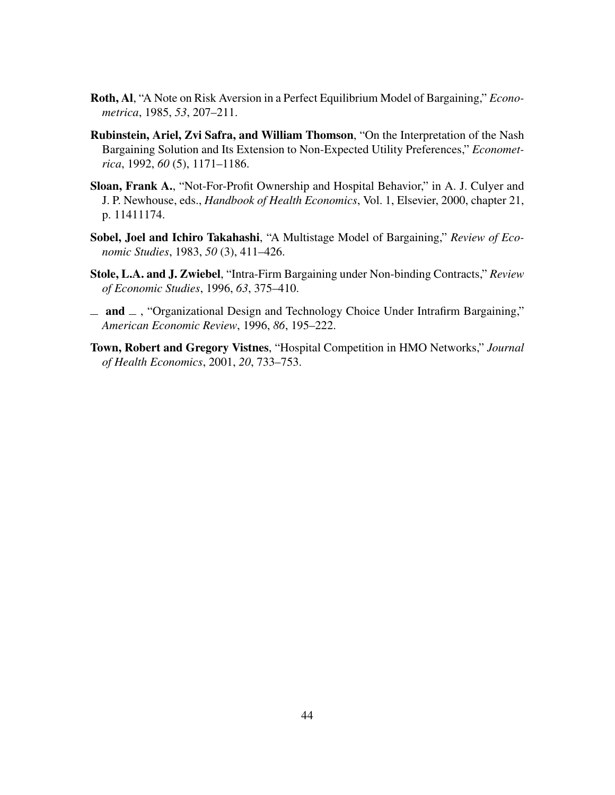- Roth, Al, "A Note on Risk Aversion in a Perfect Equilibrium Model of Bargaining," *Econometrica*, 1985, *53*, 207–211.
- Rubinstein, Ariel, Zvi Safra, and William Thomson, "On the Interpretation of the Nash Bargaining Solution and Its Extension to Non-Expected Utility Preferences," *Econometrica*, 1992, *60* (5), 1171–1186.
- Sloan, Frank A., "Not-For-Profit Ownership and Hospital Behavior," in A. J. Culyer and J. P. Newhouse, eds., *Handbook of Health Economics*, Vol. 1, Elsevier, 2000, chapter 21, p. 11411174.
- Sobel, Joel and Ichiro Takahashi, "A Multistage Model of Bargaining," *Review of Economic Studies*, 1983, *50* (3), 411–426.
- Stole, L.A. and J. Zwiebel, "Intra-Firm Bargaining under Non-binding Contracts," *Review of Economic Studies*, 1996, *63*, 375–410.
- $\equiv$  and  $\equiv$ , "Organizational Design and Technology Choice Under Intrafirm Bargaining," *American Economic Review*, 1996, *86*, 195–222.
- Town, Robert and Gregory Vistnes, "Hospital Competition in HMO Networks," *Journal of Health Economics*, 2001, *20*, 733–753.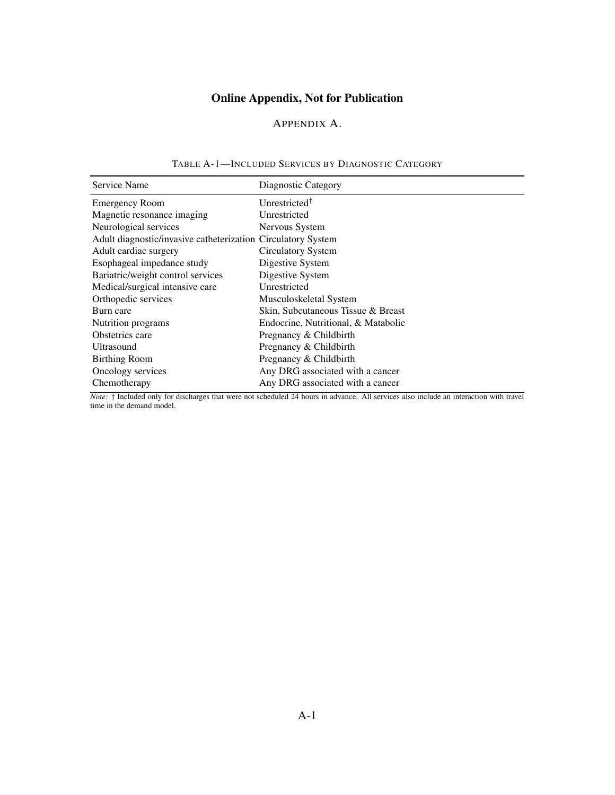# Online Appendix, Not for Publication

# APPENDIX A.

| Service Name                                                 | Diagnostic Category                 |
|--------------------------------------------------------------|-------------------------------------|
| <b>Emergency Room</b>                                        | Unrestricted <sup>†</sup>           |
| Magnetic resonance imaging                                   | Unrestricted                        |
| Neurological services                                        | Nervous System                      |
| Adult diagnostic/invasive catheterization Circulatory System |                                     |
| Adult cardiac surgery                                        | Circulatory System                  |
| Esophageal impedance study                                   | Digestive System                    |
| Bariatric/weight control services                            | Digestive System                    |
| Medical/surgical intensive care                              | Unrestricted                        |
| Orthopedic services                                          | Musculoskeletal System              |
| Burn care                                                    | Skin, Subcutaneous Tissue & Breast  |
| Nutrition programs                                           | Endocrine, Nutritional, & Matabolic |
| Obstetrics care                                              | Pregnancy & Childbirth              |
| Ultrasound                                                   | Pregnancy & Childbirth              |
| <b>Birthing Room</b>                                         | Pregnancy & Childbirth              |
| Oncology services                                            | Any DRG associated with a cancer    |
| Chemotherapy                                                 | Any DRG associated with a cancer    |

#### TABLE A-1—INCLUDED SERVICES BY DIAGNOSTIC CATEGORY

*Note:* † Included only for discharges that were not scheduled 24 hours in advance. All services also include an interaction with travel time in the demand model.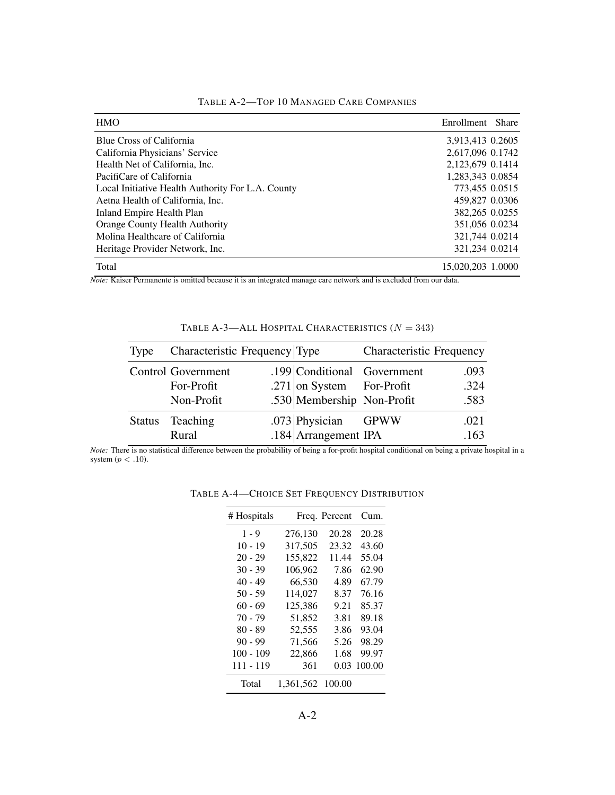| <b>HMO</b>                                        | Enrollment<br><b>Share</b> |
|---------------------------------------------------|----------------------------|
| <b>Blue Cross of California</b>                   | 3.913.413 0.2605           |
| California Physicians' Service                    | 2,617,096 0.1742           |
| Health Net of California, Inc.                    | 2,123,679 0.1414           |
| PacifiCare of California                          | 1,283,343 0.0854           |
| Local Initiative Health Authority For L.A. County | 773,455 0.0515             |
| Aetna Health of California, Inc.                  | 459,827 0.0306             |
| Inland Empire Health Plan                         | 382,265 0.0255             |
| <b>Orange County Health Authority</b>             | 351,056 0.0234             |
| Molina Healthcare of California                   | 321.744 0.0214             |
| Heritage Provider Network, Inc.                   | 321,234 0.0214             |
| Total                                             | 15.020.203 1.0000          |

TABLE A-2—TOP 10 MANAGED CARE COMPANIES

*Note:* Kaiser Permanente is omitted because it is an integrated manage care network and is excluded from our data.

| Type          | Characteristic Frequency Type |                             | <b>Characteristic Frequency</b> |      |
|---------------|-------------------------------|-----------------------------|---------------------------------|------|
|               | <b>Control Government</b>     | .199 Conditional Government |                                 | .093 |
|               | For-Profit                    | .271 on System For-Profit   |                                 | .324 |
|               | Non-Profit                    | .530 Membership Non-Profit  |                                 | .583 |
| <b>Status</b> | Teaching                      | .073 Physician              | GPWW                            | .021 |
|               | Rural                         | $.184$ Arrangement IPA      |                                 | .163 |

TABLE A-3—ALL HOSPITAL CHARACTERISTICS  $(N = 343)$ 

*Note:* There is no statistical difference between the probability of being a for-profit hospital conditional on being a private hospital in a system  $(p < .10)$ .

| # Hospitals |           | Freq. Percent | Cum.   |
|-------------|-----------|---------------|--------|
| $1 - 9$     | 276,130   | 20.28         | 20.28  |
| $10 - 19$   | 317,505   | 23.32         | 43.60  |
| $20 - 29$   | 155,822   | 11.44         | 55.04  |
| $30 - 39$   | 106.962   | 7.86          | 62.90  |
| $40 - 49$   | 66,530    | 4.89          | 67.79  |
| $50 - 59$   | 114,027   | 8.37          | 76.16  |
| $60 - 69$   | 125,386   | 9.21          | 85.37  |
| 70 - 79     | 51,852    | 3.81          | 89.18  |
| $80 - 89$   | 52,555    | 3.86          | 93.04  |
| $90 - 99$   | 71,566    | 5.26          | 98.29  |
| $100 - 109$ | 22,866    | 1.68          | 99.97  |
| 111 - 119   | 361       | 0.03          | 100.00 |
| Total       | 1,361,562 | 100.00        |        |

TABLE A-4—CHOICE SET FREQUENCY DISTRIBUTION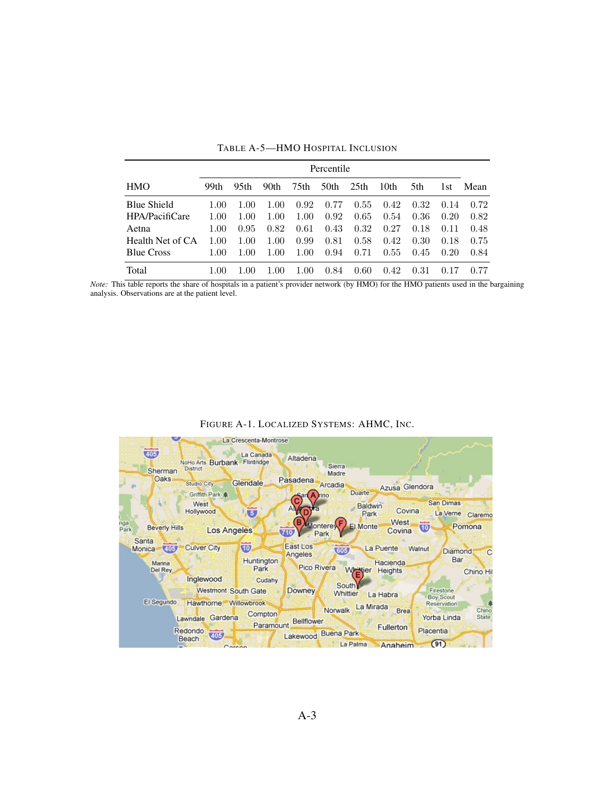|                    |      | Percentile |      |      |      |                  |      |      |      |      |
|--------------------|------|------------|------|------|------|------------------|------|------|------|------|
| <b>HMO</b>         | 99th | 95th       | 90th | 75th | 50th | 25 <sub>th</sub> | 10th | 5th  | 1st  | Mean |
| <b>Blue Shield</b> | 1.00 | 1.00       | 1.00 | 0.92 | 0.77 | 0.55             | 0.42 | 0.32 | 0.14 | 0.72 |
| HPA/PacifiCare     | 1.00 | 1.00       | 1.00 | 1.00 | 0.92 | 0.65             | 0.54 | 0.36 | 0.20 | 0.82 |
| Aetna              | 1.00 | 0.95       | 0.82 | 0.61 | 0.43 | 0.32             | 0.27 | 0.18 | 0.11 | 0.48 |
| Health Net of CA   | 1.00 | 1.00       | 1.00 | 0.99 | 0.81 | 0.58             | 0.42 | 0.30 | 0.18 | 0.75 |
| <b>Blue Cross</b>  | 1.00 | 1.00       | 1.00 | 1.00 | 0.94 | 0.71             | 0.55 | 0.45 | 0.20 | 0.84 |
| Total              | 1.00 | 1.00       | 1.00 | 1.00 | 0.84 | 0.60             | 0.42 | 0.31 |      |      |

TABLE A-5—HMO HOSPITAL INCLUSION

*Note:* This table reports the share of hospitals in a patient's provider network (by HMO) for the HMO patients used in the bargaining analysis. Observations are at the patient level.

|  |  | FIGURE A-1. LOCALIZED SYSTEMS: AHMC, INC. |  |  |  |
|--|--|-------------------------------------------|--|--|--|
|--|--|-------------------------------------------|--|--|--|

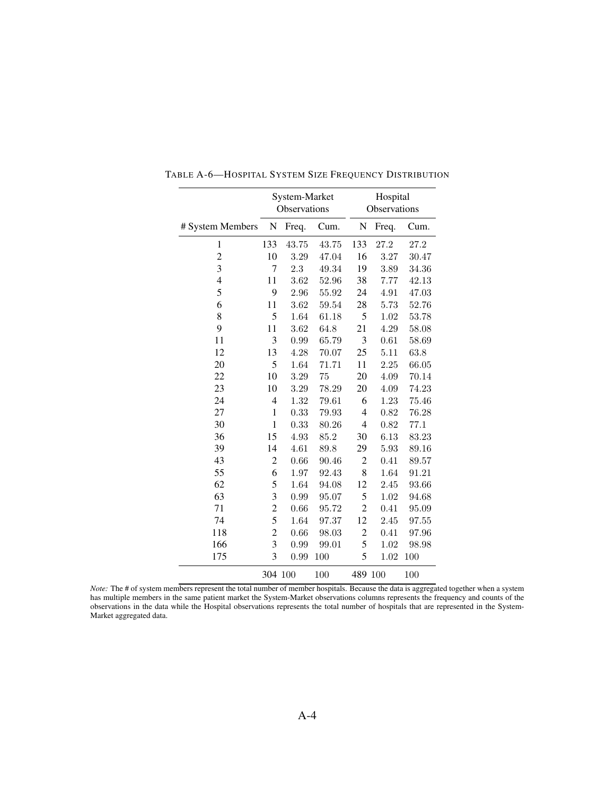|                  |                         | System-Market<br>Observations |       |                | Hospital<br>Observations |       |
|------------------|-------------------------|-------------------------------|-------|----------------|--------------------------|-------|
| # System Members | ${\bf N}$               | Freq.                         | Cum.  | ${\bf N}$      | Freq.                    | Cum.  |
| $\mathbf{1}$     | 133                     | 43.75                         | 43.75 | 133            | 27.2                     | 27.2  |
| $\overline{c}$   | 10                      | 3.29                          | 47.04 | 16             | 3.27                     | 30.47 |
| 3                | 7                       | 2.3                           | 49.34 | 19             | 3.89                     | 34.36 |
| 4                | 11                      | 3.62                          | 52.96 | 38             | 7.77                     | 42.13 |
| 5                | 9                       | 2.96                          | 55.92 | 24             | 4.91                     | 47.03 |
| 6                | 11                      | 3.62                          | 59.54 | 28             | 5.73                     | 52.76 |
| 8                | 5                       | 1.64                          | 61.18 | 5              | 1.02                     | 53.78 |
| 9                | 11                      | 3.62                          | 64.8  | 21             | 4.29                     | 58.08 |
| 11               | 3                       | 0.99                          | 65.79 | 3              | 0.61                     | 58.69 |
| 12               | 13                      | 4.28                          | 70.07 | 25             | 5.11                     | 63.8  |
| 20               | 5                       | 1.64                          | 71.71 | 11             | $2.25\,$                 | 66.05 |
| 22               | 10                      | $3.29\,$                      | 75    | 20             | 4.09                     | 70.14 |
| 23               | 10                      | 3.29                          | 78.29 | 20             | 4.09                     | 74.23 |
| 24               | 4                       | 1.32                          | 79.61 | 6              | 1.23                     | 75.46 |
| 27               | $\mathbf{1}$            | 0.33                          | 79.93 | $\overline{4}$ | 0.82                     | 76.28 |
| 30               | $\mathbf{1}$            | 0.33                          | 80.26 | $\overline{4}$ | 0.82                     | 77.1  |
| 36               | 15                      | 4.93                          | 85.2  | 30             | 6.13                     | 83.23 |
| 39               | 14                      | 4.61                          | 89.8  | 29             | 5.93                     | 89.16 |
| 43               | $\overline{c}$          | 0.66                          | 90.46 | $\overline{c}$ | 0.41                     | 89.57 |
| 55               | 6                       | 1.97                          | 92.43 | 8              | 1.64                     | 91.21 |
| 62               | 5                       | 1.64                          | 94.08 | 12             | 2.45                     | 93.66 |
| 63               | 3                       | 0.99                          | 95.07 | 5              | 1.02                     | 94.68 |
| 71               | $\overline{c}$          | 0.66                          | 95.72 | $\overline{c}$ | 0.41                     | 95.09 |
| 74               | 5                       | 1.64                          | 97.37 | 12             | 2.45                     | 97.55 |
| 118              | $\overline{\mathbf{c}}$ | 0.66                          | 98.03 | $\overline{c}$ | 0.41                     | 97.96 |
| 166              | 3                       | 0.99                          | 99.01 | 5              | 1.02                     | 98.98 |
| 175              | $\overline{3}$          | 0.99                          | 100   | 5              | 1.02                     | 100   |
|                  | 304 100                 |                               | 100   | 489 100        |                          | 100   |

TABLE A-6—HOSPITAL SYSTEM SIZE FREQUENCY DISTRIBUTION

*Note:* The # of system members represent the total number of member hospitals. Because the data is aggregated together when a system has multiple members in the same patient market the System-Market observations columns represents the frequency and counts of the observations in the data while the Hospital observations represents the total number of hospitals that are represented in the System-Market aggregated data.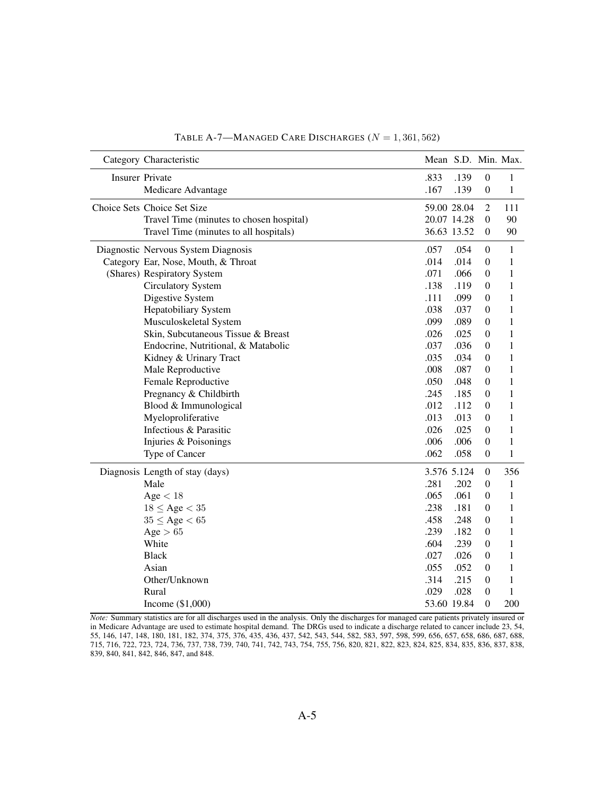| Category Characteristic                  |      | Mean S.D. Min. Max. |                  |              |
|------------------------------------------|------|---------------------|------------------|--------------|
| <b>Insurer Private</b>                   | .833 | .139                | $\boldsymbol{0}$ | $\mathbf{1}$ |
| Medicare Advantage                       | .167 | .139                | $\boldsymbol{0}$ | $\mathbf{1}$ |
| Choice Sets Choice Set Size              |      | 59.00 28.04         | $\overline{2}$   | 111          |
| Travel Time (minutes to chosen hospital) |      | 20.07 14.28         | $\boldsymbol{0}$ | 90           |
| Travel Time (minutes to all hospitals)   |      | 36.63 13.52         | $\mathbf{0}$     | 90           |
| Diagnostic Nervous System Diagnosis      | .057 | .054                | $\boldsymbol{0}$ | $\mathbf{1}$ |
| Category Ear, Nose, Mouth, & Throat      | .014 | .014                | $\mathbf{0}$     | 1            |
| (Shares) Respiratory System              | .071 | .066                | $\theta$         | 1            |
| <b>Circulatory System</b>                | .138 | .119                | $\overline{0}$   | $\mathbf{1}$ |
| Digestive System                         | .111 | .099                | $\theta$         | $\mathbf{1}$ |
| <b>Hepatobiliary System</b>              | .038 | .037                | $\mathbf{0}$     | $\mathbf{1}$ |
| Musculoskeletal System                   | .099 | .089                | $\mathbf{0}$     | $\mathbf{1}$ |
| Skin, Subcutaneous Tissue & Breast       | .026 | .025                | $\theta$         | $\mathbf{1}$ |
| Endocrine, Nutritional, & Matabolic      | .037 | .036                | $\theta$         | 1            |
| Kidney & Urinary Tract                   | .035 | .034                | $\boldsymbol{0}$ | 1            |
| Male Reproductive                        | .008 | .087                | $\mathbf{0}$     | 1            |
| Female Reproductive                      | .050 | .048                | $\boldsymbol{0}$ | $\mathbf{1}$ |
| Pregnancy & Childbirth                   | .245 | .185                | $\boldsymbol{0}$ | $\mathbf{1}$ |
| Blood & Immunological                    | .012 | .112                | $\boldsymbol{0}$ | $\mathbf{1}$ |
| Myeloproliferative                       | .013 | .013                | $\mathbf{0}$     | $\mathbf{1}$ |
| Infectious & Parasitic                   | .026 | .025                | $\mathbf{0}$     | $\mathbf{1}$ |
| Injuries & Poisonings                    | .006 | .006                | $\boldsymbol{0}$ | $\mathbf{1}$ |
| Type of Cancer                           | .062 | .058                | $\boldsymbol{0}$ | $\mathbf{1}$ |
| Diagnosis Length of stay (days)          |      | 3.576 5.124         | $\boldsymbol{0}$ | 356          |
| Male                                     | .281 | .202                | $\boldsymbol{0}$ | $\mathbf{1}$ |
| Age < 18                                 | .065 | .061                | $\mathbf{0}$     | $\mathbf{1}$ |
| $18 \leq Age < 35$                       | .238 | .181                | $\theta$         | 1            |
| $35 \leq Age < 65$                       | .458 | .248                | $\theta$         | $\mathbf{1}$ |
| Age $> 65$                               | .239 | .182                | $\theta$         | $\mathbf{1}$ |
| White                                    | .604 | .239                | $\Omega$         | 1            |
| <b>Black</b>                             | .027 | .026                | $\mathbf{0}$     | $\mathbf{1}$ |
| Asian                                    | .055 | .052                | $\mathbf{0}$     | 1            |
| Other/Unknown                            | .314 | .215                | $\boldsymbol{0}$ | 1            |
| Rural                                    | .029 | .028                | $\boldsymbol{0}$ | $\mathbf{1}$ |
| Income $(\$1,000)$                       |      | 53.60 19.84         | $\overline{0}$   | 200          |

TABLE A-7—MANAGED CARE DISCHARGES  $(N = 1, 361, 562)$ 

*Note:* Summary statistics are for all discharges used in the analysis. Only the discharges for managed care patients privately insured or in Medicare Advantage are used to estimate hospital demand. The DRGs used to indicate a discharge related to cancer include 23, 54, 55, 146, 147, 148, 180, 181, 182, 374, 375, 376, 435, 436, 437, 542, 543, 544, 582, 583, 597, 598, 599, 656, 657, 658, 686, 687, 688, 715, 716, 722, 723, 724, 736, 737, 738, 739, 740, 741, 742, 743, 754, 755, 756, 820, 821, 822, 823, 824, 825, 834, 835, 836, 837, 838, 839, 840, 841, 842, 846, 847, and 848.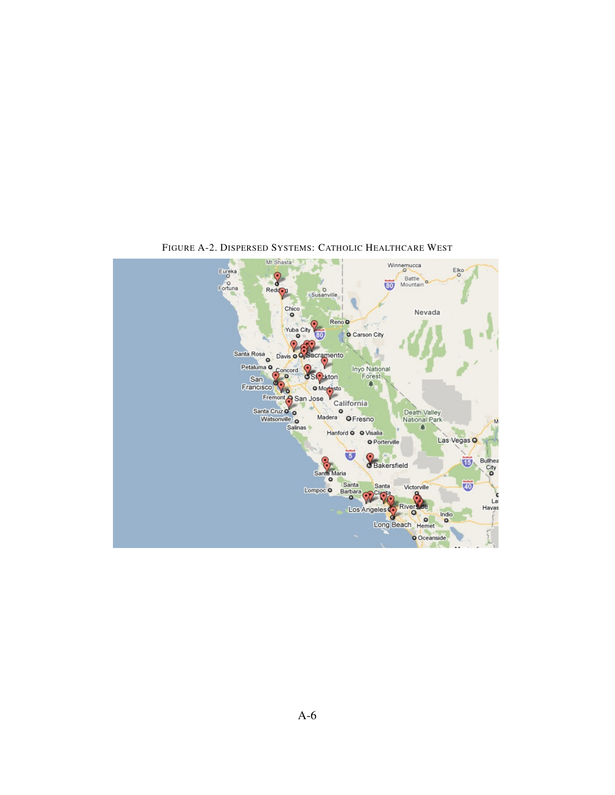

FIGURE A-2. DISPERSED SYSTEMS: CATHOLIC HEALTHCARE WEST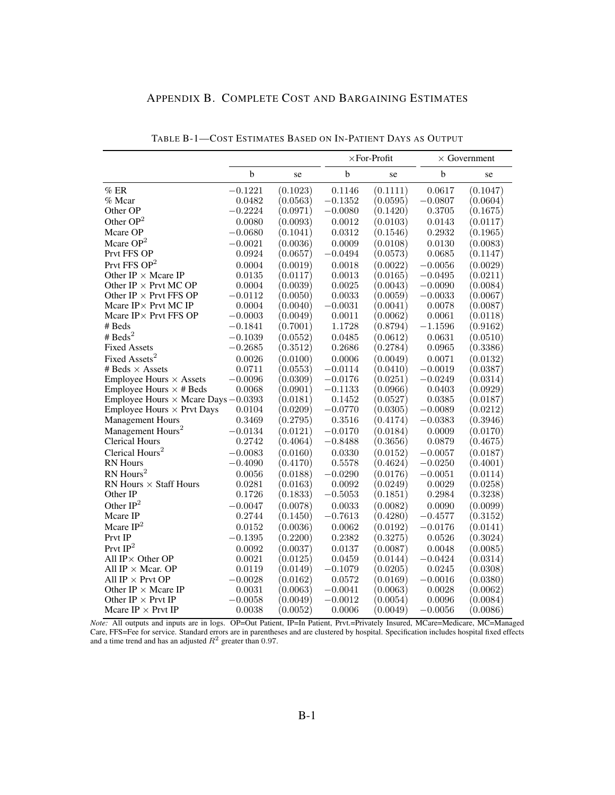| APPENDIX B. COMPLETE COST AND BARGAINING ESTIMATES |  |
|----------------------------------------------------|--|
|----------------------------------------------------|--|

|                                                     |            |                        | $\times$ For-Profit |          |             | $\times$ Government    |
|-----------------------------------------------------|------------|------------------------|---------------------|----------|-------------|------------------------|
|                                                     | b          | se                     | b                   | se       | $\mathbf b$ | se                     |
| $\%$ ER                                             | $-0.1221$  | (0.1023)               | 0.1146              | (0.1111) | 0.0617      | (0.1047)               |
| % Mcar                                              | 0.0482     | (0.0563)               | $-0.1352$           | (0.0595) | $-0.0807$   | (0.0604)               |
| Other OP                                            | $-0.2224$  | (0.0971)               | $-0.0080$           | (0.1420) | 0.3705      | (0.1675)               |
| Other $OP2$                                         | 0.0080     | (0.0093)               | 0.0012              | (0.0103) | 0.0143      | (0.0117)               |
| Mcare OP                                            | $-0.0680$  | (0.1041)               | 0.0312              | (0.1546) | 0.2932      | (0.1965)               |
| Mcare $OP2$                                         | $-0.0021$  | (0.0036)               | 0.0009              | (0.0108) | 0.0130      | (0.0083)               |
| Prvt FFS OP                                         | 0.0924     | (0.0657)               | $-0.0494$           | (0.0573) | 0.0685      | (0.1147)               |
| Prvt FFS $OP2$                                      | 0.0004     | (0.0019)               | 0.0018              | (0.0022) | $-0.0056$   | (0.0029)               |
| Other IP $\times$ Mcare IP                          | 0.0135     | (0.0117)               | 0.0013              | (0.0165) | $-0.0495$   | (0.0211)               |
| Other IP $\times$ Prvt MC OP                        | 0.0004     | (0.0039)               | 0.0025              | (0.0043) | $-0.0090$   | (0.0084)               |
| Other IP $\times$ Prvt FFS OP                       | $-0.0112$  | (0.0050)               | 0.0033              | (0.0059) | $-0.0033$   | (0.0067)               |
| Mcare IP × Prvt MC IP                               | 0.0004     | (0.0040)               | $-0.0031$           | (0.0041) | 0.0078      | (0.0087)               |
| Mcare IP × Prvt FFS OP                              | $-0.0003$  | (0.0049)               | 0.0011              | (0.0062) | 0.0061      | (0.0118)               |
| # Beds                                              | $-0.1841$  | (0.7001)               | 1.1728              | (0.8794) | $-1.1596$   | (0.9162)               |
| # $\text{Beds}^2$                                   | $-0.1039$  | (0.0552)               | 0.0485              | (0.0612) | 0.0631      | (0.0510)               |
| <b>Fixed Assets</b>                                 | $-0.2685$  | (0.3512)               | 0.2686              | (0.2784) | 0.0965      | (0.3386)               |
| Fixed Assets <sup>2</sup>                           | 0.0026     | (0.0100)               | 0.0006              | (0.0049) | 0.0071      | (0.0132)               |
| # Beds $\times$ Assets                              | 0.0711     | (0.0553)               | $-0.0114$           | (0.0410) | $-0.0019$   | (0.0387)               |
| Employee Hours $\times$ Assets                      | $-0.0096$  | (0.0309)               | $-0.0176$           | (0.0251) | $-0.0249$   | (0.0314)               |
| Employee Hours $\times$ # Beds                      | 0.0068     | (0.0901)               | $-0.1133$           | (0.0966) | 0.0403      | $\left( 0.0929\right)$ |
| Employee Hours $\times$ Mcare Days $-0.0393$        |            | (0.0181)               | 0.1452              | (0.0527) | 0.0385      | $\left( 0.0187\right)$ |
| <b>Employee Hours <math>\times</math> Prvt Days</b> | 0.0104     | (0.0209)               | $-0.0770$           | (0.0305) | $-0.0089$   | (0.0212)               |
| <b>Management Hours</b>                             | $0.3469\,$ | (0.2795)               | 0.3516              | (0.4174) | $-0.0383$   | (0.3946)               |
| Management Hours <sup>2</sup>                       | $-0.0134$  | (0.0121)               | $-0.0170$           | (0.0184) | 0.0009      | (0.0170)               |
| <b>Clerical Hours</b>                               | 0.2742     | (0.4064)               | $-0.8488$           | (0.3656) | 0.0879      | (0.4675)               |
| Clerical Hours <sup>2</sup>                         | $-0.0083$  | (0.0160)               | 0.0330              | (0.0152) | $-0.0057$   | (0.0187)               |
| <b>RN</b> Hours                                     | $-0.4090$  | (0.4170)               | 0.5578              | (0.4624) | $-0.0250$   | (0.4001)               |
| RN Hours <sup>2</sup>                               | 0.0056     | (0.0188)               | $-0.0290$           | (0.0176) | $-0.0051$   | (0.0114)               |
| RN Hours $\times$ Staff Hours                       | 0.0281     | (0.0163)               | 0.0092              | (0.0249) | 0.0029      | (0.0258)               |
| Other IP                                            | 0.1726     | (0.1833)               | $-0.5053$           | (0.1851) | 0.2984      | (0.3238)               |
| Other $IP2$                                         | $-0.0047$  | (0.0078)               | 0.0033              | (0.0082) | 0.0090      | (0.0099)               |
| Mcare IP                                            | 0.2744     | (0.1450)               | $-0.7613$           | (0.4280) | $-0.4577$   | (0.3152)               |
| Mcare $IP2$                                         | 0.0152     | (0.0036)               | 0.0062              | (0.0192) | $-0.0176$   | (0.0141)               |
| Prvt IP                                             | $-0.1395$  | (0.2200)               | 0.2382              | (0.3275) | 0.0526      | (0.3024)               |
| Prvt $\mathrm{IP}^2$                                | 0.0092     | (0.0037)               | 0.0137              | (0.0087) | 0.0048      | (0.0085)               |
| All $IP \times$ Other OP                            | 0.0021     | (0.0125)               | 0.0459              | (0.0144) | $-0.0424$   | (0.0314)               |
| All IP $\times$ Mear. OP                            | 0.0119     | $\left( 0.0149\right)$ | $-0.1079$           | (0.0205) | 0.0245      | (0.0308)               |
| All IP $\times$ Prvt OP                             | $-0.0028$  | (0.0162)               | 0.0572              | (0.0169) | $-0.0016$   | (0.0380)               |
| Other IP $\times$ Mcare IP                          | 0.0031     | (0.0063)               | $-0.0041$           | (0.0063) | 0.0028      | (0.0062)               |
| Other IP $\times$ Prvt IP                           | $-0.0058$  | $\left( 0.0049\right)$ | $-0.0012$           | (0.0054) | 0.0096      | (0.0084)               |
| Meare IP $\times$ Prvt IP                           | 0.0038     | (0.0052)               | 0.0006              | (0.0049) | $-0.0056$   | (0.0086)               |

TABLE B-1—COST ESTIMATES BASED ON IN-PATIENT DAYS AS OUTPUT

*Note:* All outputs and inputs are in logs. OP=Out Patient, IP=In Patient, Prvt.=Privately Insured, MCare=Medicare, MC=Managed Care, FFS=Fee for service. Standard errors are in parentheses and are clustered by hospital. Specification includes hospital fixed effects<br>and a time trend and has an adjusted  $R^2$  greater than 0.97.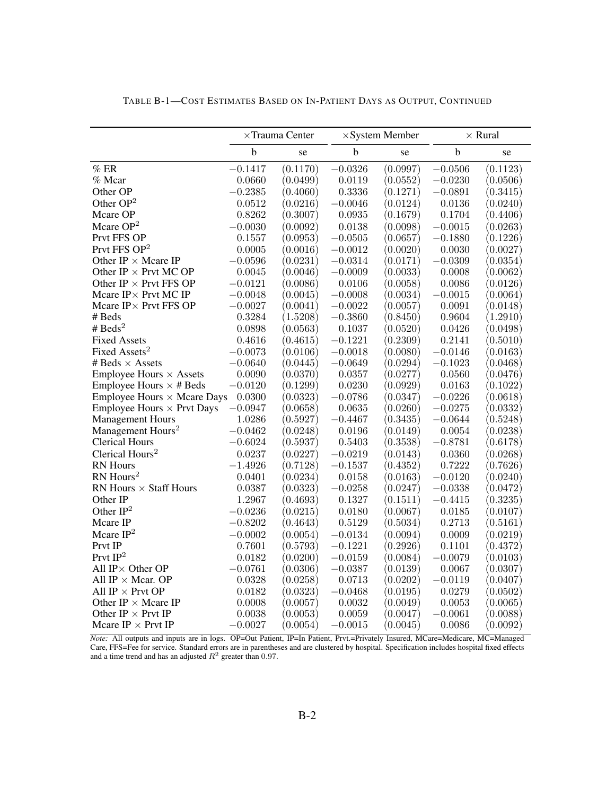|                                                      | $\times$ Trauma Center |                        |             | $\times$ System Member | $\times$ Rural |          |  |
|------------------------------------------------------|------------------------|------------------------|-------------|------------------------|----------------|----------|--|
|                                                      | $\mathbf b$            | se                     | $\mathbf b$ | se                     | $\mathbf b$    | se       |  |
| $\%$ ER                                              | $-0.1417$              | (0.1170)               | $-0.0326$   | (0.0997)               | $-0.0506$      | (0.1123) |  |
| % Mcar                                               | 0.0660                 | (0.0499)               | 0.0119      | (0.0552)               | $-0.0230$      | (0.0506) |  |
| Other OP                                             | $-0.2385$              | (0.4060)               | 0.3336      | (0.1271)               | $-0.0891$      | (0.3415) |  |
| Other OP <sup>2</sup>                                | 0.0512                 | (0.0216)               | $-0.0046$   | (0.0124)               | 0.0136         | (0.0240) |  |
| Mcare OP                                             | 0.8262                 | (0.3007)               | 0.0935      | (0.1679)               | 0.1704         | (0.4406) |  |
| Mcare $OP2$                                          | $-0.0030$              | (0.0092)               | 0.0138      | (0.0098)               | $-0.0015$      | (0.0263) |  |
| Prvt FFS OP                                          | 0.1557                 | (0.0953)               | $-0.0505$   | (0.0657)               | $-0.1880$      | (0.1226) |  |
| Prvt FFS $OP2$                                       | 0.0005                 | (0.0016)               | $-0.0012$   | (0.0020)               | 0.0030         | (0.0027) |  |
| Other IP $\times$ Mcare IP                           | $-0.0596$              | (0.0231)               | $-0.0314$   | (0.0171)               | $-0.0309$      | (0.0354) |  |
| Other IP $\times$ Prvt MC OP                         | 0.0045                 | (0.0046)               | $-0.0009$   | (0.0033)               | 0.0008         | (0.0062) |  |
| Other IP $\times$ Prvt FFS OP                        | $-0.0121$              | (0.0086)               | 0.0106      | (0.0058)               | 0.0086         | (0.0126) |  |
| Mcare IP× Prvt MC IP                                 | $-0.0048$              | (0.0045)               | $-0.0008$   | (0.0034)               | $-0.0015$      | (0.0064) |  |
| Mcare $IP \times$ Prvt FFS OP                        | $-0.0027$              | (0.0041)               | $-0.0022$   | (0.0057)               | 0.0091         | (0.0148) |  |
| # Beds                                               | 0.3284                 | (1.5208)               | $-0.3860$   | (0.8450)               | 0.9604         | (1.2910) |  |
| # $\text{Beds}^2$                                    | 0.0898                 | (0.0563)               | 0.1037      | (0.0520)               | 0.0426         | (0.0498) |  |
| <b>Fixed Assets</b>                                  | 0.4616                 | (0.4615)               | $-0.1221$   | (0.2309)               | 0.2141         | (0.5010) |  |
| Fixed Assets <sup>2</sup>                            | $-0.0073$              | (0.0106)               | $-0.0018$   | (0.0080)               | $-0.0146$      | (0.0163) |  |
| # Beds $\times$ Assets                               | $-0.0640$              | (0.0445)               | $-0.0649$   | (0.0294)               | $-0.1023$      | (0.0468) |  |
| <b>Employee Hours <math>\times</math> Assets</b>     | 0.0090                 | (0.0370)               | 0.0357      | (0.0277)               | 0.0560         | (0.0476) |  |
| Employee Hours $\times$ # Beds                       | $-0.0120$              | (0.1299)               | 0.0230      | (0.0929)               | 0.0163         | (0.1022) |  |
| <b>Employee Hours <math>\times</math> Mcare Days</b> | 0.0300                 | (0.0323)               | $-0.0786$   | $\left( 0.0347\right)$ | $-0.0226$      | (0.0618) |  |
| <b>Employee Hours <math>\times</math> Prvt Days</b>  | $-0.0947$              | (0.0658)               | 0.0635      | (0.0260)               | $-0.0275$      | (0.0332) |  |
| <b>Management Hours</b>                              | 1.0286                 | (0.5927)               | $-0.4467$   | (0.3435)               | $-0.0644$      | (0.5248) |  |
| Management Hours <sup>2</sup>                        | $-0.0462$              | (0.0248)               | 0.0196      | (0.0149)               | 0.0054         | (0.0238) |  |
| <b>Clerical Hours</b>                                | $-0.6024$              | (0.5937)               | 0.5403      | (0.3538)               | $-0.8781$      | (0.6178) |  |
| Clerical Hours <sup>2</sup>                          | 0.0237                 | (0.0227)               | $-0.0219$   | (0.0143)               | 0.0360         | (0.0268) |  |
| <b>RN</b> Hours                                      | $-1.4926$              | (0.7128)               | $-0.1537$   | (0.4352)               | 0.7222         | (0.7626) |  |
| RN Hours <sup>2</sup>                                | 0.0401                 | (0.0234)               | 0.0158      | (0.0163)               | $-0.0120$      | (0.0240) |  |
| RN Hours $\times$ Staff Hours                        | 0.0387                 | (0.0323)               | $-0.0258$   | (0.0247)               | $-0.0338$      | (0.0472) |  |
| Other IP                                             | 1.2967                 | (0.4693)               | 0.1327      | (0.1511)               | $-0.4415$      | (0.3235) |  |
| Other $IP2$                                          | $-0.0236$              | (0.0215)               | 0.0180      | (0.0067)               | 0.0185         | (0.0107) |  |
| Mcare IP                                             | $-0.8202$              | (0.4643)               | 0.5129      | (0.5034)               | 0.2713         | (0.5161) |  |
| Mcare $IP2$                                          | $-0.0002$              | (0.0054)               | $-0.0134$   | (0.0094)               | 0.0009         | (0.0219) |  |
| Prvt IP                                              | 0.7601                 | $\left( 0.5793\right)$ | $-0.1221$   | (0.2926)               | 0.1101         | (0.4372) |  |
| Prvt $IP2$                                           | 0.0182                 | (0.0200)               | $-0.0159$   | (0.0084)               | $-0.0079$      | (0.0103) |  |
| All $IP \times$ Other OP                             | $-0.0761$              | (0.0306)               | $-0.0387$   | (0.0139)               | 0.0067         | (0.0307) |  |
| All IP $\times$ Mcar. OP                             | 0.0328                 | (0.0258)               | 0.0713      | (0.0202)               | $-0.0119$      | (0.0407) |  |
| All IP $\times$ Prvt OP                              | 0.0182                 | (0.0323)               | $-0.0468$   | (0.0195)               | 0.0279         | (0.0502) |  |
| Other IP $\times$ Mcare IP                           | 0.0008                 | (0.0057)               | 0.0032      | (0.0049)               | 0.0053         | (0.0065) |  |
| Other IP $\times$ Prvt IP                            | 0.0038                 | (0.0053)               | 0.0059      | $\left( 0.0047\right)$ | $-0.0061$      | (0.0088) |  |
| Mcare IP $\times$ Prvt IP                            | $-0.0027$              | (0.0054)               | $-0.0015$   | (0.0045)               | 0.0086         | (0.0092) |  |

TABLE B-1—COST ESTIMATES BASED ON IN-PATIENT DAYS AS OUTPUT, CONTINUED

*Note:* All outputs and inputs are in logs. OP=Out Patient, IP=In Patient, Prvt.=Privately Insured, MCare=Medicare, MC=Managed Care, FFS=Fee for service. Standard errors are in parentheses and are clustered by hospital. Specification includes hospital fixed effects and a time trend and has an adjusted  $R^2$  greater than 0.97.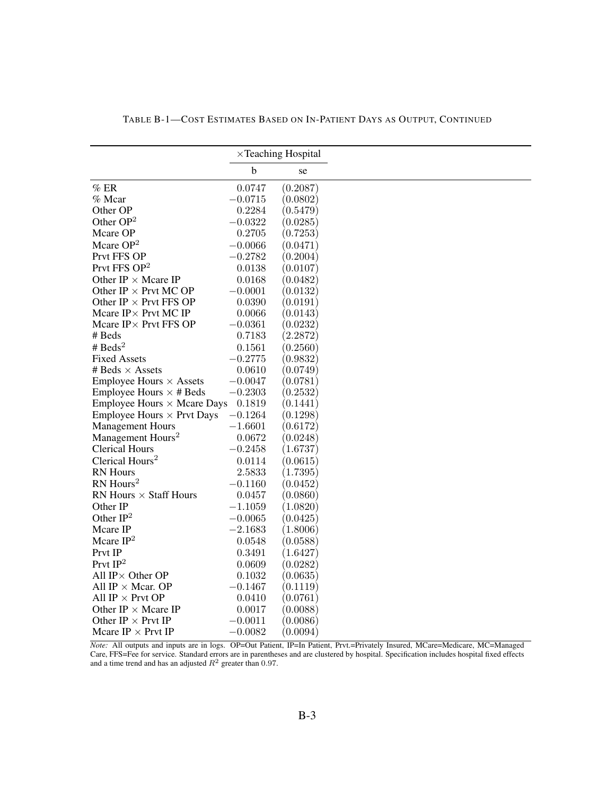|                                                      |             | $\times$ Teaching Hospital |
|------------------------------------------------------|-------------|----------------------------|
|                                                      | $\mathbf b$ | se                         |
| $%$ ER                                               | 0.0747      | (0.2087)                   |
| % Mcar                                               | $-0.0715$   | (0.0802)                   |
| Other OP                                             | 0.2284      | (0.5479)                   |
| Other $OP2$                                          | $-0.0322$   | (0.0285)                   |
| Mcare OP                                             | 0.2705      | (0.7253)                   |
| Mcare OP <sup>2</sup>                                | $-0.0066$   | (0.0471)                   |
| Prvt FFS OP                                          | $-0.2782$   | (0.2004)                   |
| Prvt FFS OP <sup>2</sup>                             | 0.0138      | (0.0107)                   |
| Other IP $\times$ Mcare IP                           | 0.0168      | (0.0482)                   |
| Other IP $\times$ Prvt MC OP                         | $-0.0001$   | (0.0132)                   |
| Other IP $\times$ Prvt FFS OP                        | 0.0390      | (0.0191)                   |
| Mcare $IP \times$ Prvt MC IP                         | 0.0066      | (0.0143)                   |
| Mcare IP× Prvt FFS OP                                | $-0.0361$   | (0.0232)                   |
| # Beds                                               | 0.7183      | (2.2872)                   |
| # $\text{Beds}^2$                                    | 0.1561      | (0.2560)                   |
| <b>Fixed Assets</b>                                  | $-0.2775$   | (0.9832)                   |
| # Beds $\times$ Assets                               | 0.0610      | (0.0749)                   |
| <b>Employee Hours <math>\times</math> Assets</b>     | $-0.0047$   | (0.0781)                   |
| Employee Hours $\times$ # Beds                       | $-0.2303$   | $\left( 0.2532\right)$     |
| <b>Employee Hours <math>\times</math> Mcare Days</b> | 0.1819      | (0.1441)                   |
| <b>Employee Hours <math>\times</math> Prvt Days</b>  | $-0.1264$   | (0.1298)                   |
| <b>Management Hours</b>                              | $-1.6601$   | $\left( 0.6172\right)$     |
| Management Hours <sup>2</sup>                        | 0.0672      | (0.0248)                   |
| <b>Clerical Hours</b>                                | $-0.2458$   | (1.6737)                   |
| Clerical Hours <sup>2</sup>                          | 0.0114      | (0.0615)                   |
| <b>RN</b> Hours                                      | 2.5833      | (1.7395)                   |
| $RN$ Hours <sup>2</sup>                              | $-0.1160$   | (0.0452)                   |
| RN Hours $\times$ Staff Hours                        | 0.0457      | (0.0860)                   |
| Other IP                                             | $-1.1059$   | (1.0820)                   |
| Other $IP2$                                          | $-0.0065$   | (0.0425)                   |
| Mcare IP                                             | $-2.1683$   | (1.8006)                   |
| Mcare $IP2$                                          | 0.0548      | (0.0588)                   |
| Prvt IP                                              | 0.3491      | (1.6427)                   |
| Prvt $\mathrm{IP}^2$                                 |             |                            |
| All $IP \times$ Other OP                             | 0.0609      | (0.0282)                   |
|                                                      | 0.1032      | (0.0635)                   |
| All IP $\times$ Mcar. OP                             | $-0.1467$   | $\left( 0.1119\right)$     |
| All IP $\times$ Prvt OP                              | 0.0410      | (0.0761)                   |
| Other IP $\times$ Mcare IP                           | 0.0017      | (0.0088)                   |
| Other IP $\times$ Prvt IP                            | $-0.0011$   | (0.0086)                   |
| Mcare IP $\times$ Prvt IP                            | $-0.0082$   | (0.0094)                   |

TABLE B-1—COST ESTIMATES BASED ON IN-PATIENT DAYS AS OUTPUT, CONTINUED

*Note:* All outputs and inputs are in logs. OP=Out Patient, IP=In Patient, Prvt.=Privately Insured, MCare=Medicare, MC=Managed Care, FFS=Fee for service. Standard errors are in parentheses and are clustered by hospital. Specification includes hospital fixed effects<br>and a time trend and has an adjusted  $R^2$  greater than 0.97.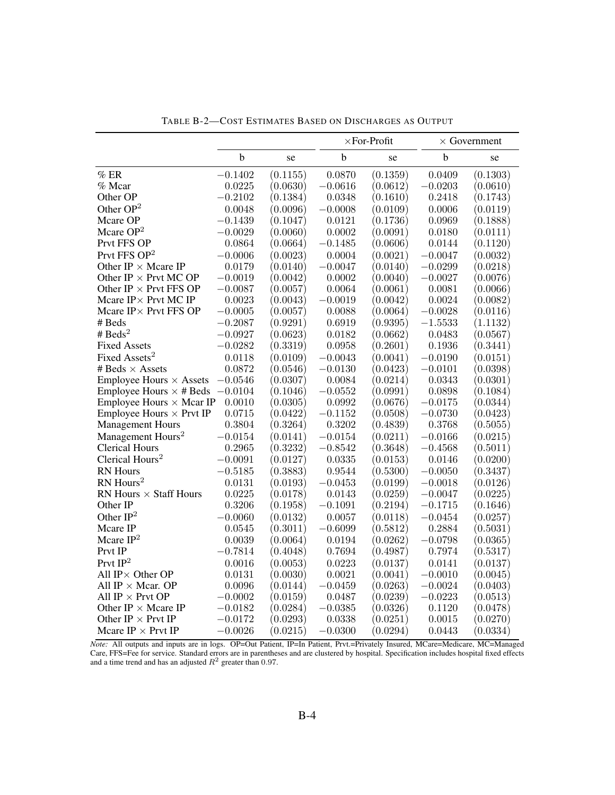|                                                  |             |          |             | $\times$ For-Profit |             | $\times$ Government    |
|--------------------------------------------------|-------------|----------|-------------|---------------------|-------------|------------------------|
|                                                  | $\mathbf b$ | se       | $\mathbf b$ | se                  | $\mathbf b$ | se                     |
| %ER                                              | $-0.1402$   | (0.1155) | 0.0870      | (0.1359)            | 0.0409      | (0.1303)               |
| % Mcar                                           | 0.0225      | (0.0630) | $-0.0616$   | (0.0612)            | $-0.0203$   | (0.0610)               |
| Other OP                                         | $-0.2102$   | (0.1384) | 0.0348      | (0.1610)            | 0.2418      | (0.1743)               |
| Other $OP2$                                      | 0.0048      | (0.0096) | $-0.0008$   | (0.0109)            | 0.0006      | (0.0119)               |
| Mcare OP                                         | $-0.1439$   | (0.1047) | 0.0121      | (0.1736)            | 0.0969      | (0.1888)               |
| Mcare $OP2$                                      | $-0.0029$   | (0.0060) | 0.0002      | (0.0091)            | 0.0180      | (0.0111)               |
| Prvt FFS OP                                      | 0.0864      | (0.0664) | $-0.1485$   | (0.0606)            | 0.0144      | (0.1120)               |
| Prvt FFS $OP2$                                   | $-0.0006$   | (0.0023) | 0.0004      | (0.0021)            | $-0.0047$   | (0.0032)               |
| Other IP $\times$ Mcare IP                       | 0.0179      | (0.0140) | $-0.0047$   | (0.0140)            | $-0.0299$   | (0.0218)               |
| Other IP $\times$ Prvt MC OP                     | $-0.0019$   | (0.0042) | 0.0002      | (0.0040)            | $-0.0027$   | (0.0076)               |
| Other IP $\times$ Prvt FFS OP                    | $-0.0087$   | (0.0057) | 0.0064      | (0.0061)            | 0.0081      | (0.0066)               |
| Mcare $IP \times$ Prvt MC IP                     | 0.0023      | (0.0043) | $-0.0019$   | (0.0042)            | 0.0024      | (0.0082)               |
| Mcare $IP \times$ Prvt FFS OP                    | $-0.0005$   | (0.0057) | 0.0088      | (0.0064)            | $-0.0028$   | (0.0116)               |
| $#$ Beds                                         | $-0.2087$   | (0.9291) | 0.6919      | (0.9395)            | $-1.5533$   | (1.1132)               |
| # Beds <sup>2</sup>                              | $-0.0927$   | (0.0623) | 0.0182      | (0.0662)            | 0.0483      | (0.0567)               |
| <b>Fixed Assets</b>                              | $-0.0282$   | (0.3319) | 0.0958      | (0.2601)            | 0.1936      | (0.3441)               |
| Fixed Assets <sup>2</sup>                        | 0.0118      | (0.0109) | $-0.0043$   | (0.0041)            | $-0.0190$   | (0.0151)               |
| # Beds $\times$ Assets                           | 0.0872      | (0.0546) | $-0.0130$   | (0.0423)            | $-0.0101$   | (0.0398)               |
| <b>Employee Hours <math>\times</math> Assets</b> | $-0.0546$   | (0.0307) | 0.0084      | (0.0214)            | 0.0343      | (0.0301)               |
| Employee Hours $\times$ # Beds                   | $-0.0104$   | (0.1046) | $-0.0552$   | (0.0991)            | 0.0898      | (0.1084)               |
| Employee Hours $\times$ Mcar IP                  | 0.0010      | (0.0305) | 0.0992      | (0.0676)            | $-0.0175$   | (0.0344)               |
| Employee Hours $\times$ Prvt IP                  | 0.0715      | (0.0422) | $-0.1152$   | (0.0508)            | $-0.0730$   | (0.0423)               |
| <b>Management Hours</b>                          | 0.3804      | (0.3264) | 0.3202      | (0.4839)            | $0.3768\,$  | (0.5055)               |
| Management Hours <sup>2</sup>                    | $-0.0154$   | (0.0141) | $-0.0154$   | (0.0211)            | $-0.0166$   | (0.0215)               |
| <b>Clerical Hours</b>                            | 0.2965      | (0.3232) | $-0.8542$   | (0.3648)            | $-0.4568$   | (0.5011)               |
| Clerical Hours <sup>2</sup>                      | $-0.0091$   | (0.0127) | 0.0335      | (0.0153)            | 0.0146      | (0.0200)               |
| RN Hours                                         | $-0.5185$   | (0.3883) | 0.9544      | (0.5300)            | $-0.0050$   | (0.3437)               |
| RN Hours <sup>2</sup>                            | 0.0131      | (0.0193) | $-0.0453$   | (0.0199)            | $-0.0018$   | (0.0126)               |
| RN Hours $\times$ Staff Hours                    | 0.0225      | (0.0178) | 0.0143      | (0.0259)            | $-0.0047$   | (0.0225)               |
| Other IP                                         | 0.3206      | (0.1958) | $-0.1091$   | (0.2194)            | $-0.1715$   | $\left( 0.1646\right)$ |
| Other $IP2$                                      | $-0.0060$   | (0.0132) | 0.0057      | (0.0118)            | $-0.0454$   | (0.0257)               |
| Mcare IP                                         | 0.0545      | (0.3011) | $-0.6099$   | (0.5812)            | 0.2884      | (0.5031)               |
| Mcare $IP2$                                      | 0.0039      | (0.0064) | 0.0194      | (0.0262)            | $-0.0798$   | (0.0365)               |
| Prvt IP                                          | $-0.7814$   | (0.4048) | 0.7694      | (0.4987)            | 0.7974      | (0.5317)               |
| Prvt $\mathrm{IP}^2$                             | 0.0016      | (0.0053) | 0.0223      | (0.0137)            | 0.0141      | (0.0137)               |
| All $IP \times$ Other OP                         | 0.0131      | (0.0030) | 0.0021      | (0.0041)            | $-0.0010$   | (0.0045)               |
| All IP $\times$ Mcar. OP                         | 0.0096      | (0.0144) | $-0.0459$   | (0.0263)            | $-0.0024$   | (0.0403)               |
| All IP $\times$ Prvt OP                          | $-0.0002$   | (0.0159) | 0.0487      | (0.0239)            | $-0.0223$   | (0.0513)               |
| Other IP $\times$ Mcare IP                       | $-0.0182$   | (0.0284) | $-0.0385$   | (0.0326)            | 0.1120      | (0.0478)               |
| Other IP $\times$ Prvt IP                        | $-0.0172$   | (0.0293) | 0.0338      | (0.0251)            | 0.0015      | (0.0270)               |
| Mcare IP $\times$ Prvt IP                        | $-0.0026$   | (0.0215) | $-0.0300$   | (0.0294)            | 0.0443      | (0.0334)               |

TABLE B-2—COST ESTIMATES BASED ON DISCHARGES AS OUTPUT

*Note:* All outputs and inputs are in logs. OP=Out Patient, IP=In Patient, Prvt.=Privately Insured, MCare=Medicare, MC=Managed Care, FFS=Fee for service. Standard errors are in parentheses and are clustered by hospital. Specification includes hospital fixed effects and a time trend and has an adjusted  $R^2$  greater than 0.97.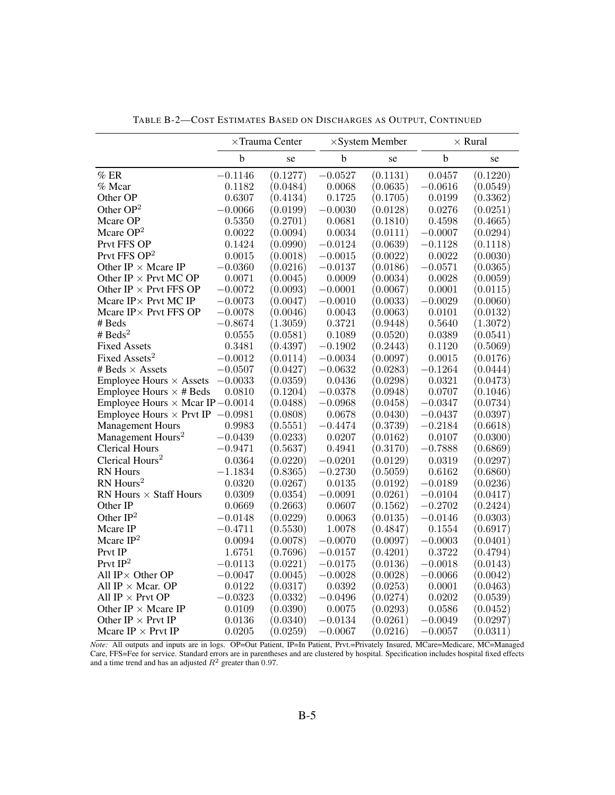|                                           |             | $\times$ Trauma Center |             | $\times$ System Member |             | $\times$ Rural |
|-------------------------------------------|-------------|------------------------|-------------|------------------------|-------------|----------------|
|                                           | $\mathbf b$ | se                     | $\mathbf b$ | se                     | $\mathbf b$ | se             |
| $\%$ ER                                   | $-0.1146$   | (0.1277)               | $-0.0527$   | (0.1131)               | 0.0457      | (0.1220)       |
| % Mcar                                    | 0.1182      | (0.0484)               | 0.0068      | (0.0635)               | $-0.0616$   | (0.0549)       |
| Other OP                                  | 0.6307      | (0.4134)               | 0.1725      | (0.1705)               | 0.0199      | (0.3362)       |
| Other $OP2$                               | $-0.0066$   | (0.0199)               | $-0.0030$   | (0.0128)               | 0.0276      | (0.0251)       |
| Mcare OP                                  | 0.5350      | (0.2701)               | 0.0681      | (0.1810)               | 0.4598      | (0.4665)       |
| Mcare $OP2$                               | 0.0022      | (0.0094)               | 0.0034      | (0.0111)               | $-0.0007$   | (0.0294)       |
| Prvt FFS OP                               | 0.1424      | (0.0990)               | $-0.0124$   | (0.0639)               | $-0.1128$   | (0.1118)       |
| Prvt FFS OP <sup>2</sup>                  | 0.0015      | (0.0018)               | $-0.0015$   | (0.0022)               | 0.0022      | (0.0030)       |
| Other IP $\times$ Mcare IP                | $-0.0360$   | (0.0216)               | $-0.0137$   | (0.0186)               | $-0.0571$   | (0.0365)       |
| Other IP $\times$ Prvt MC OP              | 0.0071      | (0.0045)               | 0.0009      | (0.0034)               | 0.0028      | (0.0059)       |
| Other IP $\times$ Prvt FFS OP             | $-0.0072$   | (0.0093)               | $-0.0001$   | (0.0067)               | 0.0001      | (0.0115)       |
| Mcare $IP \times$ Prvt MC IP              | $-0.0073$   | (0.0047)               | $-0.0010$   | (0.0033)               | $-0.0029$   | (0.0060)       |
| Mcare IP × Prvt FFS OP                    | $-0.0078$   | (0.0046)               | 0.0043      | (0.0063)               | 0.0101      | (0.0132)       |
| # Beds                                    | $-0.8674$   | (1.3059)               | 0.3721      | (0.9448)               | 0.5640      | (1.3072)       |
| # $\text{Beds}^2$                         | 0.0555      | (0.0581)               | 0.1089      | (0.0520)               | 0.0389      | (0.0541)       |
| <b>Fixed Assets</b>                       | 0.3481      | (0.4397)               | $-0.1902$   | (0.2443)               | 0.1120      | (0.5069)       |
| Fixed Assets <sup>2</sup>                 | $-0.0012$   | (0.0114)               | $-0.0034$   | (0.0097)               | 0.0015      | (0.0176)       |
| # Beds $\times$ Assets                    | $-0.0507$   | (0.0427)               | $-0.0632$   | (0.0283)               | $-0.1264$   | (0.0444)       |
| <b>Employee Hours</b> $\times$ Assets     | $-0.0033$   | (0.0359)               | 0.0436      | (0.0298)               | 0.0321      | (0.0473)       |
| Employee Hours $\times$ # Beds            | 0.0810      | (0.1204)               | $-0.0378$   | (0.0948)               | 0.0707      | (0.1046)       |
| Employee Hours $\times$ Mcar IP -0.0014   |             | (0.0488)               | $-0.0968$   | (0.0458)               | $-0.0347$   | (0.0734)       |
| Employee Hours $\times$ Prvt IP $-0.0981$ |             | (0.0808)               | 0.0678      | (0.0430)               | $-0.0437$   | (0.0397)       |
| <b>Management Hours</b>                   | 0.9983      | (0.5551)               | $-0.4474$   | (0.3739)               | $-0.2184$   | (0.6618)       |
| Management Hours <sup>2</sup>             | $-0.0439$   | (0.0233)               | 0.0207      | (0.0162)               | 0.0107      | (0.0300)       |
| <b>Clerical Hours</b>                     | $-0.9471$   | (0.5637)               | 0.4941      | (0.3170)               | $-0.7888$   | (0.6869)       |
| Clerical Hours <sup>2</sup>               | 0.0364      | (0.0220)               | $-0.0201$   | (0.0129)               | 0.0319      | (0.0297)       |
| <b>RN</b> Hours                           | $-1.1834$   | (0.8365)               | $-0.2730$   | (0.5059)               | 0.6162      | (0.6860)       |
| RN Hours <sup>2</sup>                     | 0.0320      | (0.0267)               | 0.0135      | (0.0192)               | $-0.0189$   | (0.0236)       |
| RN Hours $\times$ Staff Hours             | 0.0309      | (0.0354)               | $-0.0091$   | (0.0261)               | $-0.0104$   | (0.0417)       |
| Other IP                                  | 0.0669      | (0.2663)               | 0.0607      | (0.1562)               | $-0.2702$   | (0.2424)       |
| Other $IP2$                               | $-0.0148$   | (0.0229)               | 0.0063      | (0.0135)               | $-0.0146$   | (0.0303)       |
| Mcare IP                                  | $-0.4711$   | (0.5530)               | 1.0078      | (0.4847)               | 0.1554      | (0.6917)       |
| Mcare $IP2$                               | 0.0094      | (0.0078)               | $-0.0070$   | (0.0097)               | $-0.0003$   | (0.0401)       |
| Prvt IP                                   | 1.6751      | (0.7696)               | $-0.0157$   | (0.4201)               | 0.3722      | (0.4794)       |
| Prvt $\mathrm{IP}^2$                      | $-0.0113$   | (0.0221)               | $-0.0175$   | (0.0136)               | $-0.0018$   | (0.0143)       |
| All $IP \times$ Other OP                  | $-0.0047$   | (0.0045)               | $-0.0028$   | (0.0028)               | $-0.0066$   | (0.0042)       |
| All IP $\times$ Mcar. OP                  | 0.0122      | (0.0317)               | 0.0392      | (0.0253)               | 0.0001      | (0.0463)       |
| All IP $\times$ Prvt OP                   | $-0.0323$   | (0.0332)               | $-0.0496$   | (0.0274)               | 0.0202      | (0.0539)       |
| Other IP $\times$ Mcare IP                | 0.0109      | (0.0390)               | 0.0075      | (0.0293)               | 0.0586      | (0.0452)       |
| Other IP $\times$ Prvt IP                 | 0.0136      | (0.0340)               | $-0.0134$   | (0.0261)               | $-0.0049$   | (0.0297)       |
| Mcare IP $\times$ Prvt IP                 | 0.0205      | (0.0259)               | $-0.0067$   | (0.0216)               | $-0.0057$   | (0.0311)       |

TABLE B-2—COST ESTIMATES BASED ON DISCHARGES AS OUTPUT, CONTINUED

*Note:* All outputs and inputs are in logs. OP=Out Patient, IP=In Patient, Prvt.=Privately Insured, MCare=Medicare, MC=Managed Care, FFS=Fee for service. Standard errors are in parentheses and are clustered by hospital. Specification includes hospital fixed effects and a time trend and has an adjusted  $R^2$  greater than 0.97.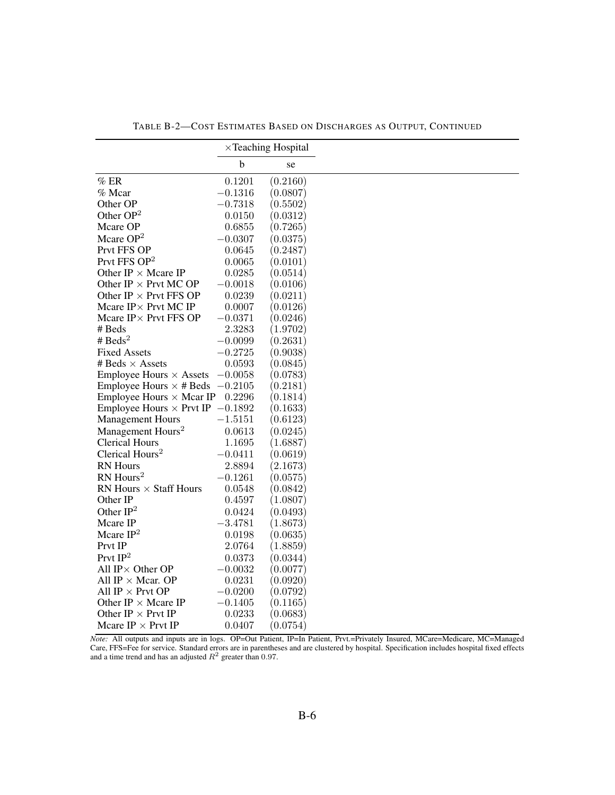|                                                  |             | $\times$ Teaching Hospital |
|--------------------------------------------------|-------------|----------------------------|
|                                                  | $\mathbf b$ | se                         |
| $%$ ER                                           | 0.1201      | (0.2160)                   |
| $%$ Mcar                                         | $-0.1316$   | (0.0807)                   |
| Other OP                                         | $-0.7318$   | $\left( 0.5502\right)$     |
| Other $OP2$                                      | 0.0150      | (0.0312)                   |
| Mcare OP                                         | 0.6855      | (0.7265)                   |
| Mcare $OP2$                                      | $-0.0307$   | (0.0375)                   |
| Prvt FFS OP                                      | 0.0645      | $\left( 0.2487\right)$     |
| Prvt FFS OP <sup>2</sup>                         | 0.0065      | (0.0101)                   |
| Other IP $\times$ Mcare IP                       | 0.0285      | (0.0514)                   |
| Other IP $\times$ Prvt MC OP                     | $-0.0018$   | (0.0106)                   |
| Other IP $\times$ Prvt FFS OP                    | 0.0239      | (0.0211)                   |
| Mcare $IP \times$ Prvt MC IP                     | 0.0007      | (0.0126)                   |
| Mcare IP × Prvt FFS OP                           | $-0.0371$   | $\left( 0.0246\right)$     |
| # Beds                                           | 2.3283      | (1.9702)                   |
| # Beds <sup>2</sup>                              | $-0.0099$   | (0.2631)                   |
| <b>Fixed Assets</b>                              | $-0.2725$   | (0.9038)                   |
| # Beds $\times$ Assets                           | 0.0593      | (0.0845)                   |
| <b>Employee Hours <math>\times</math> Assets</b> | $-0.0058$   | (0.0783)                   |
| Employee Hours $\times$ # Beds $-0.2105$         |             | (0.2181)                   |
| Employee Hours $\times$ Mcar IP                  | 0.2296      | (0.1814)                   |
| Employee Hours $\times$ Prvt IP $-0.1892$        |             | (0.1633)                   |
| <b>Management Hours</b>                          | $-1.5151$   | (0.6123)                   |
| Management Hours <sup>2</sup>                    | 0.0613      | (0.0245)                   |
| <b>Clerical Hours</b>                            | 1.1695      | (1.6887)                   |
| Clerical Hours <sup>2</sup>                      | $-0.0411$   | (0.0619)                   |
| <b>RN</b> Hours                                  | 2.8894      | (2.1673)                   |
| $RN$ Hours <sup>2</sup>                          | $-0.1261$   | (0.0575)                   |
| RN Hours $\times$ Staff Hours                    | 0.0548      | (0.0842)                   |
| Other IP                                         | 0.4597      | (1.0807)                   |
| Other $IP2$                                      | 0.0424      | (0.0493)                   |
| Mcare IP                                         | $-3.4781$   | (1.8673)                   |
| Mcare $IP2$                                      | 0.0198      | (0.0635)                   |
| Prvt IP                                          | 2.0764      | (1.8859)                   |
| Prvt $IP2$                                       | 0.0373      | (0.0344)                   |
| All $IP \times$ Other OP                         | $-0.0032$   | (0.0077)                   |
| All IP $\times$ Mcar. OP                         | 0.0231      | $\left( 0.0920\right)$     |
| All IP $\times$ Prvt OP                          | $-0.0200$   | (0.0792)                   |
| Other IP $\times$ Mcare IP                       | $-0.1405$   | $\left( 0.1165\right)$     |
| Other IP $\times$ Prvt IP                        | 0.0233      | (0.0683)                   |
| Mcare IP $\times$ Prvt IP                        | 0.0407      | $\left( 0.0754\right)$     |

TABLE B-2—COST ESTIMATES BASED ON DISCHARGES AS OUTPUT, CONTINUED

*Note:* All outputs and inputs are in logs. OP=Out Patient, IP=In Patient, Prvt.=Privately Insured, MCare=Medicare, MC=Managed Care, FFS=Fee for service. Standard errors are in parentheses and are clustered by hospital. Specification includes hospital fixed effects and a time trend and has an adjusted  $R^2$  greater than 0.97.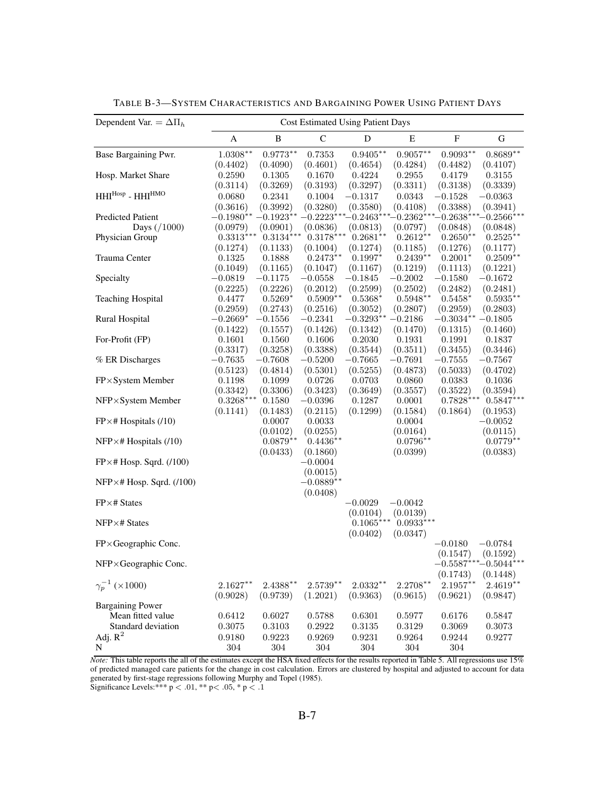| Dependent Var. = $\Delta \Pi_h$  |             | <b>Cost Estimated Using Patient Days</b> |                         |                                                                               |                       |              |                        |  |  |
|----------------------------------|-------------|------------------------------------------|-------------------------|-------------------------------------------------------------------------------|-----------------------|--------------|------------------------|--|--|
|                                  | A           | $\, {\bf B}$                             | $\mathbf C$             | D                                                                             | E                     | ${\bf F}$    | G                      |  |  |
| Base Bargaining Pwr.             | $1.0308**$  | $0.9773**$                               | 0.7353                  | $0.9405***$                                                                   | $0.9057**$            | $0.9093**$   | $0.8689**$             |  |  |
|                                  | (0.4402)    | (0.4090)                                 | (0.4601)                | (0.4654)                                                                      | (0.4284)              | (0.4482)     | (0.4107)               |  |  |
| Hosp. Market Share               | 0.2590      | 0.1305                                   | 0.1670                  | 0.4224                                                                        | 0.2955                | 0.4179       | 0.3155                 |  |  |
|                                  | (0.3114)    | (0.3269)                                 | (0.3193)                | (0.3297)                                                                      | (0.3311)              | (0.3138)     | (0.3339)               |  |  |
| $HHI^{Hosp}$ - $HHI^{HMO}$       | 0.0680      | 0.2341                                   | 0.1004                  | $-0.1317$                                                                     | 0.0343                | $-0.1528$    | $-0.0363$              |  |  |
|                                  | (0.3616)    | (0.3992)                                 | (0.3280)                | (0.3580)                                                                      | (0.4108)              | (0.3388)     | (0.3941)               |  |  |
| <b>Predicted Patient</b>         |             |                                          |                         | $-0.1980^{**}$ $-0.1923^{**}$ $-0.2223^{***}$ $-0.2463^{***}$ $-0.2362^{***}$ |                       | $-0.2638***$ | $-0.2566***$           |  |  |
| Days $( / 1000)$                 | (0.0979)    | (0.0901)                                 | (0.0836)                | (0.0813)                                                                      | (0.0797)              | (0.0848)     | (0.0848)               |  |  |
| Physician Group                  | $0.3313***$ | $0.3134***$                              | $0.3178***$             | $0.2681**$                                                                    | $0.2612**$            | $0.2650**$   | $0.2525**$             |  |  |
|                                  | (0.1274)    | (0.1133)                                 | (0.1004)                | (0.1274)                                                                      | (0.1185)              | (0.1276)     | (0.1177)               |  |  |
| Trauma Center                    | 0.1325      | 0.1888                                   | $0.2473**$              | $0.1997*$                                                                     | $0.2439**$            | $0.2001*$    | $0.2509**$             |  |  |
|                                  | (0.1049)    | (0.1165)                                 | (0.1047)                | (0.1167)                                                                      | (0.1219)              | (0.1113)     | (0.1221)               |  |  |
| Specialty                        | $-0.0819$   | $-0.1175$                                | $-0.0558$               | $-0.1845$                                                                     | $-0.2002$             | $-0.1580$    | $-0.1672$              |  |  |
|                                  | (0.2225)    | (0.2226)                                 | (0.2012)                | (0.2599)                                                                      | (0.2502)              | (0.2482)     | (0.2481)               |  |  |
| <b>Teaching Hospital</b>         | 0.4477      | $0.5269*$                                | $0.5909**$              | $0.5368*$                                                                     | $0.5948**$            | $0.5458*$    | $0.5935***$            |  |  |
|                                  | (0.2959)    | (0.2743)                                 | (0.2516)                | (0.3052)                                                                      | (0.2807)              | (0.2959)     | (0.2803)               |  |  |
| Rural Hospital                   | $-0.2669*$  | $-0.1556$                                | $-0.2341$               | $-0.3293^{**}$                                                                | $-0.2186$             | $-0.3034**$  | $-0.1805$              |  |  |
|                                  | (0.1422)    | (0.1557)                                 | (0.1426)                | (0.1342)                                                                      | (0.1470)              | (0.1315)     | (0.1460)               |  |  |
| For-Profit (FP)                  | 0.1601      | 0.1560                                   | 0.1606                  | 0.2030                                                                        | 0.1931                | 0.1991       | 0.1837                 |  |  |
|                                  | (0.3317)    | (0.3258)                                 | (0.3388)                | (0.3544)                                                                      | (0.3511)              | (0.3455)     | (0.3446)               |  |  |
| % ER Discharges                  | $-0.7635$   | $-0.7608$                                | $-0.5200$               | $-0.7665$                                                                     | $-0.7691$             | $-0.7555$    | $-0.7567$              |  |  |
|                                  | (0.5123)    | (0.4814)                                 | (0.5301)                | (0.5255)                                                                      | (0.4873)              | (0.5033)     | (0.4702)               |  |  |
| FP×System Member                 | 0.1198      | 0.1099                                   | 0.0726                  | 0.0703                                                                        | 0.0860                | 0.0383       | 0.1036                 |  |  |
|                                  | (0.3342)    | (0.3306)                                 | (0.3423)                | (0.3649)                                                                      | (0.3557)              | (0.3522)     | (0.3594)               |  |  |
| NFP×System Member                | $0.3268***$ | 0.1580                                   | $-0.0396$               | $0.1287\,$                                                                    | 0.0001                | $0.7828***$  | $0.5847*$              |  |  |
|                                  | (0.1141)    | (0.1483)                                 | (0.2115)                | (0.1299)                                                                      | (0.1584)              | (0.1864)     | (0.1953)               |  |  |
| $FP \times #$ Hospitals (/10)    |             | 0.0007                                   | 0.0033                  |                                                                               | 0.0004                |              | $-0.0052$              |  |  |
|                                  |             | (0.0102)                                 | (0.0255)                |                                                                               | (0.0164)              |              | (0.0115)               |  |  |
| $NFP \times #$ Hospitals (/10)   |             | $0.0879**$                               | $0.4436**$              |                                                                               | $0.0796**$            |              | $0.0779**$             |  |  |
|                                  |             | (0.0433)                                 | (0.1860)                |                                                                               | (0.0399)              |              | (0.0383)               |  |  |
| $FP \times # Hosp. Sqrd. (100)$  |             |                                          | $-0.0004$               |                                                                               |                       |              |                        |  |  |
|                                  |             |                                          | (0.0015)<br>$-0.0889**$ |                                                                               |                       |              |                        |  |  |
| $NFP \times # Hosp. Sqrd. (100)$ |             |                                          |                         |                                                                               |                       |              |                        |  |  |
| $FP \times # States$             |             |                                          | (0.0408)                |                                                                               |                       |              |                        |  |  |
|                                  |             |                                          |                         | $-0.0029$<br>(0.0104)                                                         | $-0.0042$<br>(0.0139) |              |                        |  |  |
| $NFP \times # States$            |             |                                          |                         | $0.1065***$                                                                   | $0.0933***$           |              |                        |  |  |
|                                  |             |                                          |                         | (0.0402)                                                                      | (0.0347)              |              |                        |  |  |
| FP×Geographic Conc.              |             |                                          |                         |                                                                               |                       | $-0.0180$    | $-0.0784$              |  |  |
|                                  |             |                                          |                         |                                                                               |                       | (0.1547)     | (0.1592)               |  |  |
| NFP×Geographic Conc.             |             |                                          |                         |                                                                               |                       |              | $-0.5587***-0.5044***$ |  |  |
|                                  |             |                                          |                         |                                                                               |                       | (0.1743)     | (0.1448)               |  |  |
| $\gamma_p^{-1}$ ( $\times$ 1000) | $2.1627**$  | $2.4388**$                               | $2.5739**$              | $2.0332**$                                                                    | $2.2708**$            | $2.1957**$   | $2.4619**$             |  |  |
|                                  | (0.9028)    | (0.9739)                                 | (1.2021)                | (0.9363)                                                                      | (0.9615)              | (0.9621)     | (0.9847)               |  |  |
| <b>Bargaining Power</b>          |             |                                          |                         |                                                                               |                       |              |                        |  |  |
| Mean fitted value                | 0.6412      | 0.6027                                   | 0.5788                  | 0.6301                                                                        | 0.5977                | 0.6176       | 0.5847                 |  |  |
| Standard deviation               | 0.3075      | 0.3103                                   | 0.2922                  | 0.3135                                                                        | 0.3129                | 0.3069       | 0.3073                 |  |  |
| Adj. $\mathbb{R}^2$              | 0.9180      | 0.9223                                   | 0.9269                  | 0.9231                                                                        | 0.9264                | 0.9244       | 0.9277                 |  |  |
| ${\bf N}$                        | 304         | $304\,$                                  | 304                     | 304                                                                           | 304                   | 304          |                        |  |  |
|                                  |             |                                          |                         |                                                                               |                       |              |                        |  |  |

TABLE B-3—SYSTEM CHARACTERISTICS AND BARGAINING POWER USING PATIENT DAYS

*Note:* This table reports the all of the estimates except the HSA fixed effects for the results reported in Table 5. All regressions use 15% of predicted managed care patients for the change in cost calculation. Errors are clustered by hospital and adjusted to account for data generated by first-stage regressions following Murphy and Topel (1985). Significance Levels:\*\*\*  $p < .01$ , \*\*  $p < .05$ , \*  $p < .1$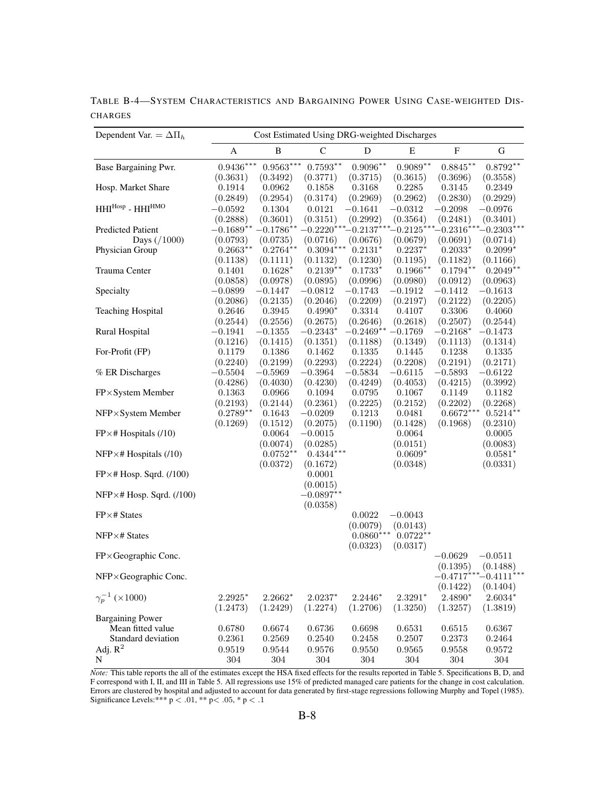| Dependent Var. = $\Delta \Pi_h$  | Cost Estimated Using DRG-weighted Discharges |                    |                       |                    |                                  |                          |                          |  |  |
|----------------------------------|----------------------------------------------|--------------------|-----------------------|--------------------|----------------------------------|--------------------------|--------------------------|--|--|
|                                  | Α                                            | B                  | $\mathsf{C}$          | D                  | E                                | $\mathbf F$              | G                        |  |  |
| Base Bargaining Pwr.             | $0.9436***$                                  | $0.9563***$        | $0.7593**$            | $0.9096**$         | $0.9089^{\ast\ast}$              | $0.8845**$               | $0.8792**$               |  |  |
|                                  | (0.3631)                                     | (0.3492)           | (0.3771)              | (0.3715)           | (0.3615)                         | (0.3696)                 | (0.3558)                 |  |  |
| Hosp. Market Share               | 0.1914                                       | 0.0962             | 0.1858                | 0.3168             | 0.2285                           | 0.3145                   | 0.2349                   |  |  |
|                                  | (0.2849)                                     | (0.2954)           | (0.3174)              | (0.2969)           | (0.2962)                         | (0.2830)                 | (0.2929)                 |  |  |
| $HHI^{Hosp}$ - $HHI^{HMO}$       | $-0.0592$                                    | 0.1304             | 0.0121                | $-0.1641$          | $-0.0312$                        | $-0.2098$                | $-0.0976$                |  |  |
|                                  | (0.2888)                                     | (0.3601)           | (0.3151)              | (0.2992)           | (0.3564)                         | (0.2481)                 | (0.3401)                 |  |  |
| <b>Predicted Patient</b>         | $-0.1689**$                                  | $-0.1786**$        |                       |                    | $-0.2220***-0.2137***-0.2125***$ | $-0.2316***$             | $-0.2303***$             |  |  |
| Days $( / 1000)$                 | (0.0793)                                     | (0.0735)           | (0.0716)              | (0.0676)           | (0.0679)                         | (0.0691)                 | (0.0714)                 |  |  |
| Physician Group                  | $0.2663**$                                   | $0.2764**$         | $0.3094***$           | $0.2131*$          | $0.2237*$                        | $0.2033*$                | $0.2099*$                |  |  |
|                                  | (0.1138)                                     | (0.1111)           | (0.1132)              | (0.1230)           | (0.1195)                         | (0.1182)                 | (0.1166)                 |  |  |
| Trauma Center                    | 0.1401                                       | $0.1628*$          | $0.2139**$            | $0.1733*$          | $0.1966**$                       | $0.1794**$               | $0.2049**$               |  |  |
|                                  | (0.0858)                                     | (0.0978)           | (0.0895)              | (0.0996)           | (0.0980)                         | (0.0912)                 | (0.0963)                 |  |  |
| Specialty                        | $-0.0899$                                    | $-0.1447$          | $-0.0812$             | $-0.1743$          | $-0.1912$                        | $-0.1412$                | $-0.1613$                |  |  |
|                                  | (0.2086)                                     | (0.2135)           | (0.2046)              | (0.2209)           | (0.2197)                         | (0.2122)                 | (0.2205)                 |  |  |
| <b>Teaching Hospital</b>         | 0.2646<br>(0.2544)                           | 0.3945<br>(0.2556) | $0.4990*$<br>(0.2675) | 0.3314<br>(0.2646) | 0.4107<br>(0.2618)               | 0.3306<br>(0.2507)       | 0.4060<br>(0.2544)       |  |  |
| Rural Hospital                   | $-0.1941$                                    | $-0.1355$          | $-0.2343*$            | $-0.2469**$        | $-0.1769$                        | $-0.2168*$               | $-0.1473$                |  |  |
|                                  | (0.1216)                                     | (0.1415)           | (0.1351)              | (0.1188)           | (0.1349)                         | (0.1113)                 | (0.1314)                 |  |  |
| For-Profit (FP)                  | 0.1179                                       | 0.1386             | 0.1462                | 0.1335             | 0.1445                           | 0.1238                   | 0.1335                   |  |  |
|                                  | (0.2240)                                     | (0.2199)           | (0.2293)              | (0.2224)           | (0.2208)                         | (0.2191)                 | (0.2171)                 |  |  |
| % ER Discharges                  | $-0.5504$                                    | $-0.5969$          | $-0.3964\,$           | $-0.5834$          | $-0.6115$                        | $-0.5893$                | $-0.6122$                |  |  |
|                                  | (0.4286)                                     | (0.4030)           | (0.4230)              | (0.4249)           | (0.4053)                         | (0.4215)                 | (0.3992)                 |  |  |
| FP×System Member                 | 0.1363                                       | 0.0966             | 0.1094                | 0.0795             | 0.1067                           | 0.1149                   | 0.1182                   |  |  |
|                                  | (0.2193)                                     | (0.2144)           | (0.2361)              | (0.2225)           | (0.2152)                         | (0.2202)                 | (0.2268)                 |  |  |
| NFP×System Member                | $0.2789**$                                   | 0.1643             | $-0.0209$             | 0.1213             | 0.0481                           | $0.6672***$              | $0.5214**$               |  |  |
|                                  | (0.1269)                                     | (0.1512)           | (0.2075)              | (0.1190)           | (0.1428)                         | (0.1968)                 | (0.2310)                 |  |  |
| $FP \times #$ Hospitals (/10)    |                                              | 0.0064             | $-0.0015$             |                    | 0.0064                           |                          | 0.0005                   |  |  |
|                                  |                                              | (0.0074)           | (0.0285)              |                    | (0.0151)                         |                          | (0.0083)                 |  |  |
| $NFP \times #$ Hospitals (/10)   |                                              | $0.0752**$         | $0.4344***$           |                    | $0.0609*$                        |                          | $0.0581*$                |  |  |
|                                  |                                              | (0.0372)           | (0.1672)              |                    | (0.0348)                         |                          | (0.0331)                 |  |  |
| $FP \times # Hosp. Sqrd. (100)$  |                                              |                    | 0.0001                |                    |                                  |                          |                          |  |  |
|                                  |                                              |                    | (0.0015)              |                    |                                  |                          |                          |  |  |
| $NFP \times # Hosp. Sqrd. (100)$ |                                              |                    | $-0.0897**$           |                    |                                  |                          |                          |  |  |
|                                  |                                              |                    | (0.0358)              |                    |                                  |                          |                          |  |  |
| $FP \times # States$             |                                              |                    |                       | 0.0022             | $-0.0043$                        |                          |                          |  |  |
|                                  |                                              |                    |                       | (0.0079)           | (0.0143)                         |                          |                          |  |  |
| $NFP \times # States$            |                                              |                    |                       | $0.0860***$        | $0.0722**$                       |                          |                          |  |  |
|                                  |                                              |                    |                       | (0.0323)           | (0.0317)                         |                          |                          |  |  |
| FP×Geographic Conc.              |                                              |                    |                       |                    |                                  | $-0.0629$                | $-0.0511$                |  |  |
|                                  |                                              |                    |                       |                    |                                  | (0.1395)<br>$-0.4717***$ | (0.1488)<br>$-0.4111***$ |  |  |
| NFP×Geographic Conc.             |                                              |                    |                       |                    |                                  |                          |                          |  |  |
| $\gamma_p^{-1}$ (×1000)          |                                              |                    |                       | $2.2446*$          |                                  | (0.1422)<br>2.4890*      | (0.1404)                 |  |  |
|                                  | $2.2925*$                                    | $2.2662*$          | $2.0237*$             |                    | $2.3291*$                        |                          | $2.6034*$                |  |  |
| <b>Bargaining Power</b>          | (1.2473)                                     | (1.2429)           | (1.2274)              | (1.2706)           | (1.3250)                         | (1.3257)                 | (1.3819)                 |  |  |
| Mean fitted value                | 0.6780                                       | 0.6674             | 0.6736                | 0.6698             | 0.6531                           | 0.6515                   | 0.6367                   |  |  |
| Standard deviation               | 0.2361                                       | 0.2569             | 0.2540                | 0.2458             | 0.2507                           | 0.2373                   | 0.2464                   |  |  |
| Adj. $R^2$                       | 0.9519                                       | 0.9544             | 0.9576                | 0.9550             | 0.9565                           | 0.9558                   | 0.9572                   |  |  |
| N                                | 304                                          | $304\,$            | 304                   | 304                | $304\,$                          | 304                      | $304\,$                  |  |  |

TABLE B-4—SYSTEM CHARACTERISTICS AND BARGAINING POWER USING CASE-WEIGHTED DIS-**CHARGES** 

*Note:* This table reports the all of the estimates except the HSA fixed effects for the results reported in Table 5. Specifications B, D, and F correspond with I, II, and III in Table 5. All regressions use 15% of predicted managed care patients for the change in cost calculation. Errors are clustered by hospital and adjusted to account for data generated by first-stage regressions following Murphy and Topel (1985). Significance Levels:\*\*\*  $p < .01$ , \*\*  $p < .05$ , \*  $p < .1$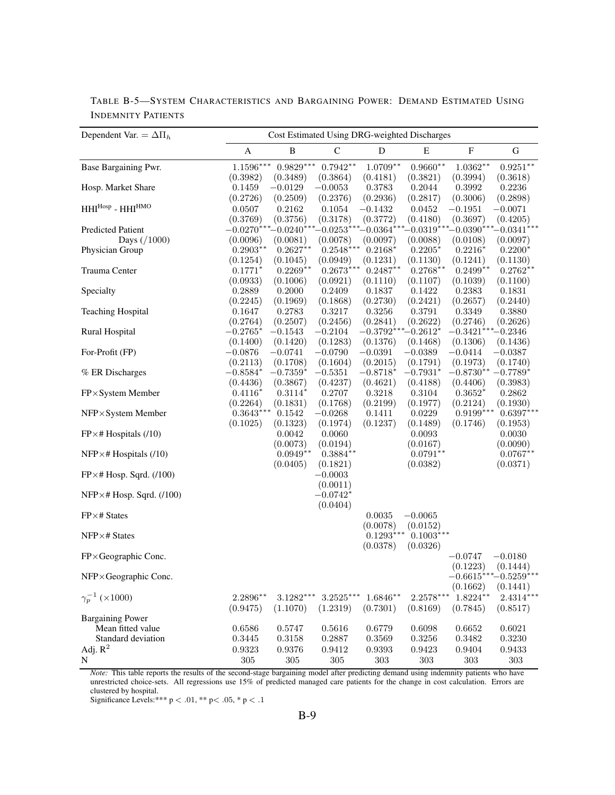| Dependent Var. = $\Delta \Pi_h$              |                      |                    |                         | Cost Estimated Using DRG-weighted Discharges |                    |                           |                          |
|----------------------------------------------|----------------------|--------------------|-------------------------|----------------------------------------------|--------------------|---------------------------|--------------------------|
|                                              | A                    | B                  | $\mathsf{C}$            | D                                            | E                  | $\boldsymbol{\mathrm{F}}$ | G                        |
| Base Bargaining Pwr.                         | $1.1596***$          | $0.9829***$        | $0.7942**$              | $1.0709**$                                   | $0.9660**$         | $1.0362**$                | $0.9251***$              |
|                                              | (0.3982)             | (0.3489)           | (0.3864)                | (0.4181)                                     | (0.3821)           | (0.3994)                  | (0.3618)                 |
| Hosp. Market Share                           | 0.1459               | $-0.0129$          | $-0.0053$               | 0.3783                                       | 0.2044             | 0.3992                    | 0.2236                   |
|                                              | (0.2726)             | (0.2509)           | (0.2376)                | (0.2936)                                     | (0.2817)           | (0.3006)                  | (0.2898)                 |
| $HHI^{Hosp}$ - $HHI^{HMO}$                   | 0.0507               | 0.2162             | 0.1054                  | $-0.1432$                                    | 0.0452             | $-0.1951$                 | $-0.0071$                |
|                                              | (0.3769)             | (0.3756)           | (0.3178)                | (0.3772)                                     | (0.4180)           | (0.3697)                  | (0.4205)                 |
| <b>Predicted Patient</b>                     | $-0.0270^{\ast\ast}$ | $-0.0240^*$        |                         | $-0.0253***-0.0364***$                       |                    | $-0.0319***-0.0390***$    | $-0.0341***$             |
| Days $( / 1000)$                             | (0.0096)             | (0.0081)           | (0.0078)                | (0.0097)                                     | (0.0088)           | (0.0108)                  | (0.0097)                 |
| Physician Group                              | $0.2903**$           | $0.2627**$         | $0.2548^{\ast\ast\ast}$ | $0.2168*$                                    | $0.2205*$          | $0.2216*$                 | $0.2200*$                |
|                                              | (0.1254)             | (0.1045)           | (0.0949)                | (0.1231)                                     | (0.1130)           | (0.1241)                  | (0.1130)                 |
| Trauma Center                                | $0.1771*$            | $0.2269**$         | $0.2673***$             | $0.2487**$                                   | $0.2768**$         | $0.2499**$                | $0.2762**$               |
|                                              | (0.0933)             | (0.1006)           | (0.0921)                | (0.1110)                                     | (0.1107)           | (0.1039)                  | (0.1100)                 |
| Specialty                                    | 0.2889               | 0.2000             | 0.2409                  | 0.1837                                       | 0.1422             | 0.2383                    | 0.1831                   |
| <b>Teaching Hospital</b>                     | (0.2245)<br>0.1647   | (0.1969)<br>0.2783 | (0.1868)<br>0.3217      | (0.2730)<br>0.3256                           | (0.2421)<br>0.3791 | (0.2657)<br>0.3349        | (0.2440)<br>0.3880       |
|                                              | (0.2764)             | (0.2507)           | (0.2456)                | (0.2841)                                     | (0.2622)           | (0.2746)                  | (0.2626)                 |
| Rural Hospital                               | $-0.2765*$           | $-0.1543$          | $-0.2104$               | $-0.3792***$                                 | $\text{-}0.2612^*$ | $-0.3421***-0.2346$       |                          |
|                                              | (0.1400)             | (0.1420)           | (0.1283)                | (0.1376)                                     | (0.1468)           | (0.1306)                  | (0.1436)                 |
| For-Profit (FP)                              | $-0.0876$            | $-0.0741$          | $-0.0790$               | $-0.0391$                                    | $-0.0389$          | $-0.0414$                 | $-0.0387$                |
|                                              | (0.2113)             | (0.1708)           | (0.1604)                | (0.2015)                                     | (0.1791)           | (0.1973)                  | (0.1740)                 |
| % ER Discharges                              | $-0.8584*$           | $-0.7359*$         | $-0.5351$               | $-0.8718*$                                   | $-0.7931*$         | $-0.8730**$               | $-0.7789*$               |
|                                              | (0.4436)             | (0.3867)           | (0.4237)                | (0.4621)                                     | (0.4188)           | (0.4406)                  | (0.3983)                 |
| FP×System Member                             | $0.4116*$            | $0.3114*$          | 0.2707                  | 0.3218                                       | 0.3104             | $0.3652*$                 | 0.2862                   |
|                                              | (0.2264)             | (0.1831)           | (0.1768)                | (0.2199)                                     | (0.1977)           | (0.2124)                  | (0.1930)                 |
| NFP×System Member                            | $0.3643***$          | $0.1542\,$         | $-0.0268$               | 0.1411                                       | 0.0229             | $0.9199***$               | $0.6397*$                |
|                                              | (0.1025)             | (0.1323)           | (0.1974)                | (0.1237)                                     | (0.1489)           | (0.1746)                  | (0.1953)                 |
| $FP \times #$ Hospitals (/10)                |                      | 0.0042             | 0.0060                  |                                              | 0.0093             |                           | 0.0030                   |
|                                              |                      | (0.0073)           | (0.0194)                |                                              | (0.0167)           |                           | (0.0090)                 |
| $NFP \times #$ Hospitals (/10)               |                      | $0.0949**$         | $0.3884**$              |                                              | $0.0791**$         |                           | $0.0767**$               |
|                                              |                      | (0.0405)           | (0.1821)                |                                              | (0.0382)           |                           | (0.0371)                 |
| $FP \times # Hosp. Sqrd. (100)$              |                      |                    | $-0.0003$               |                                              |                    |                           |                          |
|                                              |                      |                    | (0.0011)                |                                              |                    |                           |                          |
| $NFP \times # Hosp. Sqrd. (100)$             |                      |                    | $-0.0742*$              |                                              |                    |                           |                          |
|                                              |                      |                    | (0.0404)                |                                              |                    |                           |                          |
| FP×# States                                  |                      |                    |                         | 0.0035                                       | $-0.0065$          |                           |                          |
|                                              |                      |                    |                         | (0.0078)                                     | (0.0152)           |                           |                          |
| $NFP \times # States$                        |                      |                    |                         | $0.1293***$                                  | $0.1003***$        |                           |                          |
|                                              |                      |                    |                         | (0.0378)                                     | (0.0326)           |                           |                          |
| FP×Geographic Conc.                          |                      |                    |                         |                                              |                    | $-0.0747$                 | $-0.0180$                |
|                                              |                      |                    |                         |                                              |                    | (0.1223)                  | (0.1444)                 |
| NFP×Geographic Conc.                         |                      |                    |                         |                                              |                    | $-0.6615***$              | $-0.5259$ <sup>***</sup> |
|                                              |                      |                    |                         |                                              |                    | (0.1662)                  | (0.1441)                 |
| $\gamma_p^{-1}$ (×1000)                      | $2.2896**$           | $3.1282***$        | $3.2525***$             | $1.6846**$                                   | $2.2578***$        | $1.8224**$                | $2.4314***$              |
|                                              | (0.9475)             | (1.1070)           | (1.2319)                | (0.7301)                                     | (0.8169)           | (0.7845)                  | (0.8517)                 |
| <b>Bargaining Power</b><br>Mean fitted value | 0.6586               | 0.5747             | 0.5616                  | 0.6779                                       | 0.6098             | 0.6652                    | 0.6021                   |
| Standard deviation                           | 0.3445               | 0.3158             | 0.2887                  | 0.3569                                       | 0.3256             | 0.3482                    | 0.3230                   |
| Adj. $R^2$                                   | 0.9323               | 0.9376             | 0.9412                  | 0.9393                                       | 0.9423             | 0.9404                    | 0.9433                   |
|                                              |                      |                    |                         |                                              |                    |                           |                          |
| N                                            | $305\,$              | $305\,$            | $305\,$                 | $303\,$                                      | $303\,$            | 303                       | $303\,$                  |

TABLE B-5—SYSTEM CHARACTERISTICS AND BARGAINING POWER: DEMAND ESTIMATED USING INDEMNITY PATIENTS

*Note:* This table reports the results of the second-stage bargaining model after predicting demand using indemnity patients who have unrestricted choice-sets. All regressions use 15% of predicted managed care patients for the change in cost calculation. Errors are clustered by hospital.

Significance Levels:\*\*\*  $p < .01$ , \*\*  $p < .05$ , \*  $p < .1$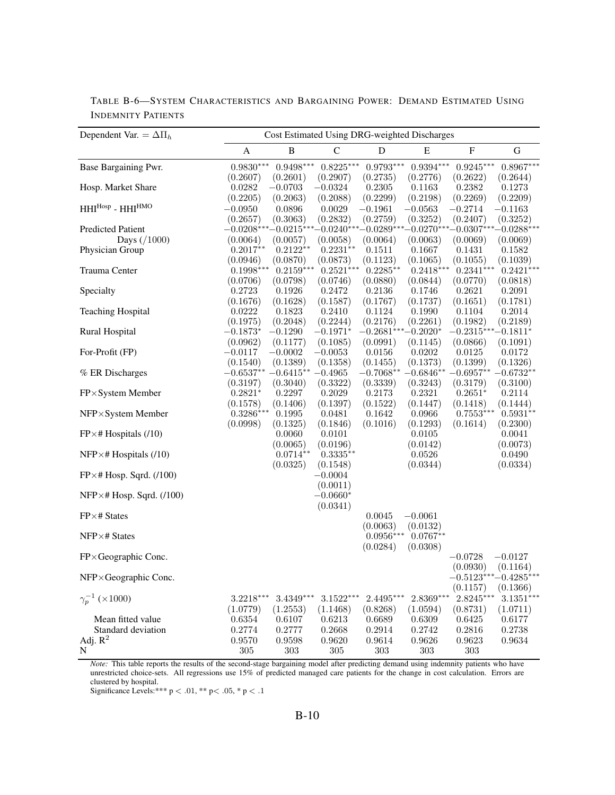| Dependent Var. = $\Delta \Pi_h$  | Cost Estimated Using DRG-weighted Discharges |                    |                    |                            |                    |                        |                        |  |
|----------------------------------|----------------------------------------------|--------------------|--------------------|----------------------------|--------------------|------------------------|------------------------|--|
|                                  | A                                            | $\, {\bf B}$       | $\mathcal{C}$      | ${\bf D}$                  | Ε                  | $\mathbf F$            | $\mathbf G$            |  |
| Base Bargaining Pwr.             | $0.9830***$                                  | $0.9498***$        | $0.8225***$        | $0.9793***$                | $0.9394***$        | $0.9245***$            | $0.8967***$            |  |
|                                  | (0.2607)                                     | (0.2601)           | (0.2907)           | (0.2735)                   | (0.2776)           | (0.2622)               | (0.2644)               |  |
| Hosp. Market Share               | 0.0282                                       | $-0.0703$          | $-0.0324$          | 0.2305                     | 0.1163             | 0.2382                 | 0.1273                 |  |
|                                  | (0.2205)                                     | (0.2063)           | (0.2088)           | (0.2299)                   | (0.2198)           | (0.2269)               | (0.2209)               |  |
| $HHI^{Hosp}$ - $HHI^{HMO}$       | $-0.0950$                                    | 0.0896             | 0.0029             | $-0.1961$                  | $-0.0563$          | $-0.2714$              | $-0.1163$              |  |
|                                  | (0.2657)                                     | (0.3063)           | (0.2832)           | (0.2759)                   | (0.3252)           | (0.2407)               | (0.3252)               |  |
| <b>Predicted Patient</b>         | $-0.0208***$                                 | $-0.0215***$       |                    | $-0.0240***-0.0289***$     |                    | $-0.0270***-0.0307***$ | $-0.0288***$           |  |
| Days $( / 1000)$                 | (0.0064)                                     | (0.0057)           | (0.0058)           | (0.0064)                   | (0.0063)           | (0.0069)               | (0.0069)               |  |
| Physician Group                  | $0.2017**$                                   | $0.2122**$         | $0.2231**$         | 0.1511                     | 0.1667             | 0.1431                 | 0.1582                 |  |
|                                  | (0.0946)                                     | (0.0870)           | (0.0873)           | (0.1123)                   | (0.1065)           | (0.1055)               | (0.1039)               |  |
| Trauma Center                    | $0.1998***$                                  | $0.2159***$        | $0.2521***$        | $0.2285**$                 | $0.2418***$        | $0.2341***$            | $0.2421***$            |  |
|                                  | (0.0706)                                     | (0.0798)           | (0.0746)           | (0.0880)                   | (0.0844)           | (0.0770)               | (0.0818)               |  |
| Specialty                        | 0.2723                                       | 0.1926             | 0.2472             | 0.2136                     | 0.1746             | 0.2621                 | 0.2091                 |  |
|                                  | (0.1676)                                     | (0.1628)           | (0.1587)           | (0.1767)                   | (0.1737)           | (0.1651)               | (0.1781)               |  |
| <b>Teaching Hospital</b>         | 0.0222                                       | 0.1823             | 0.2410             | 0.1124                     | 0.1990             | 0.1104                 | 0.2014                 |  |
|                                  | (0.1975)                                     | (0.2048)           | (0.2244)           | (0.2176)                   | (0.2261)           | (0.1982)               | (0.2189)               |  |
| Rural Hospital                   | $-0.1873*$                                   | $-0.1290$          | $-0.1971*$         | $-0.2681^{***}-0.2020^{*}$ |                    | $-0.2315***-0.1811*$   |                        |  |
|                                  | (0.0962)                                     | (0.1177)           | (0.1085)           | (0.0991)                   | (0.1145)           | (0.0866)               | (0.1091)               |  |
| For-Profit (FP)                  | $-0.0117$                                    | $-0.0002$          | $-0.0053$          | 0.0156                     | 0.0202             | 0.0125                 | 0.0172                 |  |
|                                  | (0.1540)                                     | (0.1389)           | (0.1358)           | (0.1455)                   | (0.1373)           | (0.1399)               | (0.1326)               |  |
| % ER Discharges                  | $-0.6537**$                                  | $-0.6415**$        | $-0.4965$          | $-0.7068**$                | $-0.6846**$        | $-0.6957^{\ast\ast}$   | $-0.6732**$            |  |
|                                  | (0.3197)                                     | (0.3040)<br>0.2297 | (0.3322)           | (0.3339)<br>0.2173         | (0.3243)           | (0.3179)<br>$0.2651*$  | (0.3100)               |  |
| FP×System Member                 | $0.2821*$<br>(0.1578)                        | (0.1406)           | 0.2029<br>(0.1397) | (0.1522)                   | 0.2321<br>(0.1447) | (0.1418)               | 0.2114<br>(0.1444)     |  |
| $NFP \times System$ Member       | $0.3286***$                                  | 0.1995             | 0.0481             | 0.1642                     | 0.0966             | $0.7553***$            | $0.5931**$             |  |
|                                  | (0.0998)                                     | (0.1325)           | (0.1846)           | (0.1016)                   | (0.1293)           | (0.1614)               | (0.2300)               |  |
| $FP \times #$ Hospitals (/10)    |                                              | 0.0060             | 0.0101             |                            | 0.0105             |                        | 0.0041                 |  |
|                                  |                                              | (0.0065)           | (0.0196)           |                            | (0.0142)           |                        | (0.0073)               |  |
| NFP $\times$ # Hospitals (/10)   |                                              | $0.0714**$         | $0.3335**$         |                            | 0.0526             |                        | 0.0490                 |  |
|                                  |                                              | (0.0325)           | (0.1548)           |                            | (0.0344)           |                        | (0.0334)               |  |
| $FP \times # Hosp. Sqrd. (100)$  |                                              |                    | $-0.0004$          |                            |                    |                        |                        |  |
|                                  |                                              |                    | (0.0011)           |                            |                    |                        |                        |  |
| $NFP \times # Hosp. Sqrd. (100)$ |                                              |                    | $-0.0660*$         |                            |                    |                        |                        |  |
|                                  |                                              |                    | (0.0341)           |                            |                    |                        |                        |  |
| $FP \times # States$             |                                              |                    |                    | 0.0045                     | $-0.0061$          |                        |                        |  |
|                                  |                                              |                    |                    | (0.0063)                   | (0.0132)           |                        |                        |  |
| NFP×# States                     |                                              |                    |                    | $0.0956***$                | $0.0767**$         |                        |                        |  |
|                                  |                                              |                    |                    | (0.0284)                   | (0.0308)           |                        |                        |  |
| $FP \times Geographic$ Conc.     |                                              |                    |                    |                            |                    | $-0.0728$              | $-0.0127$              |  |
|                                  |                                              |                    |                    |                            |                    | (0.0930)               | (0.1164)               |  |
| NFP×Geographic Conc.             |                                              |                    |                    |                            |                    |                        | $-0.5123***-0.4285***$ |  |
|                                  |                                              |                    |                    |                            |                    | (0.1157)               | (0.1366)               |  |
| $\gamma_p^{-1}$ (×1000)          | $3.2218***$                                  | $3.4349***$        | $3.1522***$        | $2.4495***$                | $2.8369***$        | $2.8245***$            | $3.1351***$            |  |
|                                  | (1.0779)                                     | (1.2553)           | (1.1468)           | (0.8268)                   | (1.0594)           | (0.8731)               | (1.0711)               |  |
| Mean fitted value                | 0.6354                                       | 0.6107             | 0.6213             | 0.6689                     | 0.6309             | 0.6425                 | 0.6177                 |  |
| Standard deviation               | 0.2774                                       | 0.2777             | 0.2668             | 0.2914                     | 0.2742             | 0.2816                 | 0.2738                 |  |
| Adj. $R^2$                       | 0.9570                                       | 0.9598             | 0.9620             | 0.9614                     | 0.9626             | 0.9623                 | 0.9634                 |  |
| N                                | 305                                          | $303\,$            | 305                | 303                        | $303\,$            | 303                    |                        |  |

TABLE B-6—SYSTEM CHARACTERISTICS AND BARGAINING POWER: DEMAND ESTIMATED USING INDEMNITY PATIENTS

*Note:* This table reports the results of the second-stage bargaining model after predicting demand using indemnity patients who have unrestricted choice-sets. All regressions use 15% of predicted managed care patients for the change in cost calculation. Errors are clustered by hospital.

Significance Levels:\*\*\*  $p < .01$ , \*\*  $p < .05$ , \*  $p < .1$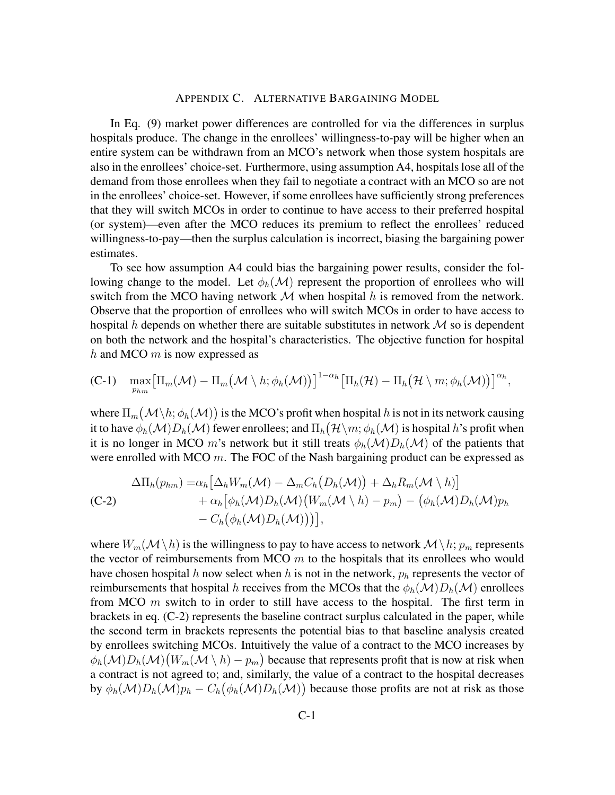#### APPENDIX C. ALTERNATIVE BARGAINING MODEL

In Eq. (9) market power differences are controlled for via the differences in surplus hospitals produce. The change in the enrollees' willingness-to-pay will be higher when an entire system can be withdrawn from an MCO's network when those system hospitals are also in the enrollees' choice-set. Furthermore, using assumption A4, hospitals lose all of the demand from those enrollees when they fail to negotiate a contract with an MCO so are not in the enrollees' choice-set. However, if some enrollees have sufficiently strong preferences that they will switch MCOs in order to continue to have access to their preferred hospital (or system)—even after the MCO reduces its premium to reflect the enrollees' reduced willingness-to-pay—then the surplus calculation is incorrect, biasing the bargaining power estimates.

To see how assumption A4 could bias the bargaining power results, consider the following change to the model. Let  $\phi_h(\mathcal{M})$  represent the proportion of enrollees who will switch from the MCO having network  $M$  when hospital h is removed from the network. Observe that the proportion of enrollees who will switch MCOs in order to have access to hospital h depends on whether there are suitable substitutes in network  $M$  so is dependent on both the network and the hospital's characteristics. The objective function for hospital h and MCO  $m$  is now expressed as

(C-1) 
$$
\max_{p_{hm}} \big[\Pi_m(\mathcal{M}) - \Pi_m(\mathcal{M} \setminus h; \phi_h(\mathcal{M}))\big]^{1-\alpha_h} \big[\Pi_h(\mathcal{H}) - \Pi_h(\mathcal{H} \setminus m; \phi_h(\mathcal{M}))\big]^{\alpha_h},
$$

where  $\Pi_m\big(\mathcal{M}\backslash h;\phi_h(\mathcal{M})\big)$  is the MCO's profit when hospital  $h$  is not in its network causing it to have  $\phi_h(\mathcal{M})D_h(\mathcal{M})$  fewer enrollees; and  $\Pi_h\big(\mathcal{H}\backslash m;\phi_h(\mathcal{M})$  is hospital  $h$ 's profit when it is no longer in MCO m's network but it still treats  $\phi_h(\mathcal{M})D_h(\mathcal{M})$  of the patients that were enrolled with MCO  $m$ . The FOC of the Nash bargaining product can be expressed as

$$
\Delta\Pi_h(p_{hm}) = \alpha_h \big[\Delta_h W_m(\mathcal{M}) - \Delta_m C_h (D_h(\mathcal{M})) + \Delta_h R_m(\mathcal{M} \setminus h)\big] + \alpha_h \big[\phi_h(\mathcal{M})D_h(\mathcal{M})\big(W_m(\mathcal{M} \setminus h) - p_m\big) - \big(\phi_h(\mathcal{M})D_h(\mathcal{M})p_h\big) - C_h \big(\phi_h(\mathcal{M})D_h(\mathcal{M})\big)\big)\big],
$$

where  $W_m(\mathcal{M}\setminus h)$  is the willingness to pay to have access to network  $\mathcal{M}\setminus h$ ;  $p_m$  represents the vector of reimbursements from MCO  $m$  to the hospitals that its enrollees who would have chosen hospital h now select when h is not in the network,  $p_h$  represents the vector of reimbursements that hospital h receives from the MCOs that the  $\phi_h(\mathcal{M})D_h(\mathcal{M})$  enrollees from MCO  $m$  switch to in order to still have access to the hospital. The first term in brackets in eq. (C-2) represents the baseline contract surplus calculated in the paper, while the second term in brackets represents the potential bias to that baseline analysis created by enrollees switching MCOs. Intuitively the value of a contract to the MCO increases by  $\phi_h(\mathcal{M})D_h(\mathcal{M})\big(W_m(\mathcal{M} \setminus h) - p_m\big)$  because that represents profit that is now at risk when a contract is not agreed to; and, similarly, the value of a contract to the hospital decreases by  $\phi_h(\mathcal{M})D_h(\mathcal{M})p_h - C_h(\phi_h(\mathcal{M})D_h(\mathcal{M}))$  because those profits are not at risk as those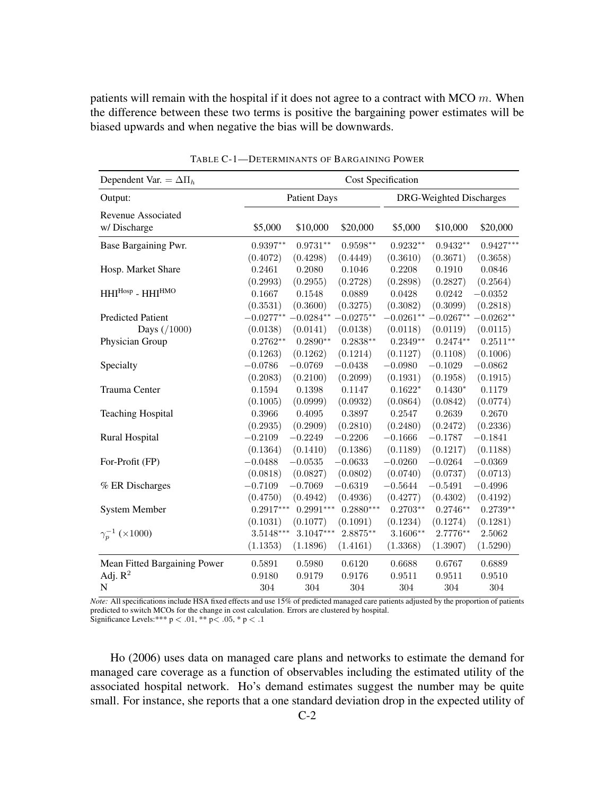patients will remain with the hospital if it does not agree to a contract with MCO  $m$ . When the difference between these two terms is positive the bargaining power estimates will be biased upwards and when negative the bias will be downwards.

| Dependent Var. = $\Delta \Pi_h$   | Cost Specification                  |                                     |                                    |                                    |                                   |                                   |  |
|-----------------------------------|-------------------------------------|-------------------------------------|------------------------------------|------------------------------------|-----------------------------------|-----------------------------------|--|
| Output:                           |                                     | <b>Patient Days</b>                 |                                    | DRG-Weighted Discharges            |                                   |                                   |  |
| Revenue Associated<br>w/Discharge | \$5,000                             | \$10,000                            | \$20,000                           | \$5,000                            | \$10,000                          | \$20,000                          |  |
| Base Bargaining Pwr.              | $0.9397**$                          | $0.9731**$                          | $0.9598**$                         | $0.9232**$                         | $0.9432**$                        | $0.9427***$                       |  |
| Hosp. Market Share                | (0.4072)<br>0.2461                  | (0.4298)<br>0.2080                  | (0.4449)<br>0.1046                 | (0.3610)<br>0.2208                 | (0.3671)<br>0.1910                | (0.3658)<br>0.0846                |  |
| $HHI^{Hosp}$ - $HHI^{HMO}$        | (0.2993)<br>0.1667<br>(0.3531)      | (0.2955)<br>0.1548<br>(0.3600)      | (0.2728)<br>0.0889<br>(0.3275)     | (0.2898)<br>0.0428<br>(0.3082)     | (0.2827)<br>0.0242<br>(0.3099)    | (0.2564)<br>$-0.0352$<br>(0.2818) |  |
| <b>Predicted Patient</b>          |                                     | $-0.0277** -0.0284** -0.0275**$     |                                    |                                    | $-0.0261** -0.0267** -0.0262**$   |                                   |  |
| Days (/1000)                      | (0.0138)                            | (0.0141)                            | (0.0138)                           | (0.0118)                           | (0.0119)                          | (0.0115)                          |  |
| Physician Group                   | $0.2762**$                          | $0.2890**$                          | $0.2838**$                         | $0.2349**$                         | $0.2474**$                        | $0.2511**$                        |  |
|                                   | (0.1263)                            | (0.1262)                            | (0.1214)                           | (0.1127)                           | (0.1108)                          | (0.1006)                          |  |
| Specialty                         | $-0.0786$                           | $-0.0769$                           | $-0.0438$                          | $-0.0980$                          | $-0.1029$                         | $-0.0862$                         |  |
| Trauma Center                     | (0.2083)<br>0.1594<br>(0.1005)      | (0.2100)<br>$0.1398\,$<br>(0.0999)  | (0.2099)<br>0.1147<br>(0.0932)     | (0.1931)<br>$0.1622*$<br>(0.0864)  | (0.1958)<br>$0.1430*$<br>(0.0842) | (0.1915)<br>0.1179<br>(0.0774)    |  |
| <b>Teaching Hospital</b>          | 0.3966                              | 0.4095                              | 0.3897                             | 0.2547                             | 0.2639                            | 0.2670                            |  |
|                                   | (0.2935)                            | (0.2909)                            | (0.2810)                           | (0.2480)                           | (0.2472)                          | (0.2336)                          |  |
| <b>Rural Hospital</b>             | $-0.2109$                           | $-0.2249$                           | $-0.2206$                          | $-0.1666$                          | $-0.1787$                         | $-0.1841$                         |  |
| For-Profit (FP)                   | (0.1364)<br>$-0.0488$<br>(0.0818)   | (0.1410)<br>$-0.0535$<br>(0.0827)   | (0.1386)<br>$-0.0633$<br>(0.0802)  | (0.1189)<br>$-0.0260$<br>(0.0740)  | (0.1217)<br>$-0.0264$<br>(0.0737) | (0.1188)<br>$-0.0369$<br>(0.0713) |  |
| % ER Discharges                   | $-0.7109$                           | $-0.7069$                           | $-0.6319$                          | $-0.5644$                          | $-0.5491$                         | $-0.4996$                         |  |
|                                   | (0.4750)                            | (0.4942)                            | (0.4936)                           | (0.4277)                           | (0.4302)                          | (0.4192)                          |  |
| <b>System Member</b>              | $0.2917***$                         | $0.2991***$                         | $0.2880***$                        | $0.2703**$                         | $0.2746**$                        | $0.2739**$                        |  |
| $\gamma_p^{-1}$ (×1000)           | (0.1031)<br>$3.5148***$<br>(1.1353) | (0.1077)<br>$3.1047***$<br>(1.1896) | (0.1091)<br>$2.8875**$<br>(1.4161) | (0.1234)<br>$3.1606**$<br>(1.3368) | (0.1274)<br>2.7776**<br>(1.3907)  | (0.1281)<br>2.5062<br>(1.5290)    |  |
| Mean Fitted Bargaining Power      | 0.5891                              | 0.5980                              | 0.6120                             | 0.6688                             | 0.6767                            | 0.6889                            |  |
| Adj. $R^2$                        | 0.9180                              | 0.9179                              | 0.9176                             | 0.9511                             | 0.9511                            | 0.9510                            |  |
| ${\bf N}$                         | 304                                 | 304                                 | $304\,$                            | 304                                | 304                               | 304                               |  |

TABLE C-1—DETERMINANTS OF BARGAINING POWER

*Note:* All specifications include HSA fixed effects and use 15% of predicted managed care patients adjusted by the proportion of patients predicted to switch MCOs for the change in cost calculation. Errors are clustered by hospital. Significance Levels:\*\*\*  $p < .01$ , \*\*  $p < .05$ , \*  $p < .1$ 

Ho (2006) uses data on managed care plans and networks to estimate the demand for managed care coverage as a function of observables including the estimated utility of the associated hospital network. Ho's demand estimates suggest the number may be quite small. For instance, she reports that a one standard deviation drop in the expected utility of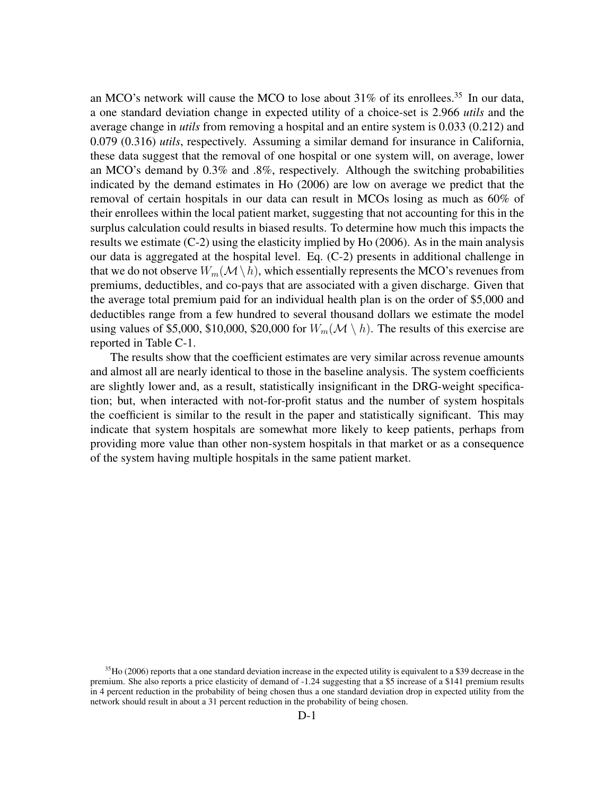an MCO's network will cause the MCO to lose about  $31\%$  of its enrollees.<sup>35</sup> In our data, a one standard deviation change in expected utility of a choice-set is 2.966 *utils* and the average change in *utils* from removing a hospital and an entire system is 0.033 (0.212) and 0.079 (0.316) *utils*, respectively. Assuming a similar demand for insurance in California, these data suggest that the removal of one hospital or one system will, on average, lower an MCO's demand by 0.3% and .8%, respectively. Although the switching probabilities indicated by the demand estimates in Ho (2006) are low on average we predict that the removal of certain hospitals in our data can result in MCOs losing as much as 60% of their enrollees within the local patient market, suggesting that not accounting for this in the surplus calculation could results in biased results. To determine how much this impacts the results we estimate (C-2) using the elasticity implied by Ho (2006). As in the main analysis our data is aggregated at the hospital level. Eq. (C-2) presents in additional challenge in that we do not observe  $W_m(\mathcal{M} \setminus h)$ , which essentially represents the MCO's revenues from premiums, deductibles, and co-pays that are associated with a given discharge. Given that the average total premium paid for an individual health plan is on the order of \$5,000 and deductibles range from a few hundred to several thousand dollars we estimate the model using values of \$5,000, \$10,000, \$20,000 for  $W_m(\mathcal{M} \setminus h)$ . The results of this exercise are reported in Table C-1.

The results show that the coefficient estimates are very similar across revenue amounts and almost all are nearly identical to those in the baseline analysis. The system coefficients are slightly lower and, as a result, statistically insignificant in the DRG-weight specification; but, when interacted with not-for-profit status and the number of system hospitals the coefficient is similar to the result in the paper and statistically significant. This may indicate that system hospitals are somewhat more likely to keep patients, perhaps from providing more value than other non-system hospitals in that market or as a consequence of the system having multiple hospitals in the same patient market.

 $35$ Ho (2006) reports that a one standard deviation increase in the expected utility is equivalent to a \$39 decrease in the premium. She also reports a price elasticity of demand of -1.24 suggesting that a \$5 increase of a \$141 premium results in 4 percent reduction in the probability of being chosen thus a one standard deviation drop in expected utility from the network should result in about a 31 percent reduction in the probability of being chosen.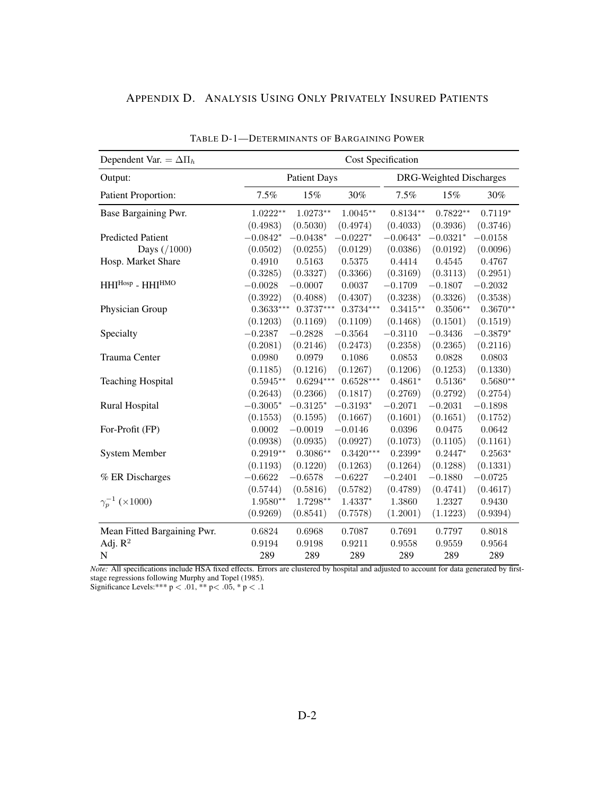| APPENDIX D. ANALYSIS USING ONLY PRIVATELY INSURED PATIENTS |
|------------------------------------------------------------|
|------------------------------------------------------------|

| Dependent Var. = $\Delta \Pi_h$ | <b>Cost Specification</b> |                     |             |                         |            |            |  |  |
|---------------------------------|---------------------------|---------------------|-------------|-------------------------|------------|------------|--|--|
| Output:                         |                           | <b>Patient Days</b> |             | DRG-Weighted Discharges |            |            |  |  |
| Patient Proportion:             | 7.5%                      | 15%                 | 30%         | 7.5%                    | 15%        | 30%        |  |  |
| Base Bargaining Pwr.            | $1.0222^{\ast\ast}$       | $1.0273**$          | $1.0045***$ | $0.8134^{\ast\ast}$     | $0.7822**$ | $0.7119*$  |  |  |
|                                 | (0.4983)                  | (0.5030)            | (0.4974)    | (0.4033)                | (0.3936)   | (0.3746)   |  |  |
| <b>Predicted Patient</b>        | $-0.0842*$                | $-0.0438*$          | $-0.0227*$  | $-0.0643*$              | $-0.0321*$ | $-0.0158$  |  |  |
| Days $( / 1000)$                | (0.0502)                  | (0.0255)            | (0.0129)    | (0.0386)                | (0.0192)   | (0.0096)   |  |  |
| Hosp. Market Share              | 0.4910                    | 0.5163              | $0.5375\,$  | 0.4414                  | 0.4545     | 0.4767     |  |  |
|                                 | (0.3285)                  | (0.3327)            | (0.3366)    | (0.3169)                | (0.3113)   | (0.2951)   |  |  |
| HHIHosp - HHIHMO                | $-0.0028$                 | $-0.0007$           | 0.0037      | $-0.1709$               | $-0.1807$  | $-0.2032$  |  |  |
|                                 | (0.3922)                  | (0.4088)            | (0.4307)    | (0.3238)                | (0.3326)   | (0.3538)   |  |  |
| Physician Group                 | $0.3633***$               | $0.3737***$         | $0.3734***$ | $0.3415**$              | $0.3506**$ | $0.3670**$ |  |  |
|                                 | (0.1203)                  | (0.1169)            | (0.1109)    | (0.1468)                | (0.1501)   | (0.1519)   |  |  |
| Specialty                       | $-0.2387$                 | $-0.2828$           | $-0.3564$   | $-0.3110$               | $-0.3436$  | $-0.3879*$ |  |  |
|                                 | (0.2081)                  | (0.2146)            | (0.2473)    | (0.2358)                | (0.2365)   | (0.2116)   |  |  |
| Trauma Center                   | 0.0980                    | 0.0979              | 0.1086      | 0.0853                  | 0.0828     | 0.0803     |  |  |
|                                 | (0.1185)                  | (0.1216)            | (0.1267)    | (0.1206)                | (0.1253)   | (0.1330)   |  |  |
| <b>Teaching Hospital</b>        | $0.5945**$                | $0.6294***$         | $0.6528***$ | $0.4861*$               | $0.5136*$  | $0.5680**$ |  |  |
|                                 | (0.2643)                  | (0.2366)            | (0.1817)    | (0.2769)                | (0.2792)   | (0.2754)   |  |  |
| <b>Rural Hospital</b>           | $-0.3005*$                | $-0.3125*$          | $-0.3193*$  | $-0.2071$               | $-0.2031$  | $-0.1898$  |  |  |
|                                 | (0.1553)                  | (0.1595)            | (0.1667)    | (0.1601)                | (0.1651)   | (0.1752)   |  |  |
| For-Profit (FP)                 | 0.0002                    | $-0.0019$           | $-0.0146$   | 0.0396                  | 0.0475     | 0.0642     |  |  |
|                                 | (0.0938)                  | (0.0935)            | (0.0927)    | (0.1073)                | (0.1105)   | (0.1161)   |  |  |
| <b>System Member</b>            | $0.2919**$                | $0.3086**$          | $0.3420***$ | $0.2399*$               | $0.2447*$  | $0.2563*$  |  |  |
|                                 | (0.1193)                  | (0.1220)            | (0.1263)    | (0.1264)                | (0.1288)   | (0.1331)   |  |  |
| % ER Discharges                 | $-0.6622$                 | $-0.6578$           | $-0.6227$   | $-0.2401$               | $-0.1880$  | $-0.0725$  |  |  |
|                                 | (0.5744)                  | (0.5816)            | (0.5782)    | (0.4789)                | (0.4741)   | (0.4617)   |  |  |
| $\gamma_p^{-1}$ (×1000)         | $1.9580**$                | $1.7298**$          | 1.4337*     | 1.3860                  | 1.2327     | 0.9430     |  |  |
|                                 | (0.9269)                  | (0.8541)            | (0.7578)    | (1.2001)                | (1.1223)   | (0.9394)   |  |  |
| Mean Fitted Bargaining Pwr.     | 0.6824                    | 0.6968              | 0.7087      | 0.7691                  | 0.7797     | 0.8018     |  |  |
| Adj. $R^2$                      | 0.9194                    | 0.9198              | 0.9211      | $\,0.9558\,$            | 0.9559     | 0.9564     |  |  |
| N                               | 289                       | 289                 | 289         | 289                     | 289        | 289        |  |  |

TABLE D-1—DETERMINANTS OF BARGAINING POWER

*Note:* All specifications include HSA fixed effects. Errors are clustered by hospital and adjusted to account for data generated by firststage regressions following Murphy and Topel (1985).

Significance Levels:\*\*\*  $p < .01$ , \*\*  $p < .05$ , \*  $p < .1$